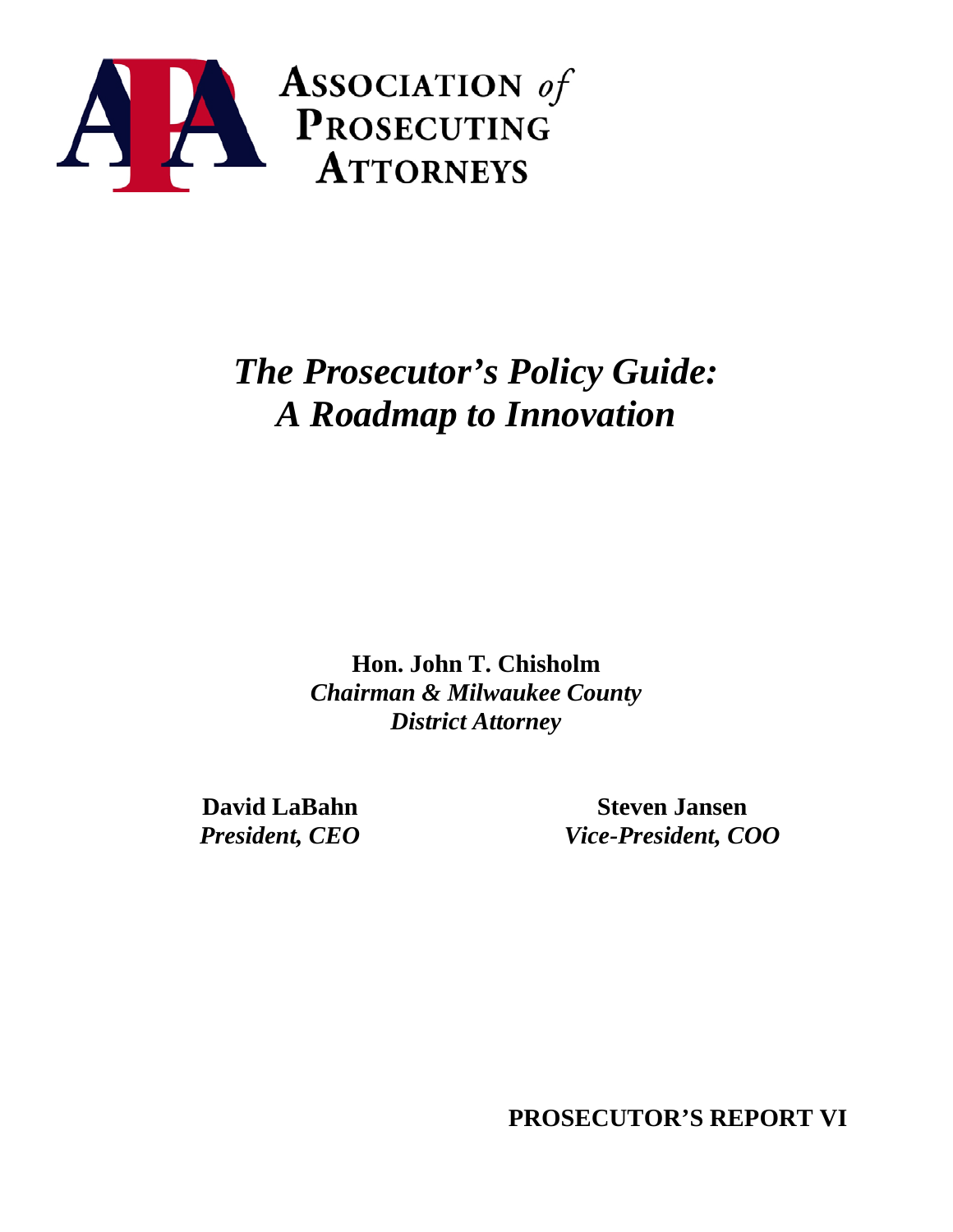

# *The Prosecutor's Policy Guide: A Roadmap to Innovation*

**Hon. John T. Chisholm** *Chairman & Milwaukee County District Attorney*

**David LaBahn** *President, CEO*

**Steven Jansen** *Vice-President, COO*

**PROSECUTOR'S REPORT VI**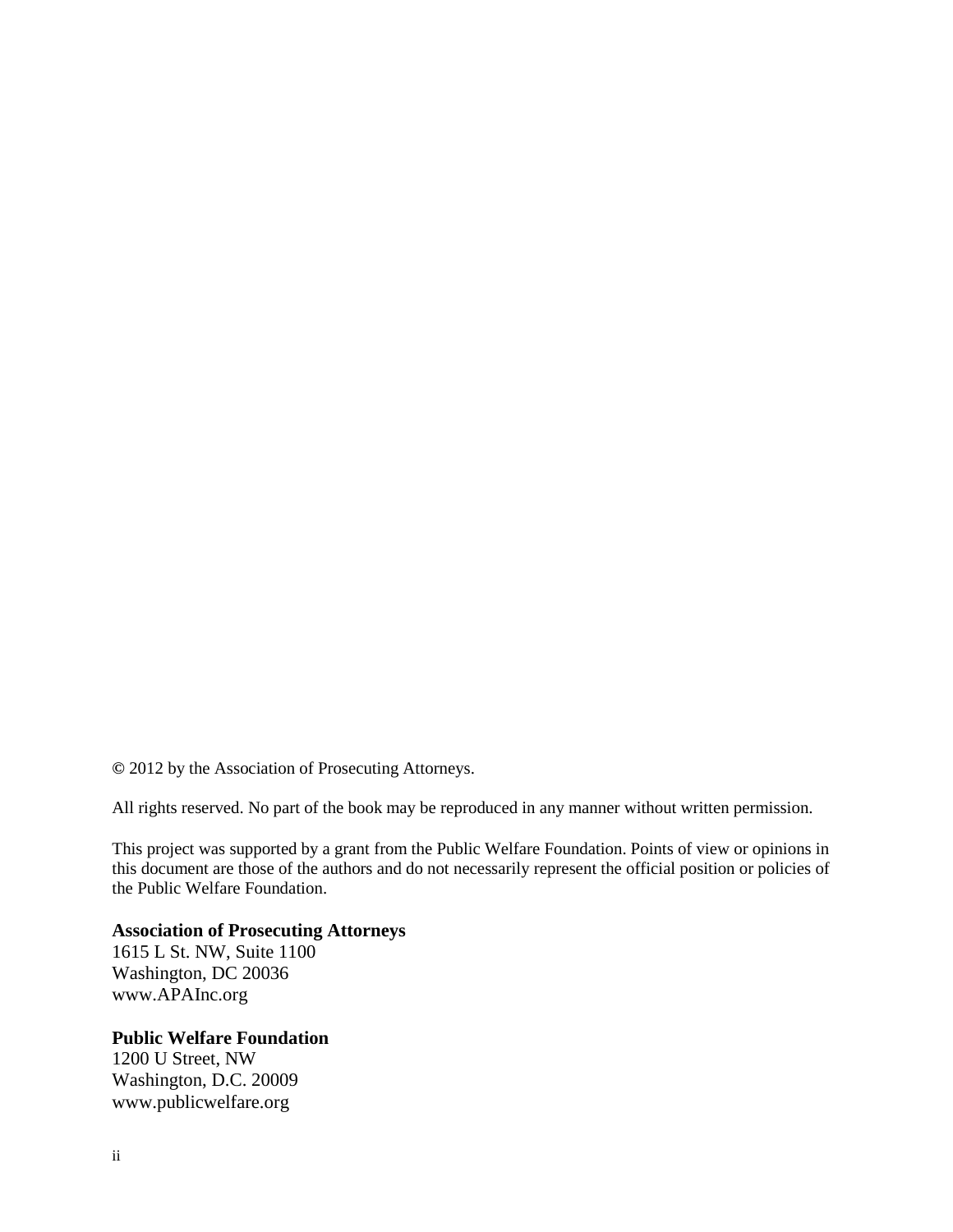**©** 2012 by the Association of Prosecuting Attorneys.

All rights reserved. No part of the book may be reproduced in any manner without written permission.

This project was supported by a grant from the Public Welfare Foundation. Points of view or opinions in this document are those of the authors and do not necessarily represent the official position or policies of the Public Welfare Foundation.

#### **Association of Prosecuting Attorneys**

1615 L St. NW, Suite 1100 Washington, DC 20036 www.APAInc.org

#### **Public Welfare Foundation**

1200 U Street, NW Washington, D.C. 20009 www.publicwelfare.org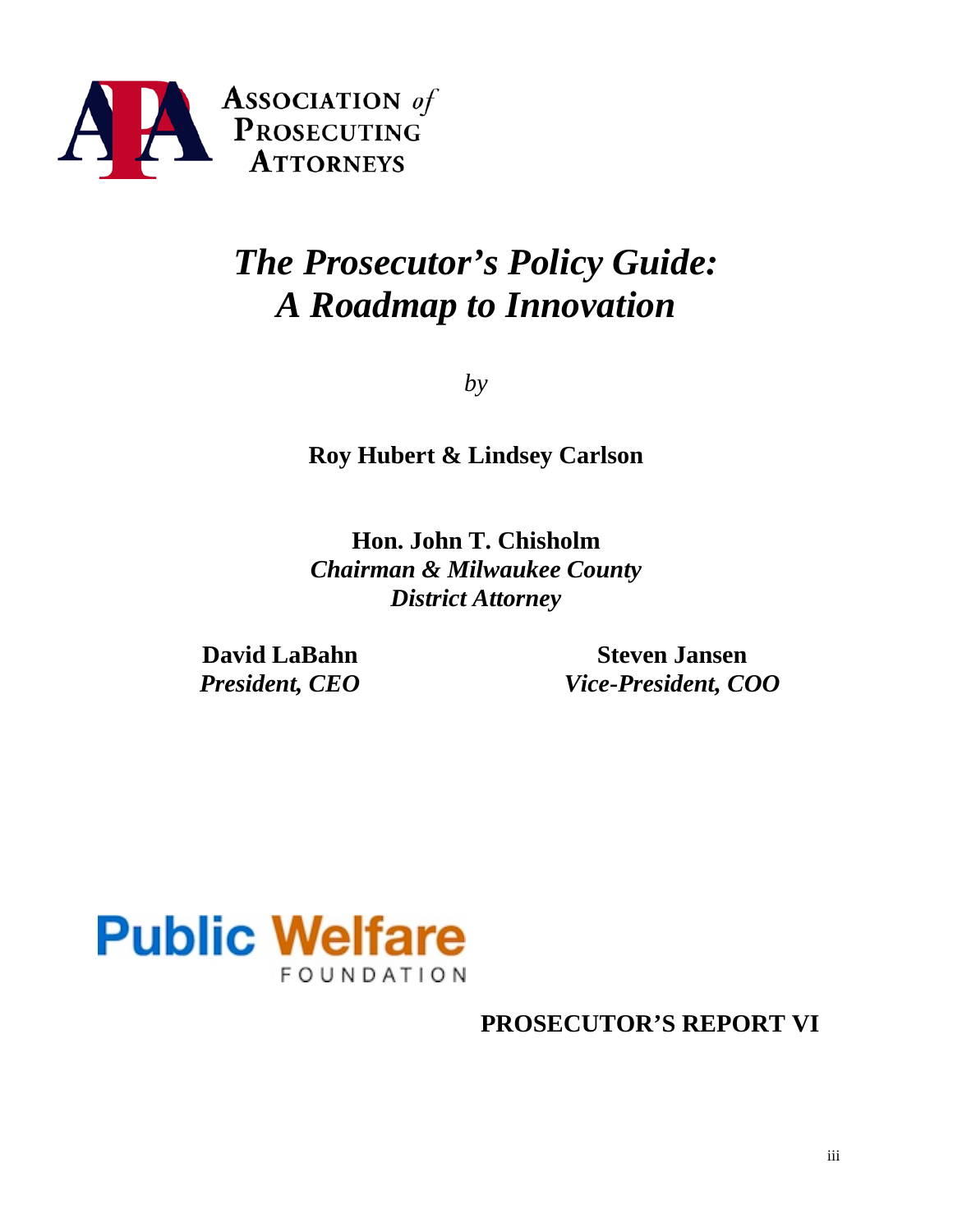

# *The Prosecutor's Policy Guide: A Roadmap to Innovation*

*by*

**Roy Hubert & Lindsey Carlson** 

**Hon. John T. Chisholm** *Chairman & Milwaukee County District Attorney*

**David LaBahn** *President, CEO*

**Steven Jansen** *Vice-President, COO*



**PROSECUTOR'S REPORT VI**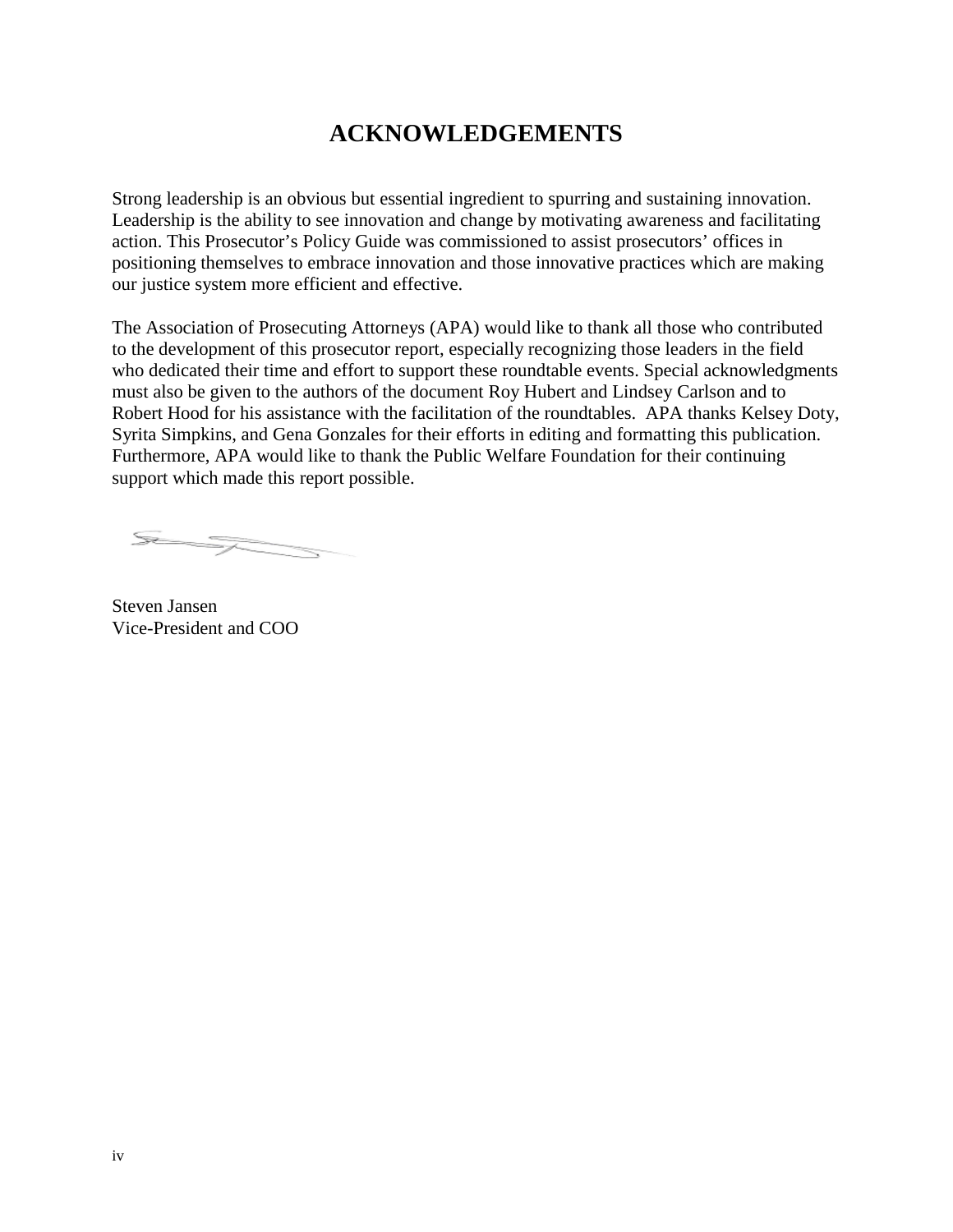# **ACKNOWLEDGEMENTS**

Strong leadership is an obvious but essential ingredient to spurring and sustaining innovation. Leadership is the ability to see innovation and change by motivating awareness and facilitating action. This Prosecutor's Policy Guide was commissioned to assist prosecutors' offices in positioning themselves to embrace innovation and those innovative practices which are making our justice system more efficient and effective.

The Association of Prosecuting Attorneys (APA) would like to thank all those who contributed to the development of this prosecutor report, especially recognizing those leaders in the field who dedicated their time and effort to support these roundtable events. Special acknowledgments must also be given to the authors of the document Roy Hubert and Lindsey Carlson and to Robert Hood for his assistance with the facilitation of the roundtables. APA thanks Kelsey Doty, Syrita Simpkins, and Gena Gonzales for their efforts in editing and formatting this publication. Furthermore, APA would like to thank the Public Welfare Foundation for their continuing support which made this report possible.

ST STATES

Steven Jansen Vice-President and COO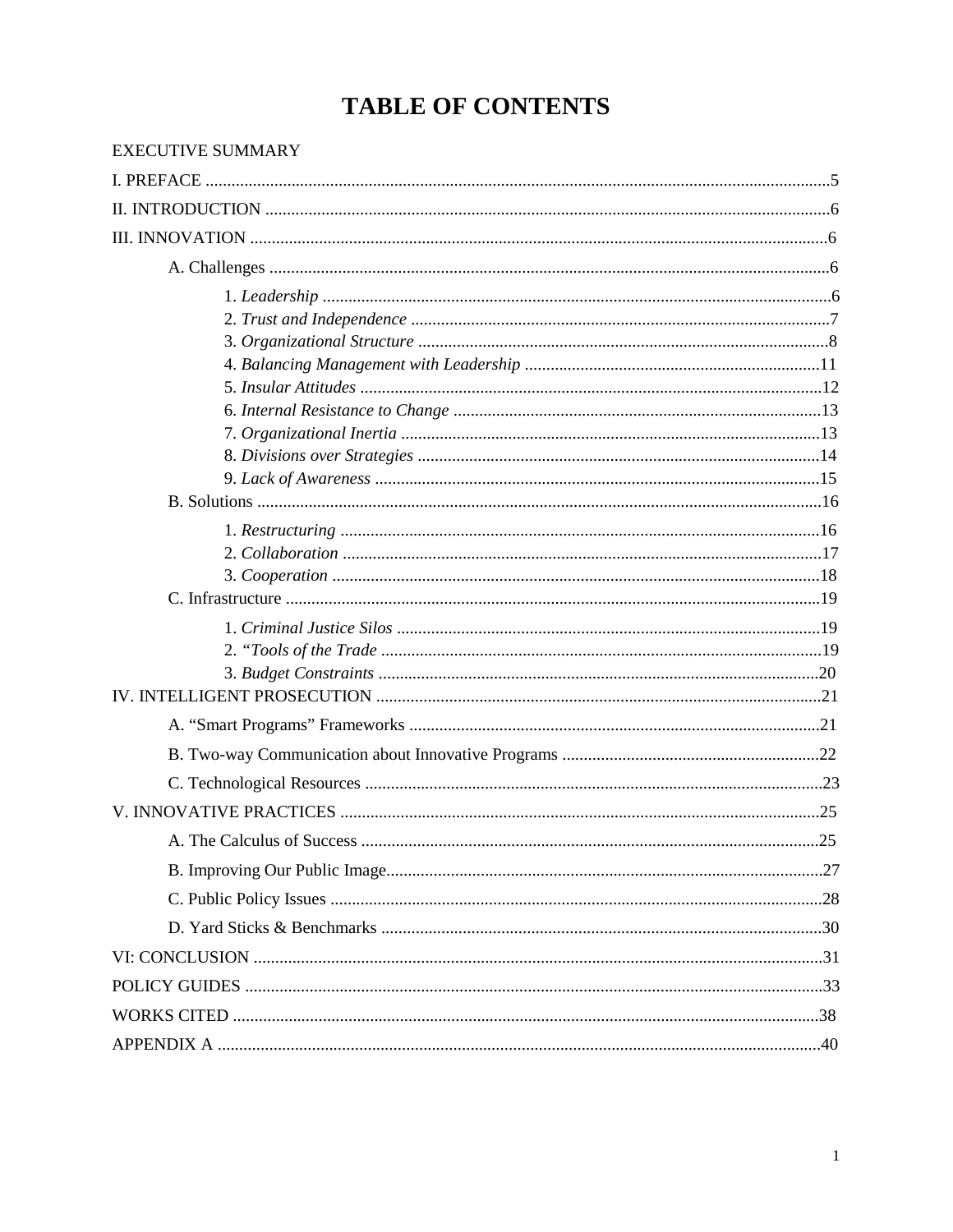# **TABLE OF CONTENTS**

| <b>EXECUTIVE SUMMARY</b>   |    |
|----------------------------|----|
|                            |    |
|                            |    |
|                            |    |
|                            |    |
|                            |    |
|                            |    |
|                            |    |
|                            |    |
|                            |    |
|                            |    |
|                            |    |
|                            |    |
|                            |    |
|                            |    |
|                            |    |
|                            |    |
|                            |    |
|                            |    |
|                            |    |
|                            |    |
|                            |    |
|                            |    |
|                            |    |
|                            |    |
|                            |    |
|                            |    |
| A. The Calculus of Success | 25 |
|                            |    |
|                            |    |
|                            |    |
|                            |    |
|                            |    |
|                            |    |
|                            |    |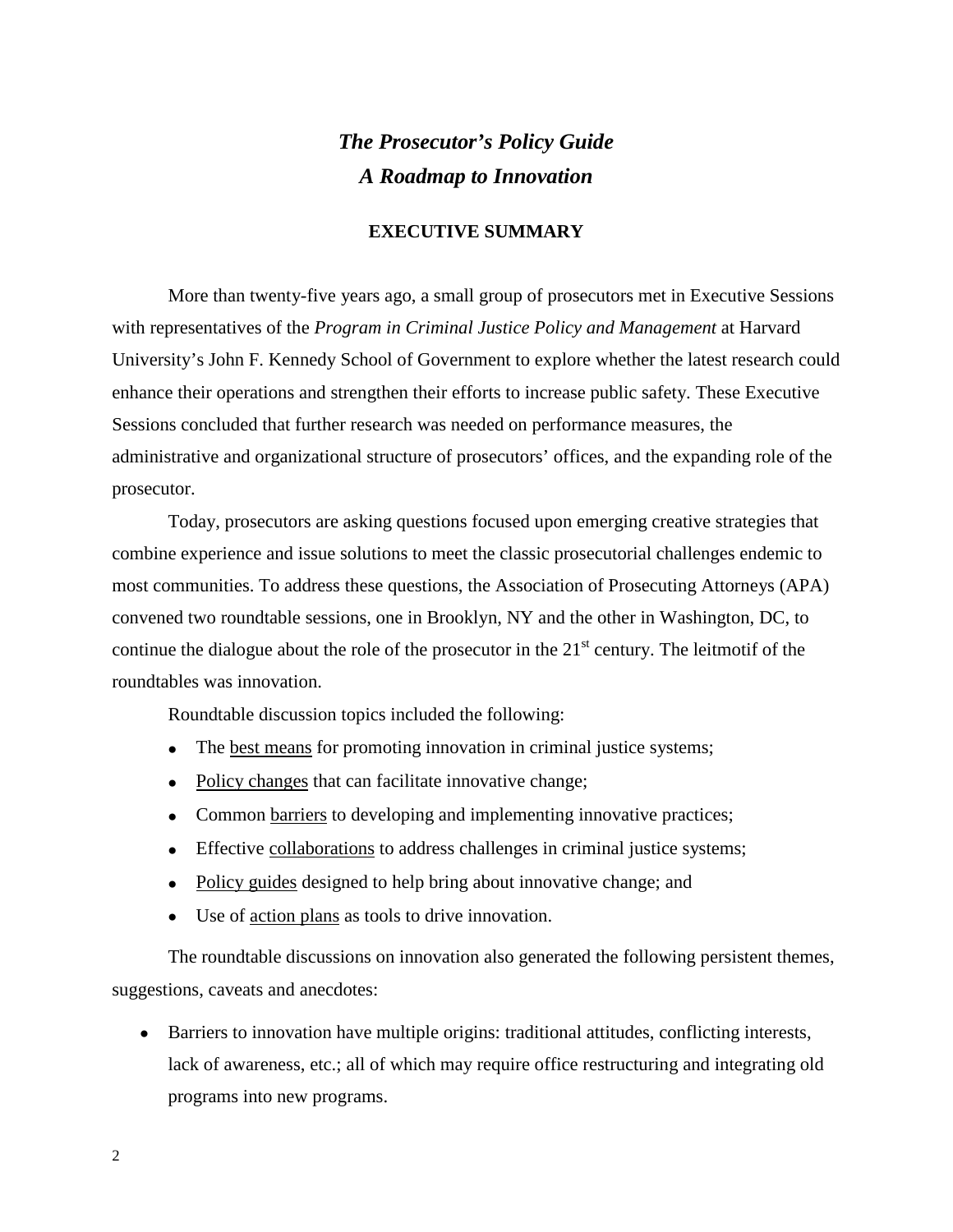# *The Prosecutor's Policy Guide A Roadmap to Innovation*

#### **EXECUTIVE SUMMARY**

More than twenty-five years ago, a small group of prosecutors met in Executive Sessions with representatives of the *Program in Criminal Justice Policy and Management* at Harvard University's John F. Kennedy School of Government to explore whether the latest research could enhance their operations and strengthen their efforts to increase public safety. These Executive Sessions concluded that further research was needed on performance measures, the administrative and organizational structure of prosecutors' offices, and the expanding role of the prosecutor.

Today, prosecutors are asking questions focused upon emerging creative strategies that combine experience and issue solutions to meet the classic prosecutorial challenges endemic to most communities. To address these questions, the Association of Prosecuting Attorneys (APA) convened two roundtable sessions, one in Brooklyn, NY and the other in Washington, DC, to continue the dialogue about the role of the prosecutor in the  $21<sup>st</sup>$  century. The leitmotif of the roundtables was innovation.

Roundtable discussion topics included the following:

- The best means for promoting innovation in criminal justice systems;
- Policy changes that can facilitate innovative change;
- Common barriers to developing and implementing innovative practices;
- Effective collaborations to address challenges in criminal justice systems;
- Policy guides designed to help bring about innovative change; and
- Use of action plans as tools to drive innovation.

The roundtable discussions on innovation also generated the following persistent themes, suggestions, caveats and anecdotes:

• Barriers to innovation have multiple origins: traditional attitudes, conflicting interests, lack of awareness, etc.; all of which may require office restructuring and integrating old programs into new programs.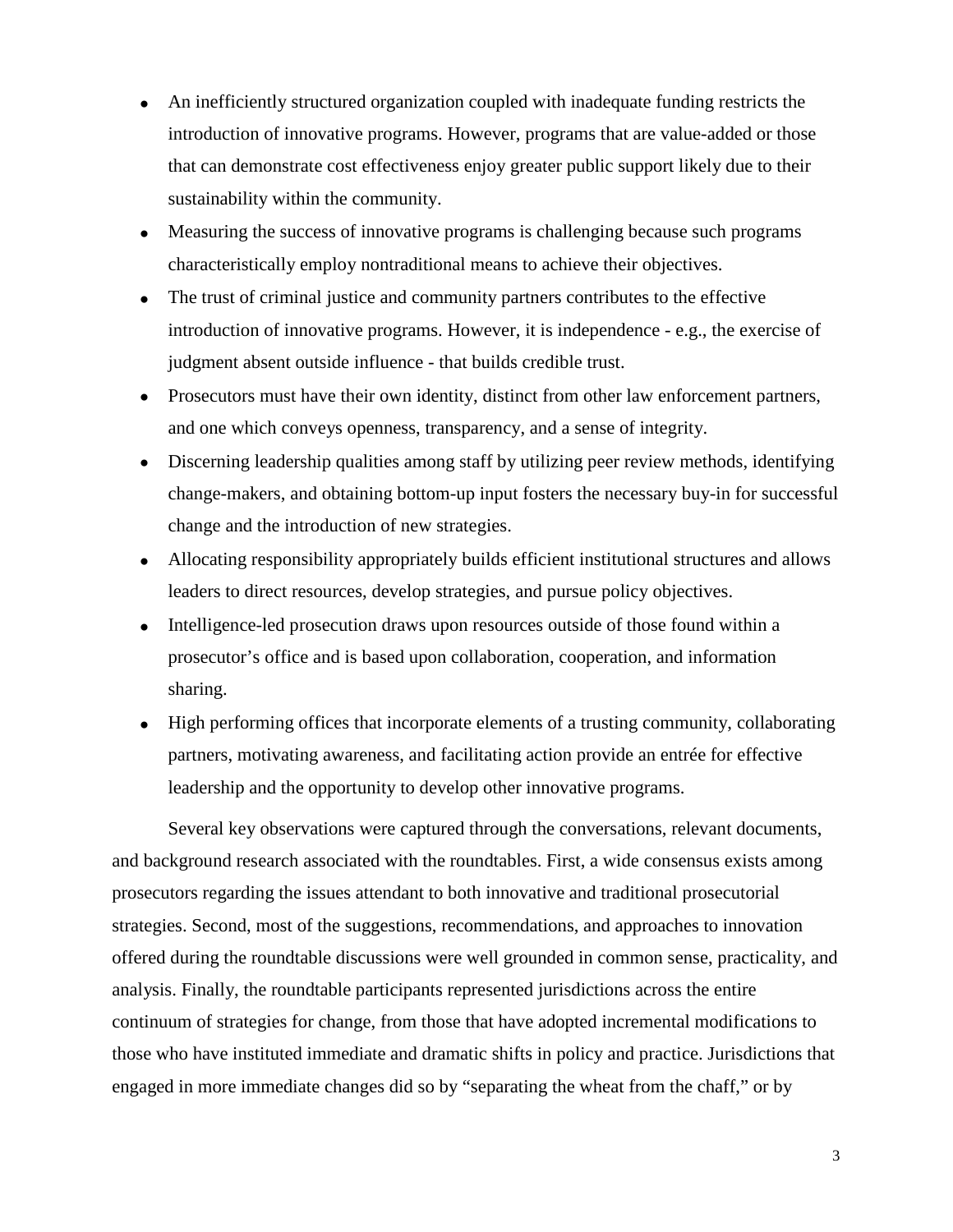- An inefficiently structured organization coupled with inadequate funding restricts the introduction of innovative programs. However, programs that are value-added or those that can demonstrate cost effectiveness enjoy greater public support likely due to their sustainability within the community.
- Measuring the success of innovative programs is challenging because such programs characteristically employ nontraditional means to achieve their objectives.
- The trust of criminal justice and community partners contributes to the effective introduction of innovative programs. However, it is independence - e.g., the exercise of judgment absent outside influence - that builds credible trust.
- Prosecutors must have their own identity, distinct from other law enforcement partners, and one which conveys openness, transparency, and a sense of integrity.
- Discerning leadership qualities among staff by utilizing peer review methods, identifying change-makers, and obtaining bottom-up input fosters the necessary buy-in for successful change and the introduction of new strategies.
- Allocating responsibility appropriately builds efficient institutional structures and allows leaders to direct resources, develop strategies, and pursue policy objectives.
- Intelligence-led prosecution draws upon resources outside of those found within a prosecutor's office and is based upon collaboration, cooperation, and information sharing.
- High performing offices that incorporate elements of a trusting community, collaborating partners, motivating awareness, and facilitating action provide an entrée for effective leadership and the opportunity to develop other innovative programs.

Several key observations were captured through the conversations, relevant documents, and background research associated with the roundtables. First, a wide consensus exists among prosecutors regarding the issues attendant to both innovative and traditional prosecutorial strategies. Second, most of the suggestions, recommendations, and approaches to innovation offered during the roundtable discussions were well grounded in common sense, practicality, and analysis. Finally, the roundtable participants represented jurisdictions across the entire continuum of strategies for change, from those that have adopted incremental modifications to those who have instituted immediate and dramatic shifts in policy and practice. Jurisdictions that engaged in more immediate changes did so by "separating the wheat from the chaff," or by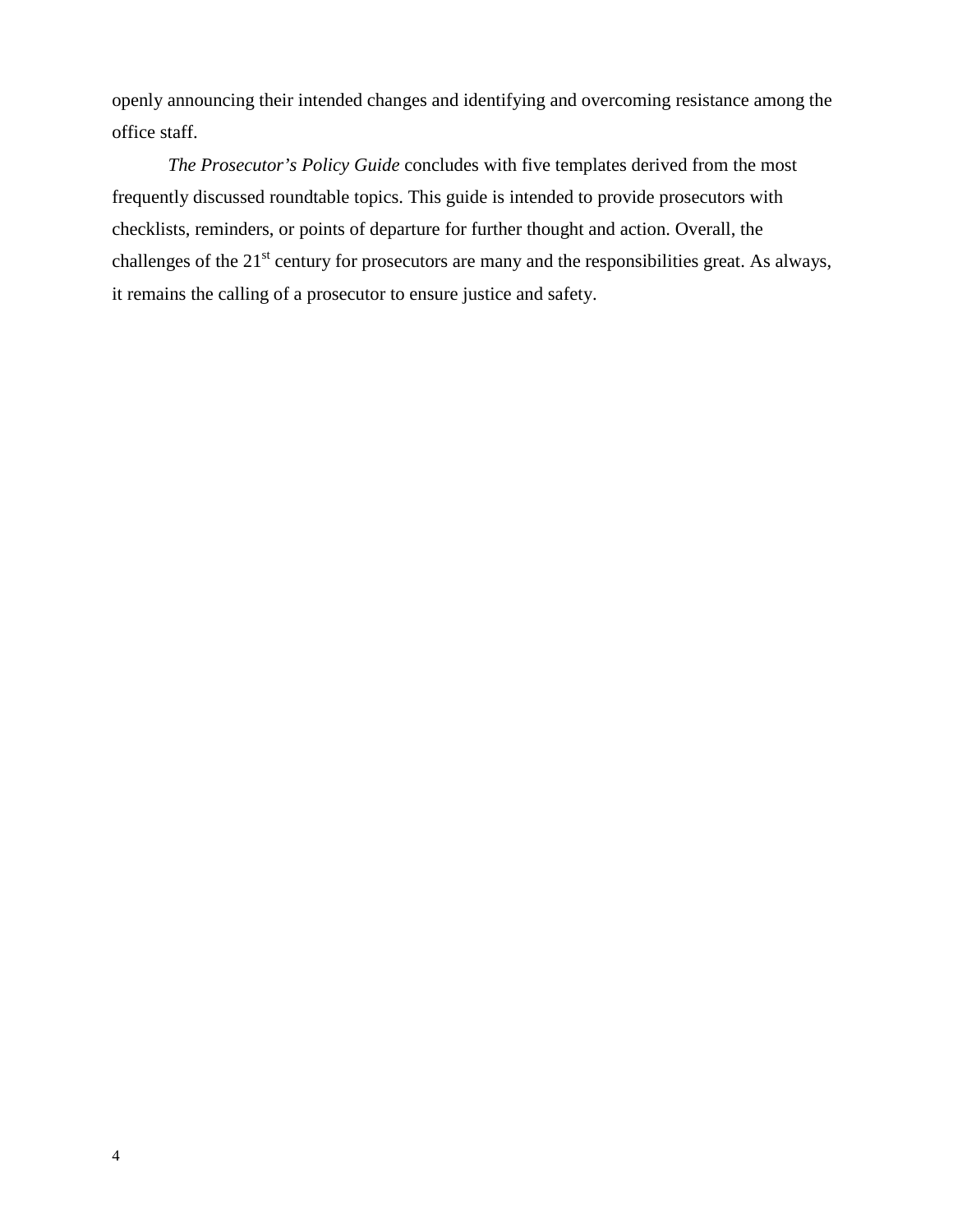openly announcing their intended changes and identifying and overcoming resistance among the office staff.

*The Prosecutor's Policy Guide* concludes with five templates derived from the most frequently discussed roundtable topics. This guide is intended to provide prosecutors with checklists, reminders, or points of departure for further thought and action. Overall, the challenges of the 21<sup>st</sup> century for prosecutors are many and the responsibilities great. As always, it remains the calling of a prosecutor to ensure justice and safety.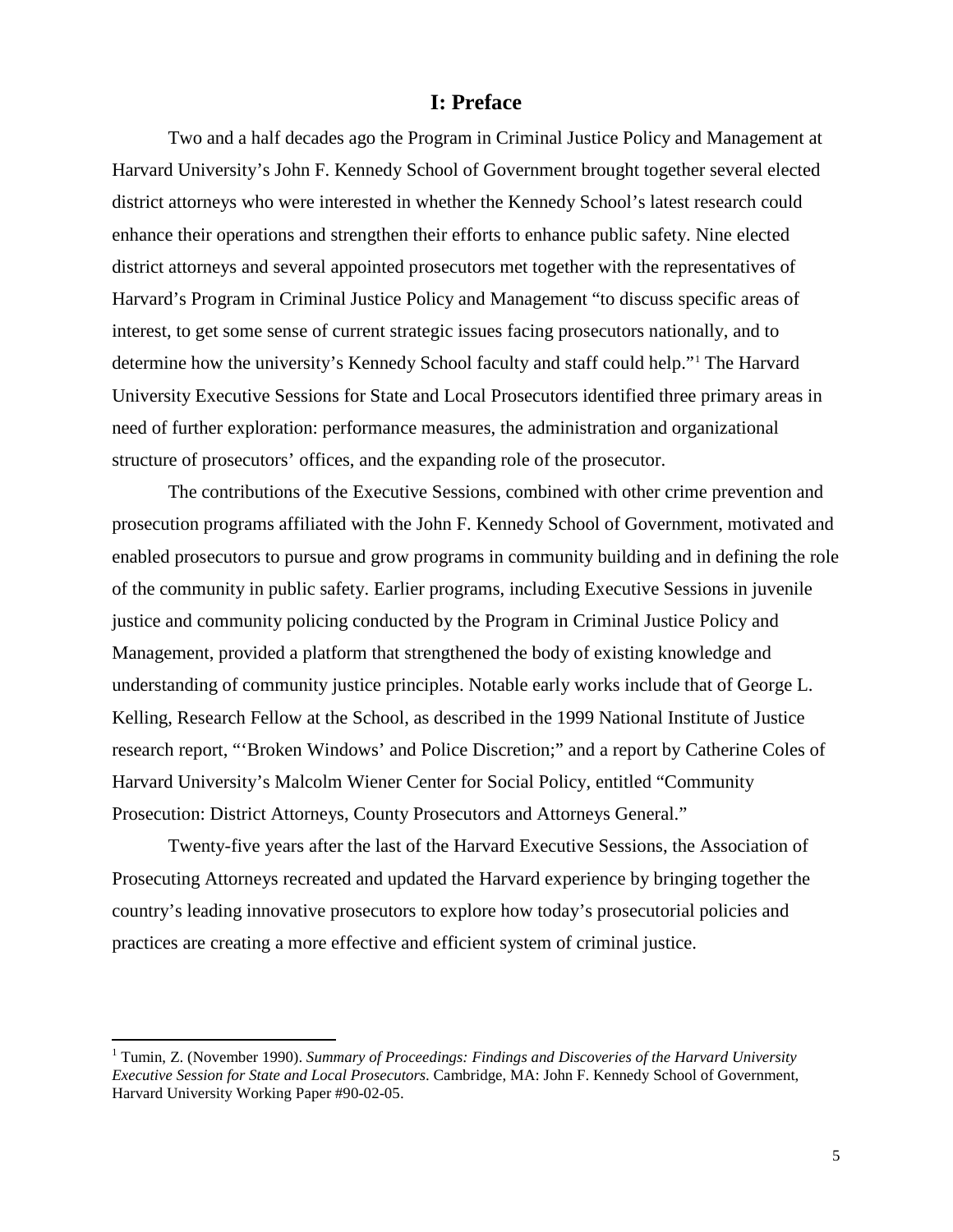#### **I: Preface**

Two and a half decades ago the Program in Criminal Justice Policy and Management at Harvard University's John F. Kennedy School of Government brought together several elected district attorneys who were interested in whether the Kennedy School's latest research could enhance their operations and strengthen their efforts to enhance public safety. Nine elected district attorneys and several appointed prosecutors met together with the representatives of Harvard's Program in Criminal Justice Policy and Management "to discuss specific areas of interest, to get some sense of current strategic issues facing prosecutors nationally, and to determine how the university's Kennedy School faculty and staff could help."[1](#page-8-0) The Harvard University Executive Sessions for State and Local Prosecutors identified three primary areas in need of further exploration: performance measures, the administration and organizational structure of prosecutors' offices, and the expanding role of the prosecutor.

The contributions of the Executive Sessions, combined with other crime prevention and prosecution programs affiliated with the John F. Kennedy School of Government, motivated and enabled prosecutors to pursue and grow programs in community building and in defining the role of the community in public safety. Earlier programs, including Executive Sessions in juvenile justice and community policing conducted by the Program in Criminal Justice Policy and Management, provided a platform that strengthened the body of existing knowledge and understanding of community justice principles. Notable early works include that of George L. Kelling, Research Fellow at the School, as described in the 1999 National Institute of Justice research report, "'Broken Windows' and Police Discretion;" and a report by Catherine Coles of Harvard University's Malcolm Wiener Center for Social Policy, entitled "Community Prosecution: District Attorneys, County Prosecutors and Attorneys General."

Twenty-five years after the last of the Harvard Executive Sessions, the Association of Prosecuting Attorneys recreated and updated the Harvard experience by bringing together the country's leading innovative prosecutors to explore how today's prosecutorial policies and practices are creating a more effective and efficient system of criminal justice.

 $\overline{a}$ 

<span id="page-8-0"></span><sup>&</sup>lt;sup>1</sup> Tumin, Z. (November 1990). *Summary of Proceedings: Findings and Discoveries of the Harvard University Executive Session for State and Local Prosecutors*. Cambridge, MA: John F. Kennedy School of Government, Harvard University Working Paper #90-02-05.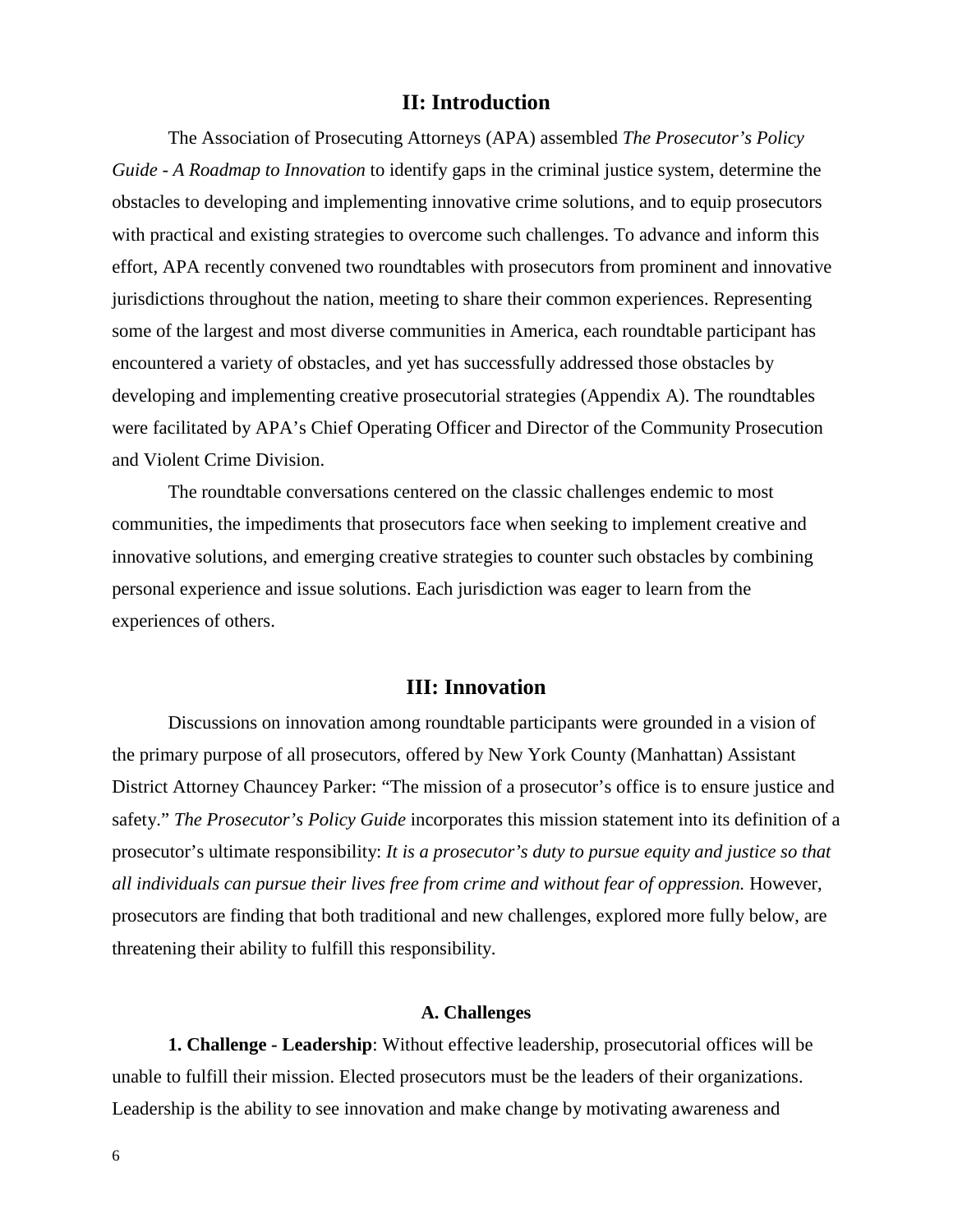#### **II: Introduction**

The Association of Prosecuting Attorneys (APA) assembled *The Prosecutor's Policy Guide - A Roadmap to Innovation* to identify gaps in the criminal justice system, determine the obstacles to developing and implementing innovative crime solutions, and to equip prosecutors with practical and existing strategies to overcome such challenges. To advance and inform this effort, APA recently convened two roundtables with prosecutors from prominent and innovative jurisdictions throughout the nation, meeting to share their common experiences. Representing some of the largest and most diverse communities in America, each roundtable participant has encountered a variety of obstacles, and yet has successfully addressed those obstacles by developing and implementing creative prosecutorial strategies (Appendix A). The roundtables were facilitated by APA's Chief Operating Officer and Director of the Community Prosecution and Violent Crime Division.

The roundtable conversations centered on the classic challenges endemic to most communities, the impediments that prosecutors face when seeking to implement creative and innovative solutions, and emerging creative strategies to counter such obstacles by combining personal experience and issue solutions. Each jurisdiction was eager to learn from the experiences of others.

#### **III: Innovation**

Discussions on innovation among roundtable participants were grounded in a vision of the primary purpose of all prosecutors, offered by New York County (Manhattan) Assistant District Attorney Chauncey Parker: "The mission of a prosecutor's office is to ensure justice and safety." *The Prosecutor's Policy Guide* incorporates this mission statement into its definition of a prosecutor's ultimate responsibility: *It is a prosecutor's duty to pursue equity and justice so that all individuals can pursue their lives free from crime and without fear of oppression.* However, prosecutors are finding that both traditional and new challenges, explored more fully below, are threatening their ability to fulfill this responsibility.

#### **A. Challenges**

**1. Challenge - Leadership**: Without effective leadership, prosecutorial offices will be unable to fulfill their mission. Elected prosecutors must be the leaders of their organizations. Leadership is the ability to see innovation and make change by motivating awareness and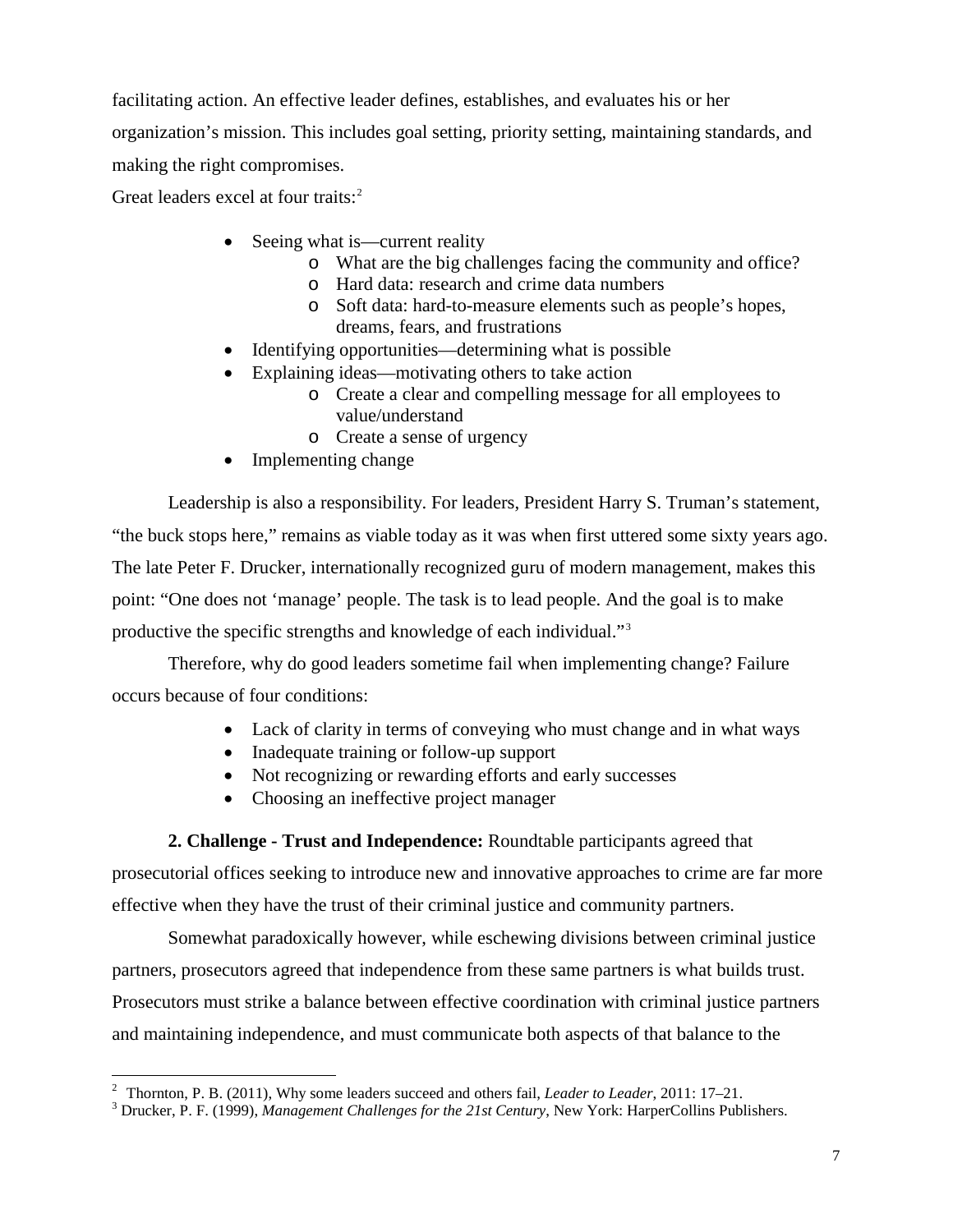facilitating action. An effective leader defines, establishes, and evaluates his or her organization's mission. This includes goal setting, priority setting, maintaining standards, and making the right compromises.

Great leaders excel at four traits:<sup>[2](#page-10-0)</sup>

- Seeing what is—current reality
	- o What are the big challenges facing the community and office?
	- o Hard data: research and crime data numbers
	- o Soft data: hard-to-measure elements such as people's hopes, dreams, fears, and frustrations
- Identifying opportunities—determining what is possible
- Explaining ideas—motivating others to take action
	- o Create a clear and compelling message for all employees to value/understand
	- o Create a sense of urgency
- Implementing change

Leadership is also a responsibility. For leaders, President Harry S. Truman's statement, "the buck stops here," remains as viable today as it was when first uttered some sixty years ago. The late Peter F. Drucker, internationally recognized guru of modern management, makes this point: "One does not 'manage' people. The task is to lead people. And the goal is to make productive the specific strengths and knowledge of each individual."[3](#page-10-1)

Therefore, why do good leaders sometime fail when implementing change? Failure occurs because of four conditions:

- Lack of clarity in terms of conveying who must change and in what ways
- Inadequate training or follow-up support
- Not recognizing or rewarding efforts and early successes
- Choosing an ineffective project manager

**2. Challenge - Trust and Independence:** Roundtable participants agreed that

prosecutorial offices seeking to introduce new and innovative approaches to crime are far more effective when they have the trust of their criminal justice and community partners.

Somewhat paradoxically however, while eschewing divisions between criminal justice partners, prosecutors agreed that independence from these same partners is what builds trust. Prosecutors must strike a balance between effective coordination with criminal justice partners and maintaining independence, and must communicate both aspects of that balance to the

 $\overline{a}$ 

<span id="page-10-1"></span><span id="page-10-0"></span><sup>&</sup>lt;sup>2</sup> Thornton, P. B. (2011), Why some leaders succeed and others fail, *Leader to Leader*, 2011: 17–21.<br><sup>3</sup> Drucker, P. F. (1999), *Management Challenges for the 21st Century*, New York: HarperCollins Publishers.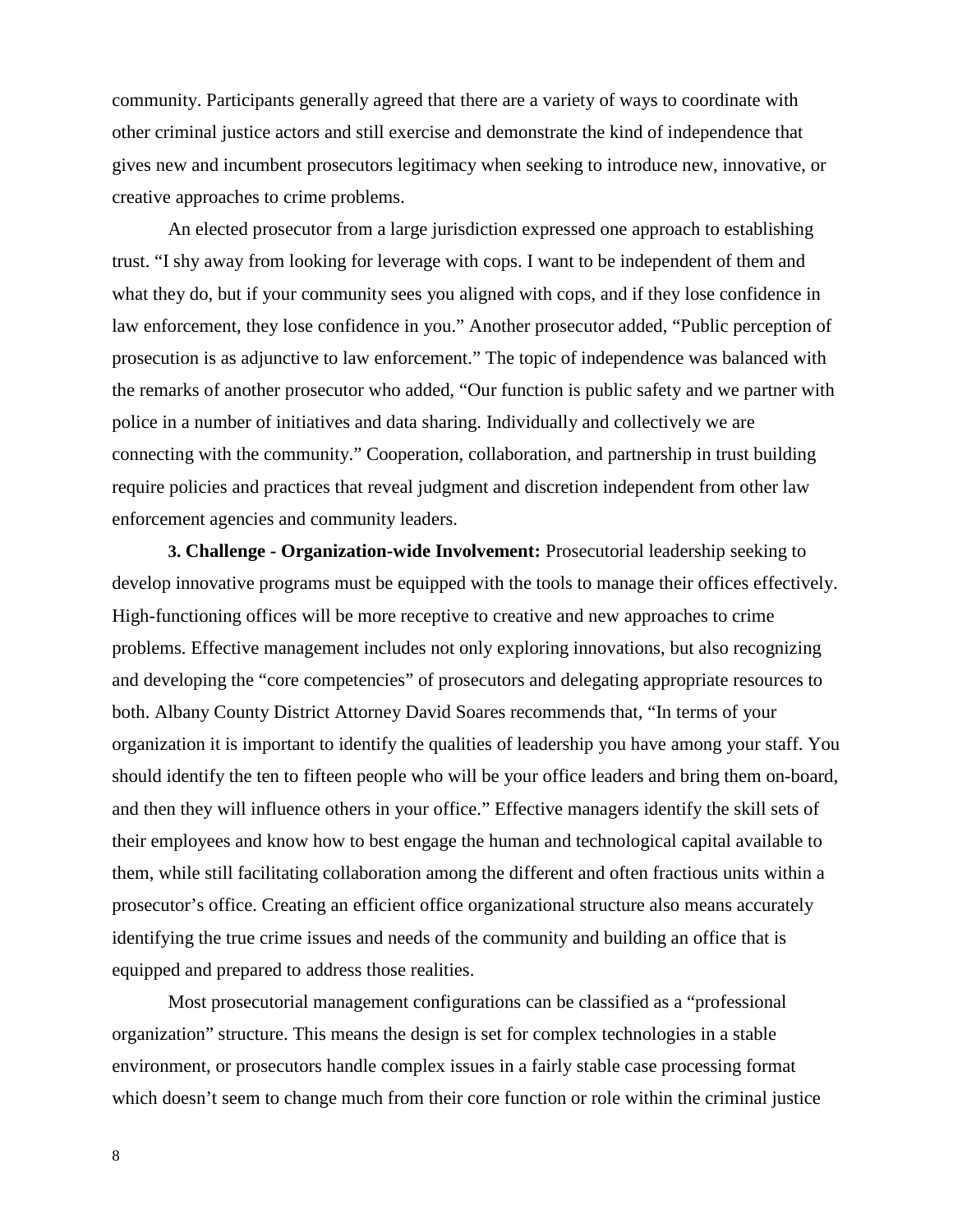community. Participants generally agreed that there are a variety of ways to coordinate with other criminal justice actors and still exercise and demonstrate the kind of independence that gives new and incumbent prosecutors legitimacy when seeking to introduce new, innovative, or creative approaches to crime problems.

An elected prosecutor from a large jurisdiction expressed one approach to establishing trust. "I shy away from looking for leverage with cops. I want to be independent of them and what they do, but if your community sees you aligned with cops, and if they lose confidence in law enforcement, they lose confidence in you." Another prosecutor added, "Public perception of prosecution is as adjunctive to law enforcement." The topic of independence was balanced with the remarks of another prosecutor who added, "Our function is public safety and we partner with police in a number of initiatives and data sharing. Individually and collectively we are connecting with the community." Cooperation, collaboration, and partnership in trust building require policies and practices that reveal judgment and discretion independent from other law enforcement agencies and community leaders.

**3. Challenge - Organization-wide Involvement:** Prosecutorial leadership seeking to develop innovative programs must be equipped with the tools to manage their offices effectively. High-functioning offices will be more receptive to creative and new approaches to crime problems. Effective management includes not only exploring innovations, but also recognizing and developing the "core competencies" of prosecutors and delegating appropriate resources to both. Albany County District Attorney David Soares recommends that, "In terms of your organization it is important to identify the qualities of leadership you have among your staff. You should identify the ten to fifteen people who will be your office leaders and bring them on-board, and then they will influence others in your office." Effective managers identify the skill sets of their employees and know how to best engage the human and technological capital available to them, while still facilitating collaboration among the different and often fractious units within a prosecutor's office. Creating an efficient office organizational structure also means accurately identifying the true crime issues and needs of the community and building an office that is equipped and prepared to address those realities.

Most prosecutorial management configurations can be classified as a "professional organization" structure. This means the design is set for complex technologies in a stable environment, or prosecutors handle complex issues in a fairly stable case processing format which doesn't seem to change much from their core function or role within the criminal justice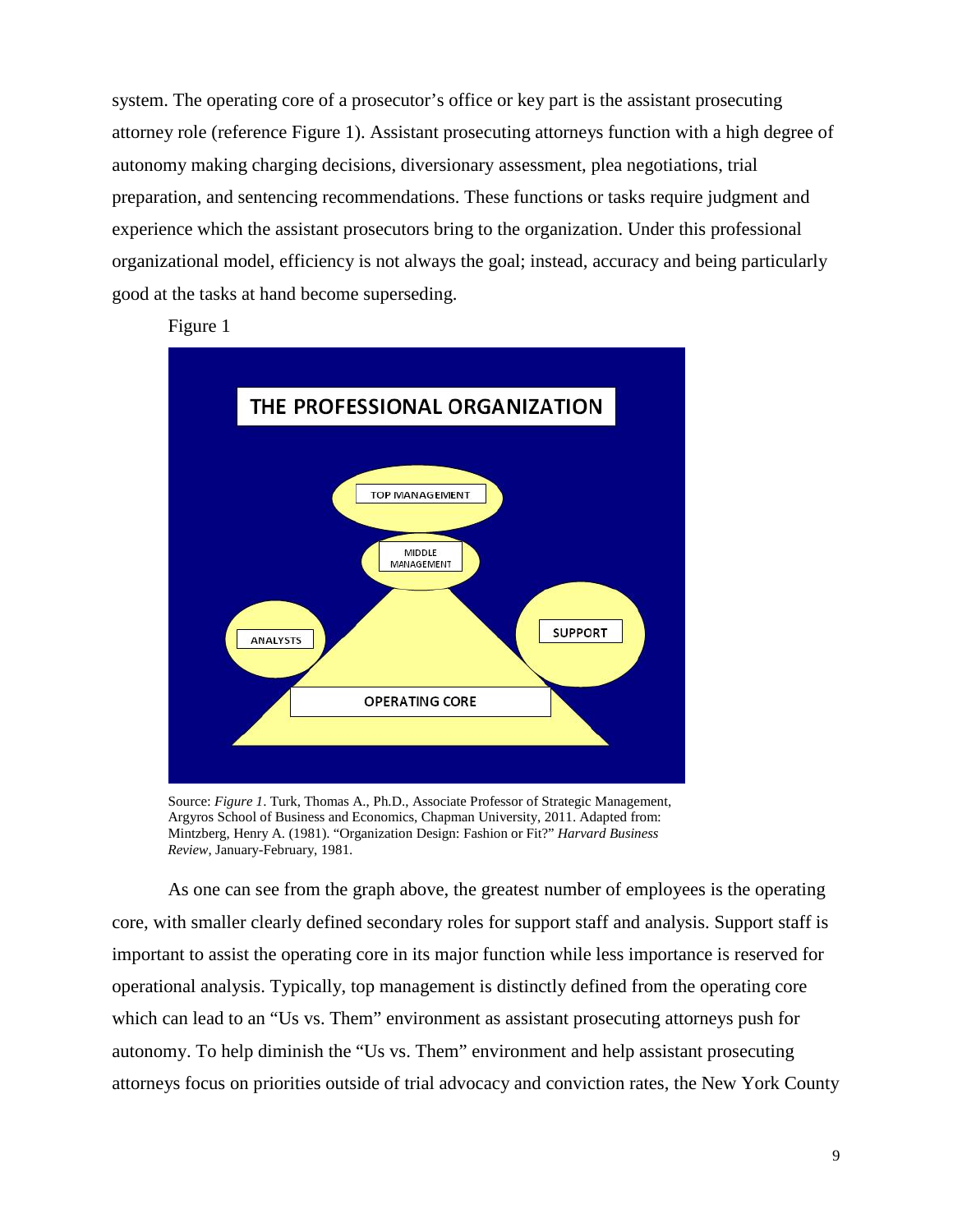system. The operating core of a prosecutor's office or key part is the assistant prosecuting attorney role (reference Figure 1). Assistant prosecuting attorneys function with a high degree of autonomy making charging decisions, diversionary assessment, plea negotiations, trial preparation, and sentencing recommendations. These functions or tasks require judgment and experience which the assistant prosecutors bring to the organization. Under this professional organizational model, efficiency is not always the goal; instead, accuracy and being particularly good at the tasks at hand become superseding.

Figure 1



Source: *Figure 1*. Turk, Thomas A., Ph.D., Associate Professor of Strategic Management, Argyros School of Business and Economics, Chapman University, 2011. Adapted from: Mintzberg, Henry A. (1981). "Organization Design: Fashion or Fit?" *Harvard Business Review*, January-February, 1981.

As one can see from the graph above, the greatest number of employees is the operating core, with smaller clearly defined secondary roles for support staff and analysis. Support staff is important to assist the operating core in its major function while less importance is reserved for operational analysis. Typically, top management is distinctly defined from the operating core which can lead to an "Us vs. Them" environment as assistant prosecuting attorneys push for autonomy. To help diminish the "Us vs. Them" environment and help assistant prosecuting attorneys focus on priorities outside of trial advocacy and conviction rates, the New York County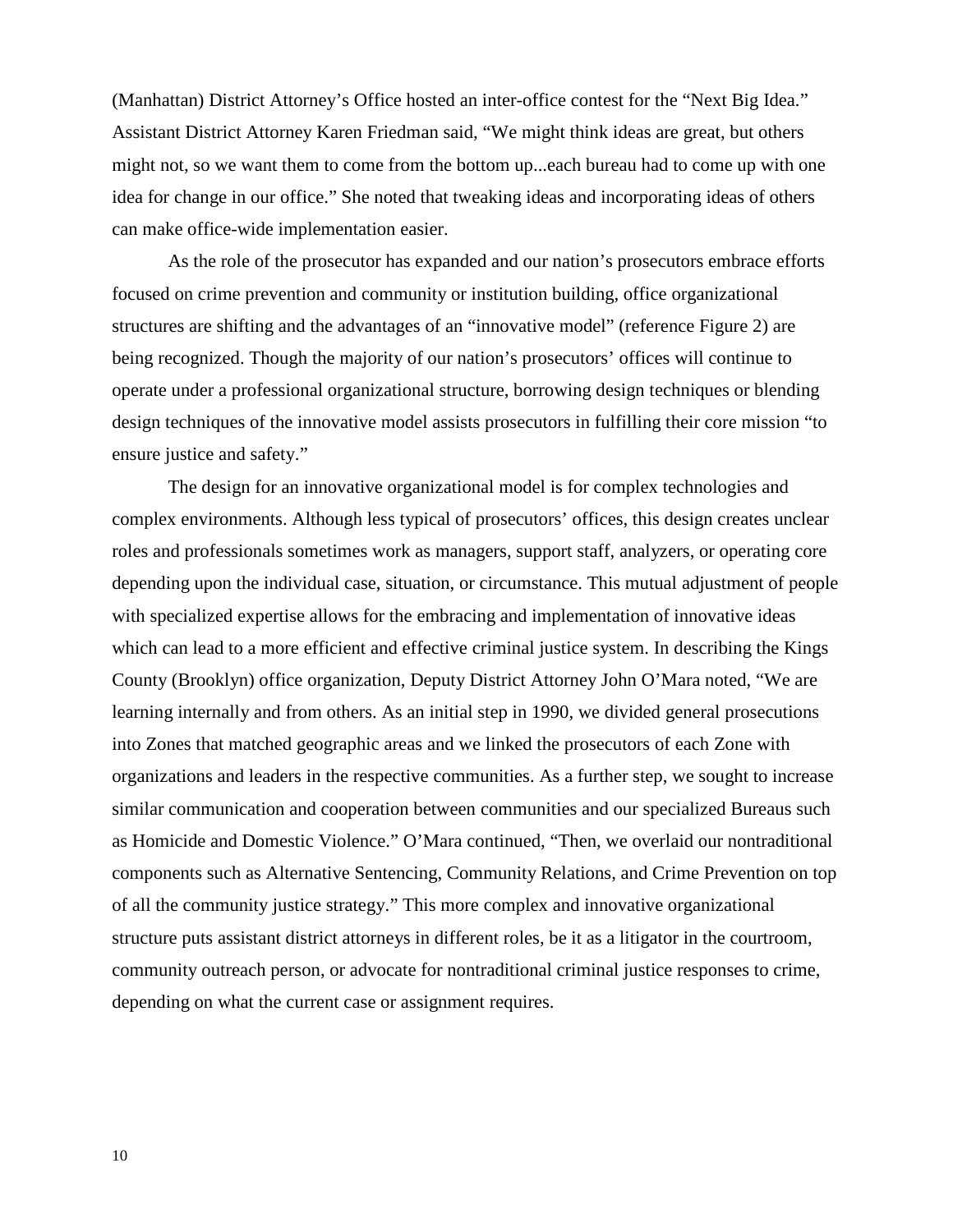(Manhattan) District Attorney's Office hosted an inter-office contest for the "Next Big Idea." Assistant District Attorney Karen Friedman said, "We might think ideas are great, but others might not, so we want them to come from the bottom up...each bureau had to come up with one idea for change in our office." She noted that tweaking ideas and incorporating ideas of others can make office-wide implementation easier.

As the role of the prosecutor has expanded and our nation's prosecutors embrace efforts focused on crime prevention and community or institution building, office organizational structures are shifting and the advantages of an "innovative model" (reference Figure 2) are being recognized. Though the majority of our nation's prosecutors' offices will continue to operate under a professional organizational structure, borrowing design techniques or blending design techniques of the innovative model assists prosecutors in fulfilling their core mission "to ensure justice and safety."

The design for an innovative organizational model is for complex technologies and complex environments. Although less typical of prosecutors' offices, this design creates unclear roles and professionals sometimes work as managers, support staff, analyzers, or operating core depending upon the individual case, situation, or circumstance. This mutual adjustment of people with specialized expertise allows for the embracing and implementation of innovative ideas which can lead to a more efficient and effective criminal justice system. In describing the Kings County (Brooklyn) office organization, Deputy District Attorney John O'Mara noted, "We are learning internally and from others. As an initial step in 1990, we divided general prosecutions into Zones that matched geographic areas and we linked the prosecutors of each Zone with organizations and leaders in the respective communities. As a further step, we sought to increase similar communication and cooperation between communities and our specialized Bureaus such as Homicide and Domestic Violence." O'Mara continued, "Then, we overlaid our nontraditional components such as Alternative Sentencing, Community Relations, and Crime Prevention on top of all the community justice strategy." This more complex and innovative organizational structure puts assistant district attorneys in different roles, be it as a litigator in the courtroom, community outreach person, or advocate for nontraditional criminal justice responses to crime, depending on what the current case or assignment requires.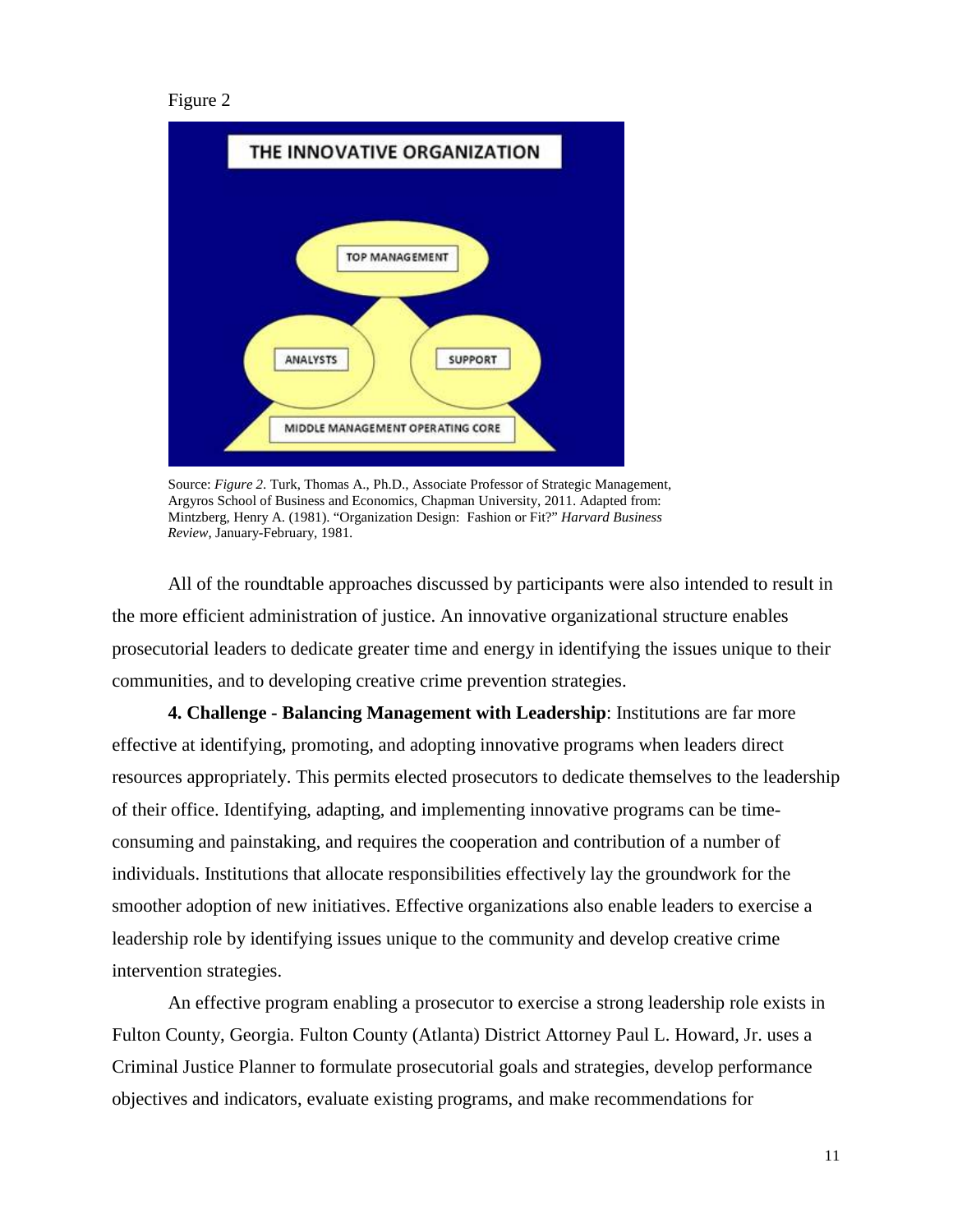```
Figure 2
```


Source: *Figure 2*. Turk, Thomas A., Ph.D., Associate Professor of Strategic Management, Argyros School of Business and Economics, Chapman University, 2011. Adapted from: Mintzberg, Henry A. (1981). "Organization Design: Fashion or Fit?" *Harvard Business Review*, January-February, 1981.

All of the roundtable approaches discussed by participants were also intended to result in the more efficient administration of justice. An innovative organizational structure enables prosecutorial leaders to dedicate greater time and energy in identifying the issues unique to their communities, and to developing creative crime prevention strategies.

**4. Challenge - Balancing Management with Leadership**: Institutions are far more effective at identifying, promoting, and adopting innovative programs when leaders direct resources appropriately. This permits elected prosecutors to dedicate themselves to the leadership of their office. Identifying, adapting, and implementing innovative programs can be timeconsuming and painstaking, and requires the cooperation and contribution of a number of individuals. Institutions that allocate responsibilities effectively lay the groundwork for the smoother adoption of new initiatives. Effective organizations also enable leaders to exercise a leadership role by identifying issues unique to the community and develop creative crime intervention strategies.

An effective program enabling a prosecutor to exercise a strong leadership role exists in Fulton County, Georgia. Fulton County (Atlanta) District Attorney Paul L. Howard, Jr. uses a Criminal Justice Planner to formulate prosecutorial goals and strategies, develop performance objectives and indicators, evaluate existing programs, and make recommendations for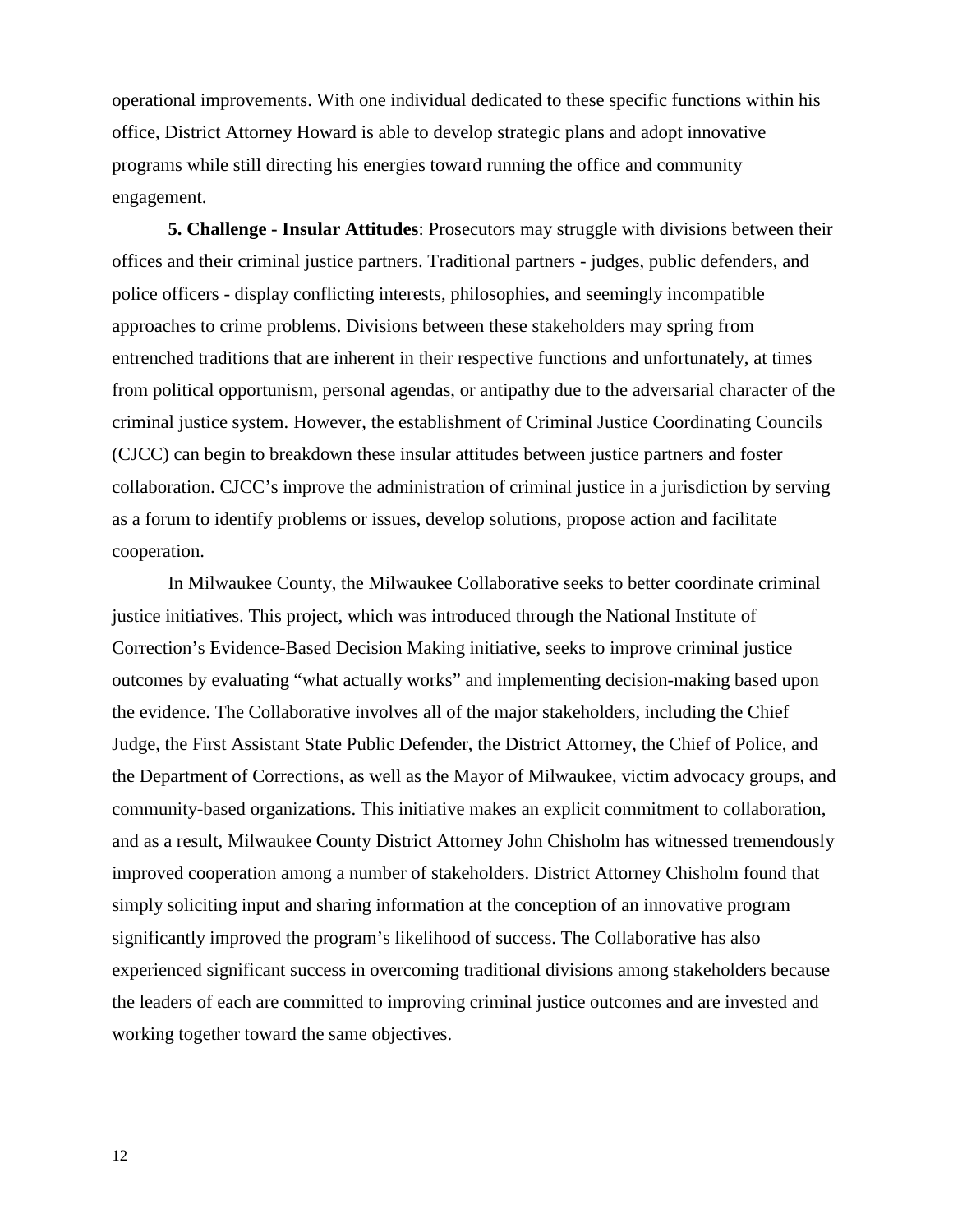operational improvements. With one individual dedicated to these specific functions within his office, District Attorney Howard is able to develop strategic plans and adopt innovative programs while still directing his energies toward running the office and community engagement.

**5. Challenge - Insular Attitudes**: Prosecutors may struggle with divisions between their offices and their criminal justice partners. Traditional partners - judges, public defenders, and police officers - display conflicting interests, philosophies, and seemingly incompatible approaches to crime problems. Divisions between these stakeholders may spring from entrenched traditions that are inherent in their respective functions and unfortunately, at times from political opportunism, personal agendas, or antipathy due to the adversarial character of the criminal justice system. However, the establishment of Criminal Justice Coordinating Councils (CJCC) can begin to breakdown these insular attitudes between justice partners and foster collaboration. CJCC's improve the administration of criminal justice in a jurisdiction by serving as a forum to identify problems or issues, develop solutions, propose action and facilitate cooperation.

In Milwaukee County, the Milwaukee Collaborative seeks to better coordinate criminal justice initiatives. This project, which was introduced through the National Institute of Correction's Evidence-Based Decision Making initiative, seeks to improve criminal justice outcomes by evaluating "what actually works" and implementing decision-making based upon the evidence. The Collaborative involves all of the major stakeholders, including the Chief Judge, the First Assistant State Public Defender, the District Attorney, the Chief of Police, and the Department of Corrections, as well as the Mayor of Milwaukee, victim advocacy groups, and community-based organizations. This initiative makes an explicit commitment to collaboration, and as a result, Milwaukee County District Attorney John Chisholm has witnessed tremendously improved cooperation among a number of stakeholders. District Attorney Chisholm found that simply soliciting input and sharing information at the conception of an innovative program significantly improved the program's likelihood of success. The Collaborative has also experienced significant success in overcoming traditional divisions among stakeholders because the leaders of each are committed to improving criminal justice outcomes and are invested and working together toward the same objectives.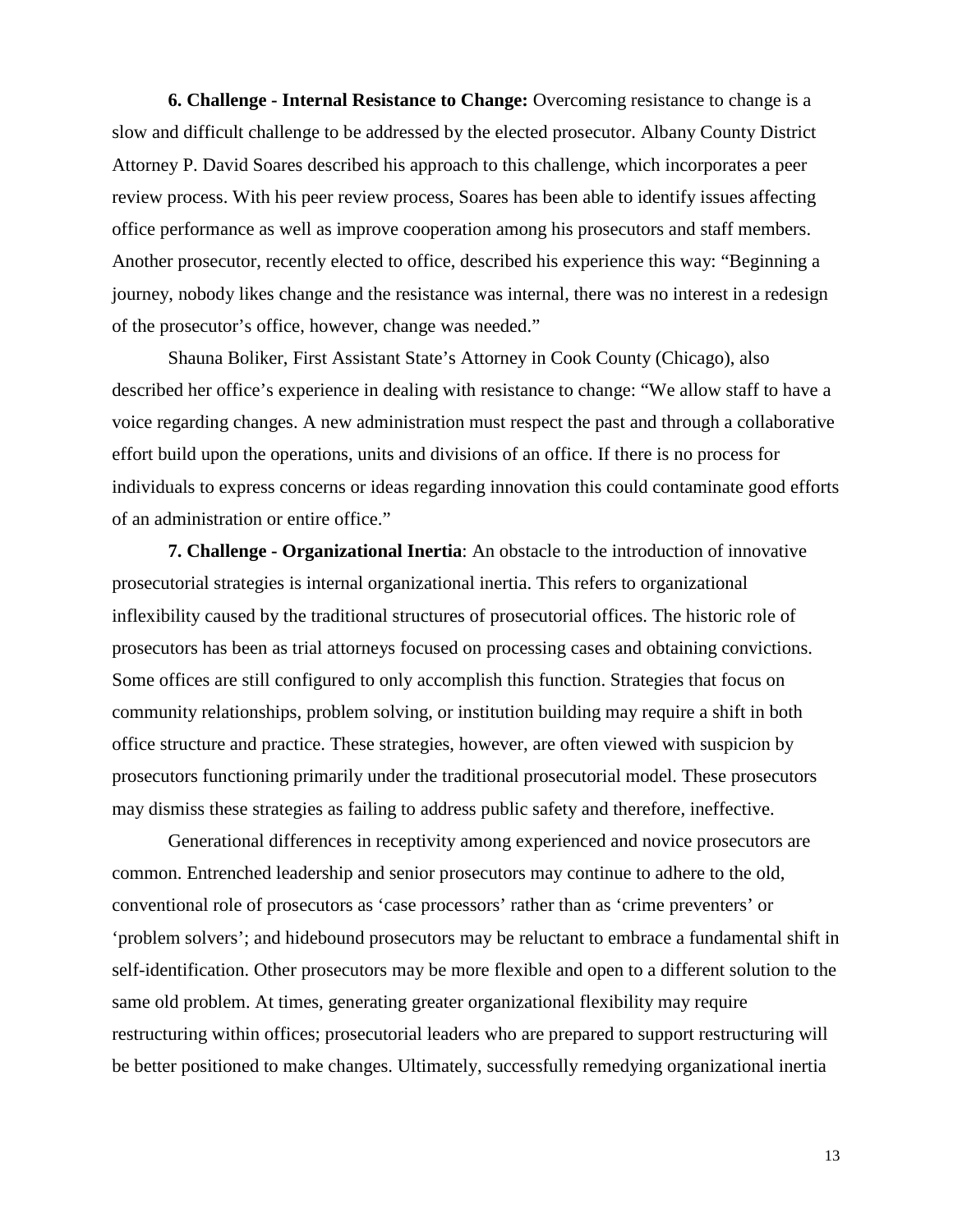**6. Challenge - Internal Resistance to Change:** Overcoming resistance to change is a slow and difficult challenge to be addressed by the elected prosecutor. Albany County District Attorney P. David Soares described his approach to this challenge, which incorporates a peer review process. With his peer review process, Soares has been able to identify issues affecting office performance as well as improve cooperation among his prosecutors and staff members. Another prosecutor, recently elected to office, described his experience this way: "Beginning a journey, nobody likes change and the resistance was internal, there was no interest in a redesign of the prosecutor's office, however, change was needed."

Shauna Boliker, First Assistant State's Attorney in Cook County (Chicago), also described her office's experience in dealing with resistance to change: "We allow staff to have a voice regarding changes. A new administration must respect the past and through a collaborative effort build upon the operations, units and divisions of an office. If there is no process for individuals to express concerns or ideas regarding innovation this could contaminate good efforts of an administration or entire office."

**7. Challenge - Organizational Inertia**: An obstacle to the introduction of innovative prosecutorial strategies is internal organizational inertia. This refers to organizational inflexibility caused by the traditional structures of prosecutorial offices. The historic role of prosecutors has been as trial attorneys focused on processing cases and obtaining convictions. Some offices are still configured to only accomplish this function. Strategies that focus on community relationships, problem solving, or institution building may require a shift in both office structure and practice. These strategies, however, are often viewed with suspicion by prosecutors functioning primarily under the traditional prosecutorial model. These prosecutors may dismiss these strategies as failing to address public safety and therefore, ineffective.

Generational differences in receptivity among experienced and novice prosecutors are common. Entrenched leadership and senior prosecutors may continue to adhere to the old, conventional role of prosecutors as 'case processors' rather than as 'crime preventers' or 'problem solvers'; and hidebound prosecutors may be reluctant to embrace a fundamental shift in self-identification. Other prosecutors may be more flexible and open to a different solution to the same old problem. At times, generating greater organizational flexibility may require restructuring within offices; prosecutorial leaders who are prepared to support restructuring will be better positioned to make changes. Ultimately, successfully remedying organizational inertia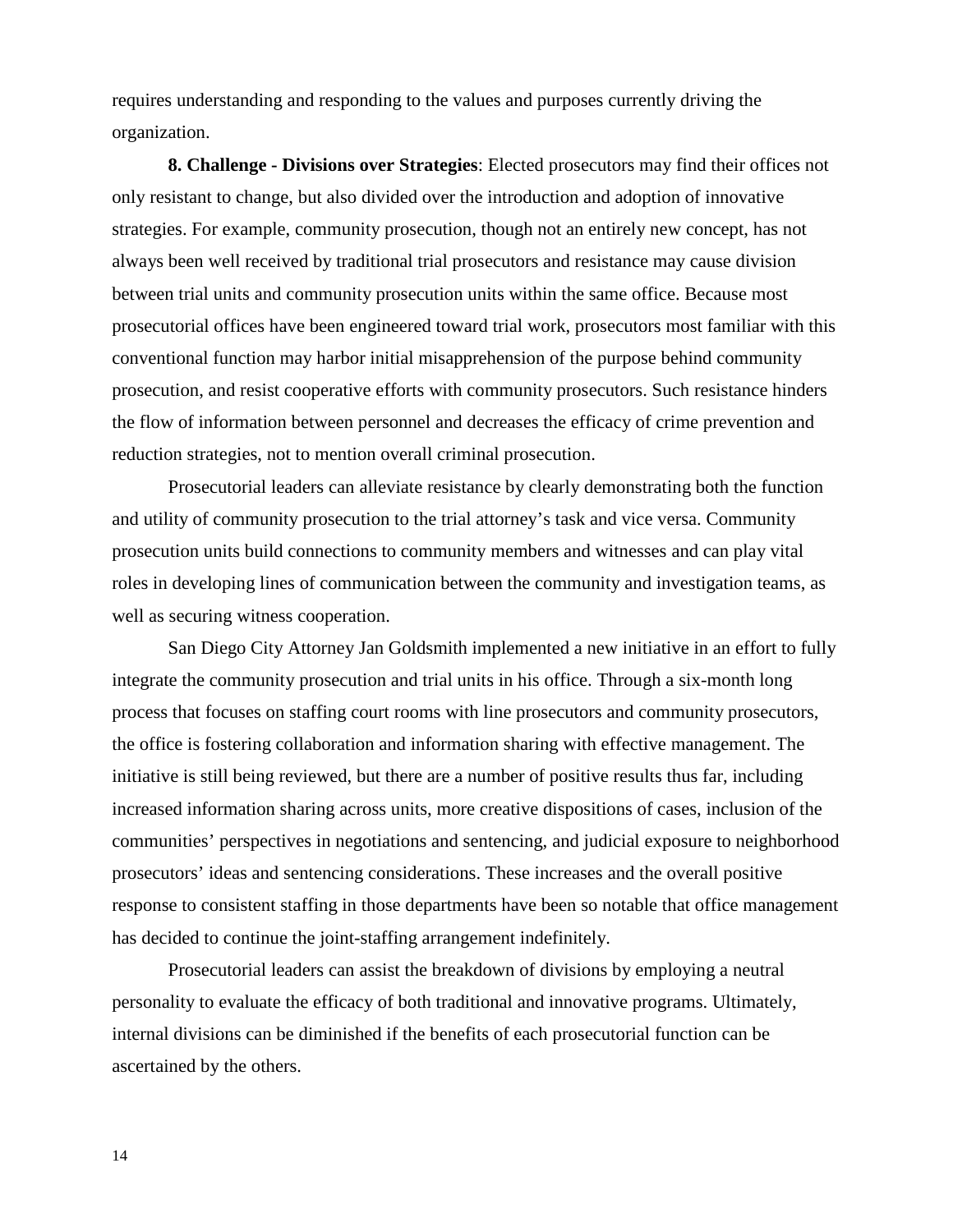requires understanding and responding to the values and purposes currently driving the organization.

**8. Challenge - Divisions over Strategies**: Elected prosecutors may find their offices not only resistant to change, but also divided over the introduction and adoption of innovative strategies. For example, community prosecution, though not an entirely new concept, has not always been well received by traditional trial prosecutors and resistance may cause division between trial units and community prosecution units within the same office. Because most prosecutorial offices have been engineered toward trial work, prosecutors most familiar with this conventional function may harbor initial misapprehension of the purpose behind community prosecution, and resist cooperative efforts with community prosecutors. Such resistance hinders the flow of information between personnel and decreases the efficacy of crime prevention and reduction strategies, not to mention overall criminal prosecution.

Prosecutorial leaders can alleviate resistance by clearly demonstrating both the function and utility of community prosecution to the trial attorney's task and vice versa. Community prosecution units build connections to community members and witnesses and can play vital roles in developing lines of communication between the community and investigation teams, as well as securing witness cooperation.

San Diego City Attorney Jan Goldsmith implemented a new initiative in an effort to fully integrate the community prosecution and trial units in his office. Through a six-month long process that focuses on staffing court rooms with line prosecutors and community prosecutors, the office is fostering collaboration and information sharing with effective management. The initiative is still being reviewed, but there are a number of positive results thus far, including increased information sharing across units, more creative dispositions of cases, inclusion of the communities' perspectives in negotiations and sentencing, and judicial exposure to neighborhood prosecutors' ideas and sentencing considerations. These increases and the overall positive response to consistent staffing in those departments have been so notable that office management has decided to continue the joint-staffing arrangement indefinitely.

Prosecutorial leaders can assist the breakdown of divisions by employing a neutral personality to evaluate the efficacy of both traditional and innovative programs. Ultimately, internal divisions can be diminished if the benefits of each prosecutorial function can be ascertained by the others.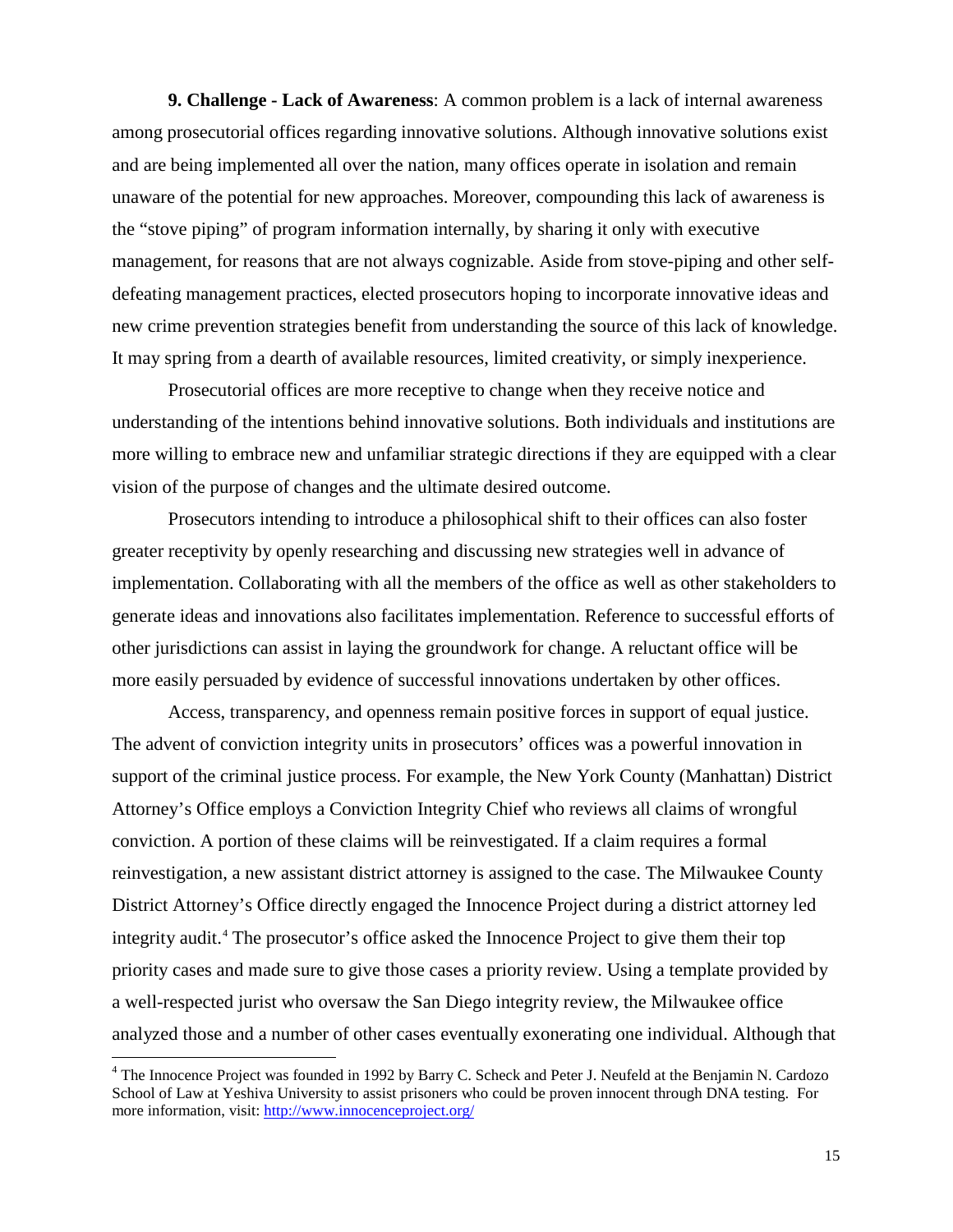**9. Challenge - Lack of Awareness**: A common problem is a lack of internal awareness among prosecutorial offices regarding innovative solutions. Although innovative solutions exist and are being implemented all over the nation, many offices operate in isolation and remain unaware of the potential for new approaches. Moreover, compounding this lack of awareness is the "stove piping" of program information internally, by sharing it only with executive management, for reasons that are not always cognizable. Aside from stove-piping and other selfdefeating management practices, elected prosecutors hoping to incorporate innovative ideas and new crime prevention strategies benefit from understanding the source of this lack of knowledge. It may spring from a dearth of available resources, limited creativity, or simply inexperience.

Prosecutorial offices are more receptive to change when they receive notice and understanding of the intentions behind innovative solutions. Both individuals and institutions are more willing to embrace new and unfamiliar strategic directions if they are equipped with a clear vision of the purpose of changes and the ultimate desired outcome.

Prosecutors intending to introduce a philosophical shift to their offices can also foster greater receptivity by openly researching and discussing new strategies well in advance of implementation. Collaborating with all the members of the office as well as other stakeholders to generate ideas and innovations also facilitates implementation. Reference to successful efforts of other jurisdictions can assist in laying the groundwork for change. A reluctant office will be more easily persuaded by evidence of successful innovations undertaken by other offices.

Access, transparency, and openness remain positive forces in support of equal justice. The advent of conviction integrity units in prosecutors' offices was a powerful innovation in support of the criminal justice process. For example, the New York County (Manhattan) District Attorney's Office employs a Conviction Integrity Chief who reviews all claims of wrongful conviction. A portion of these claims will be reinvestigated. If a claim requires a formal reinvestigation, a new assistant district attorney is assigned to the case. The Milwaukee County District Attorney's Office directly engaged the Innocence Project during a district attorney led integrity audit.<sup>[4](#page-18-0)</sup> The prosecutor's office asked the Innocence Project to give them their top priority cases and made sure to give those cases a priority review. Using a template provided by a well-respected jurist who oversaw the San Diego integrity review, the Milwaukee office analyzed those and a number of other cases eventually exonerating one individual. Although that

 $\overline{1}$ 

<span id="page-18-0"></span><sup>&</sup>lt;sup>4</sup> The Innocence Project was founded in 1992 by Barry C. Scheck and Peter J. Neufeld at the Benjamin N. Cardozo School of Law at Yeshiva University to assist prisoners who could be proven innocent through DNA testing. For more information, visit:<http://www.innocenceproject.org/>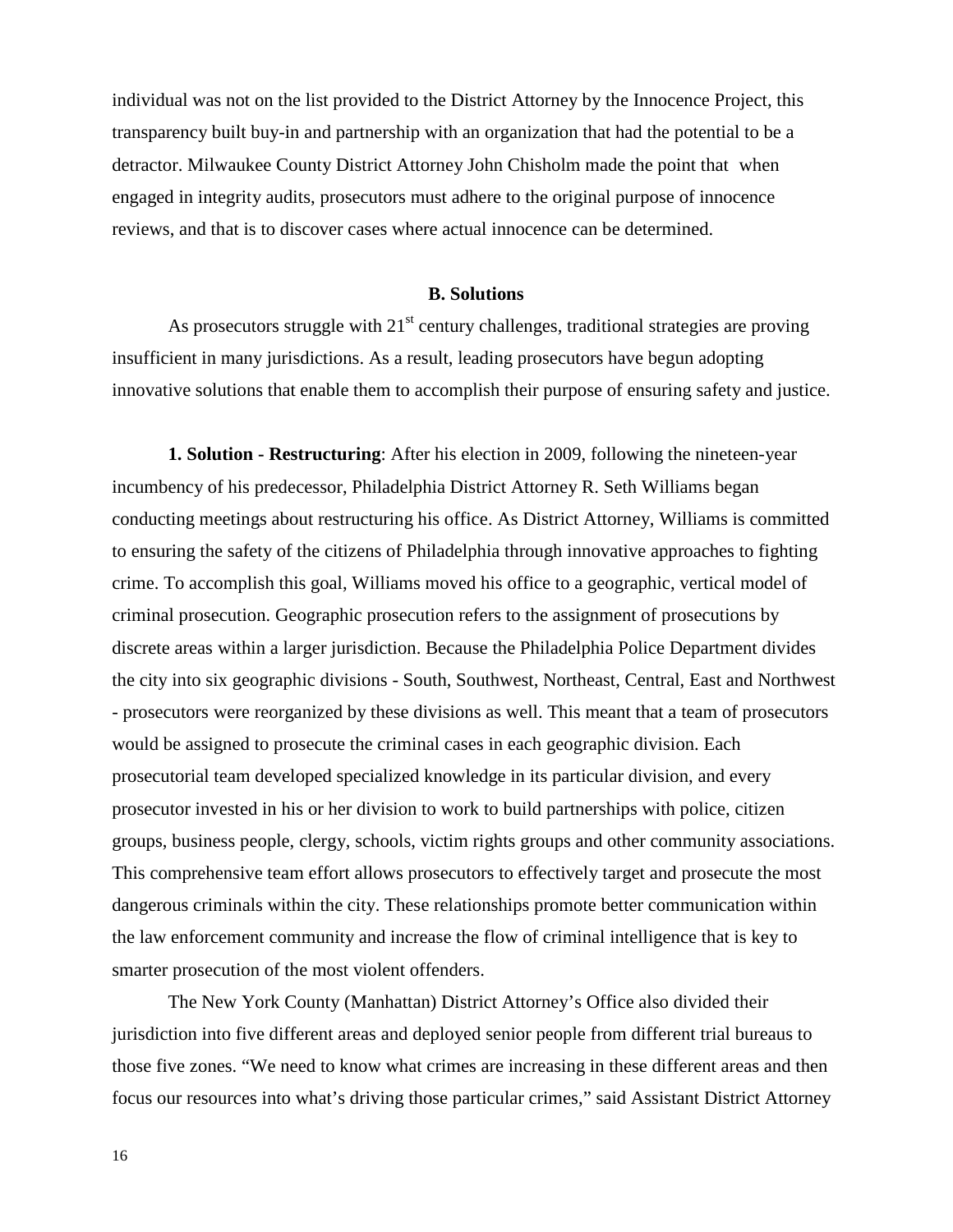individual was not on the list provided to the District Attorney by the Innocence Project, this transparency built buy-in and partnership with an organization that had the potential to be a detractor. Milwaukee County District Attorney John Chisholm made the point that when engaged in integrity audits, prosecutors must adhere to the original purpose of innocence reviews, and that is to discover cases where actual innocence can be determined.

#### **B. Solutions**

As prosecutors struggle with  $21<sup>st</sup>$  century challenges, traditional strategies are proving insufficient in many jurisdictions. As a result, leading prosecutors have begun adopting innovative solutions that enable them to accomplish their purpose of ensuring safety and justice.

**1. Solution - Restructuring**: After his election in 2009, following the nineteen-year incumbency of his predecessor, Philadelphia District Attorney R. Seth Williams began conducting meetings about restructuring his office. As District Attorney, Williams is committed to ensuring the safety of the citizens of Philadelphia through innovative approaches to fighting crime. To accomplish this goal, Williams moved his office to a geographic, vertical model of criminal prosecution. Geographic prosecution refers to the assignment of prosecutions by discrete areas within a larger jurisdiction. Because the Philadelphia Police Department divides the city into six geographic divisions - South, Southwest, Northeast, Central, East and Northwest - prosecutors were reorganized by these divisions as well. This meant that a team of prosecutors would be assigned to prosecute the criminal cases in each geographic division. Each prosecutorial team developed specialized knowledge in its particular division, and every prosecutor invested in his or her division to work to build partnerships with police, citizen groups, business people, clergy, schools, victim rights groups and other community associations. This comprehensive team effort allows prosecutors to effectively target and prosecute the most dangerous criminals within the city. These relationships promote better communication within the law enforcement community and increase the flow of criminal intelligence that is key to smarter prosecution of the most violent offenders.

The New York County (Manhattan) District Attorney's Office also divided their jurisdiction into five different areas and deployed senior people from different trial bureaus to those five zones. "We need to know what crimes are increasing in these different areas and then focus our resources into what's driving those particular crimes," said Assistant District Attorney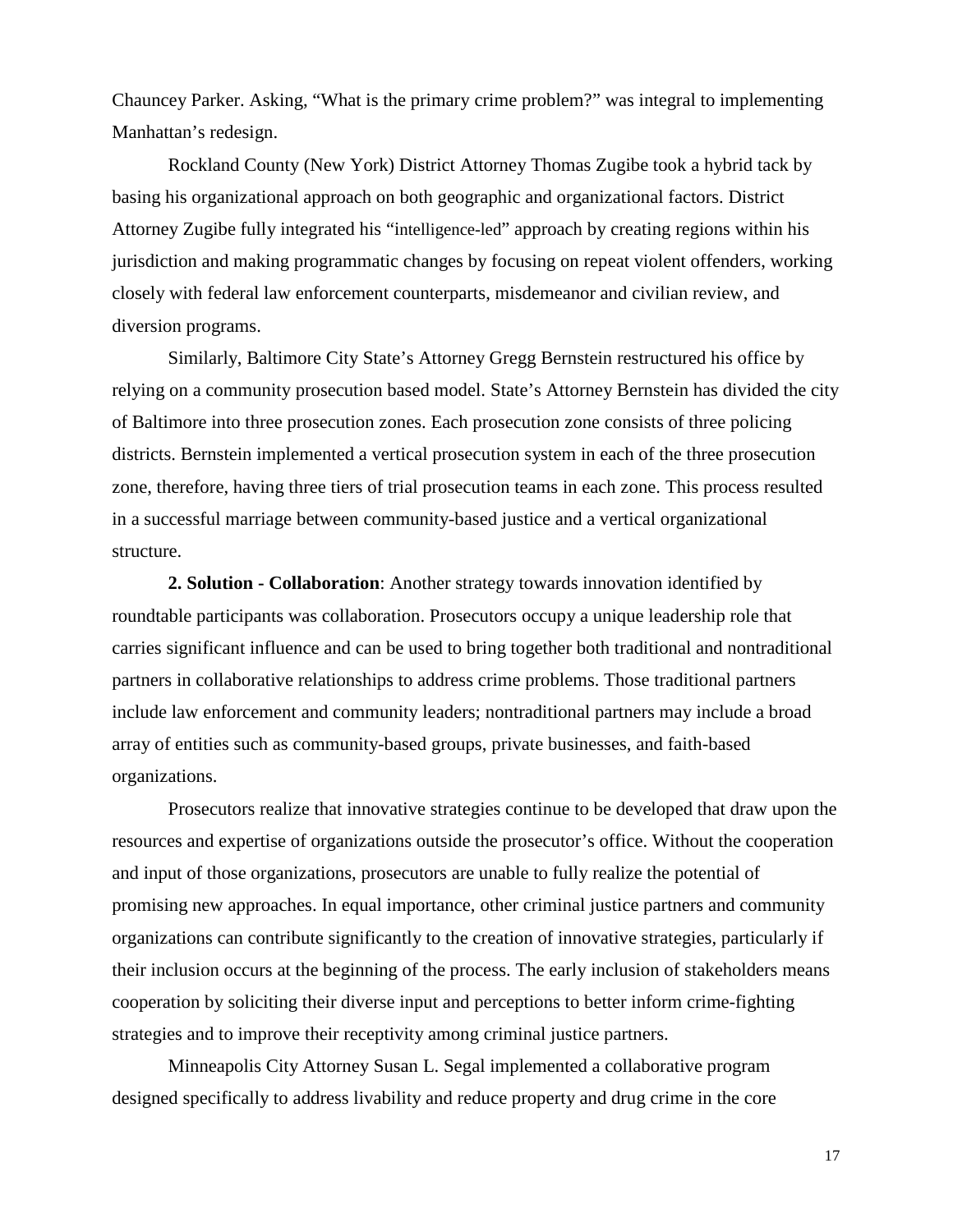Chauncey Parker. Asking, "What is the primary crime problem?" was integral to implementing Manhattan's redesign.

Rockland County (New York) District Attorney Thomas Zugibe took a hybrid tack by basing his organizational approach on both geographic and organizational factors. District Attorney Zugibe fully integrated his "intelligence-led" approach by creating regions within his jurisdiction and making programmatic changes by focusing on repeat violent offenders, working closely with federal law enforcement counterparts, misdemeanor and civilian review, and diversion programs.

Similarly, Baltimore City State's Attorney Gregg Bernstein restructured his office by relying on a community prosecution based model. State's Attorney Bernstein has divided the city of Baltimore into three prosecution zones. Each prosecution zone consists of three policing districts. Bernstein implemented a vertical prosecution system in each of the three prosecution zone, therefore, having three tiers of trial prosecution teams in each zone. This process resulted in a successful marriage between community-based justice and a vertical organizational structure.

**2. Solution - Collaboration**: Another strategy towards innovation identified by roundtable participants was collaboration. Prosecutors occupy a unique leadership role that carries significant influence and can be used to bring together both traditional and nontraditional partners in collaborative relationships to address crime problems. Those traditional partners include law enforcement and community leaders; nontraditional partners may include a broad array of entities such as community-based groups, private businesses, and faith-based organizations.

Prosecutors realize that innovative strategies continue to be developed that draw upon the resources and expertise of organizations outside the prosecutor's office. Without the cooperation and input of those organizations, prosecutors are unable to fully realize the potential of promising new approaches. In equal importance, other criminal justice partners and community organizations can contribute significantly to the creation of innovative strategies, particularly if their inclusion occurs at the beginning of the process. The early inclusion of stakeholders means cooperation by soliciting their diverse input and perceptions to better inform crime-fighting strategies and to improve their receptivity among criminal justice partners.

Minneapolis City Attorney Susan L. Segal implemented a collaborative program designed specifically to address livability and reduce property and drug crime in the core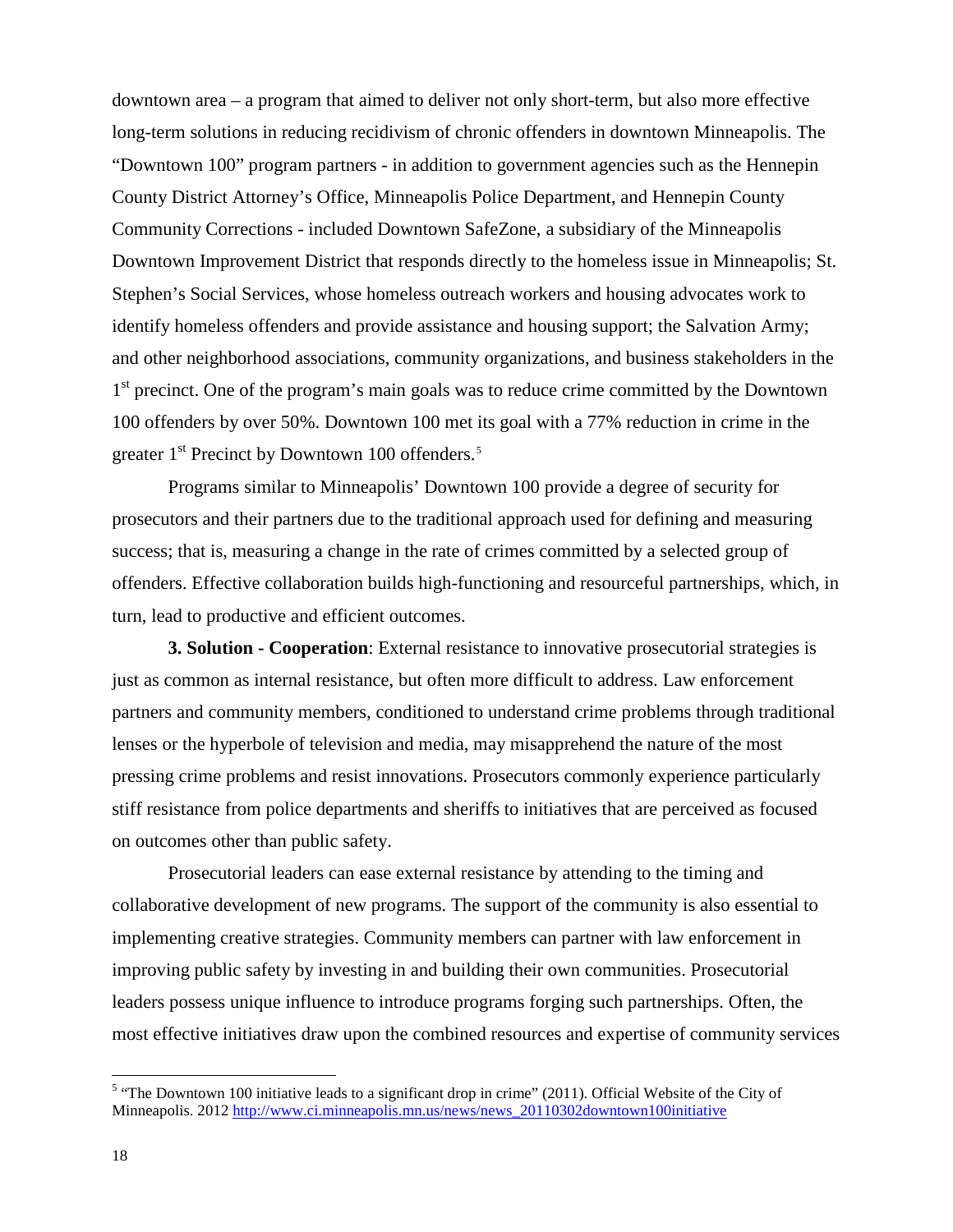downtown area – a program that aimed to deliver not only short-term, but also more effective long-term solutions in reducing recidivism of chronic offenders in downtown Minneapolis. The "Downtown 100" program partners - in addition to government agencies such as the Hennepin County District Attorney's Office, Minneapolis Police Department, and Hennepin County Community Corrections - included Downtown SafeZone, a subsidiary of the Minneapolis Downtown Improvement District that responds directly to the homeless issue in Minneapolis; St. Stephen's Social Services, whose homeless outreach workers and housing advocates work to identify homeless offenders and provide assistance and housing support; the Salvation Army; and other neighborhood associations, community organizations, and business stakeholders in the 1<sup>st</sup> precinct. One of the program's main goals was to reduce crime committed by the Downtown 100 offenders by over 50%. Downtown 100 met its goal with a 77% reduction in crime in the greater 1<sup>st</sup> Precinct by Downtown 100 offenders.<sup>[5](#page-21-0)</sup>

Programs similar to Minneapolis' Downtown 100 provide a degree of security for prosecutors and their partners due to the traditional approach used for defining and measuring success; that is, measuring a change in the rate of crimes committed by a selected group of offenders. Effective collaboration builds high-functioning and resourceful partnerships, which, in turn, lead to productive and efficient outcomes.

**3. Solution - Cooperation**: External resistance to innovative prosecutorial strategies is just as common as internal resistance, but often more difficult to address. Law enforcement partners and community members, conditioned to understand crime problems through traditional lenses or the hyperbole of television and media, may misapprehend the nature of the most pressing crime problems and resist innovations. Prosecutors commonly experience particularly stiff resistance from police departments and sheriffs to initiatives that are perceived as focused on outcomes other than public safety.

Prosecutorial leaders can ease external resistance by attending to the timing and collaborative development of new programs. The support of the community is also essential to implementing creative strategies. Community members can partner with law enforcement in improving public safety by investing in and building their own communities. Prosecutorial leaders possess unique influence to introduce programs forging such partnerships. Often, the most effective initiatives draw upon the combined resources and expertise of community services

<span id="page-21-0"></span> $\overline{a}$  $<sup>5</sup>$  "The Downtown 100 initiative leads to a significant drop in crime" (2011). Official Website of the City of</sup> Minneapolis. 2012 [http://www.ci.minneapolis.mn.us/news/news\\_20110302downtown100initiative](http://www.ci.minneapolis.mn.us/news/news_20110302downtown100initiative)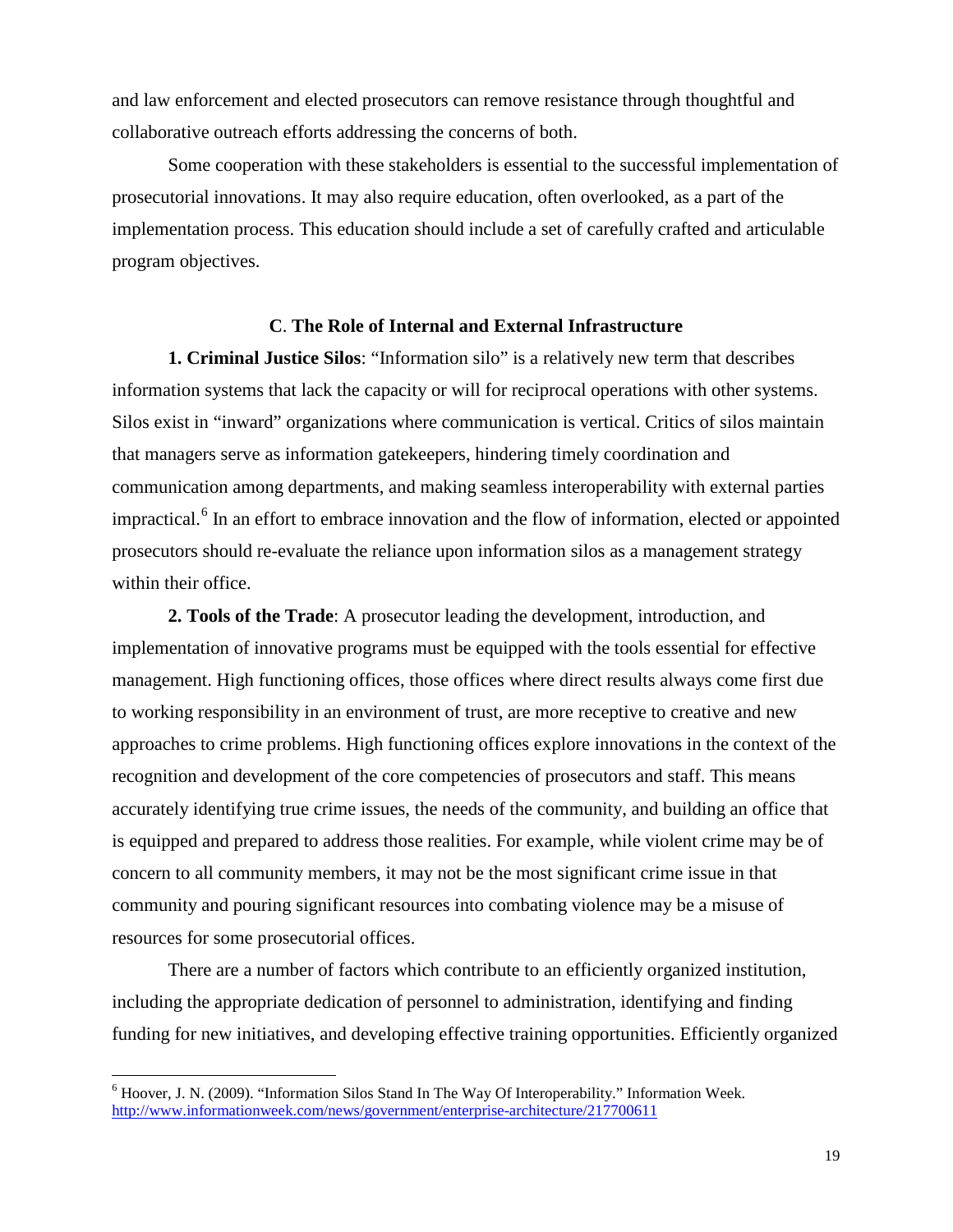and law enforcement and elected prosecutors can remove resistance through thoughtful and collaborative outreach efforts addressing the concerns of both.

Some cooperation with these stakeholders is essential to the successful implementation of prosecutorial innovations. It may also require education, often overlooked, as a part of the implementation process. This education should include a set of carefully crafted and articulable program objectives.

#### **C**. **The Role of Internal and External Infrastructure**

**1. Criminal Justice Silos**: "Information silo" is a relatively new term that describes information systems that lack the capacity or will for reciprocal operations with other systems. Silos exist in "inward" organizations where communication is vertical. Critics of silos maintain that managers serve as information gatekeepers, hindering timely coordination and communication among departments, and making seamless interoperability with external parties impractical.<sup>[6](#page-22-0)</sup> In an effort to embrace innovation and the flow of information, elected or appointed prosecutors should re-evaluate the reliance upon information silos as a management strategy within their office.

**2. Tools of the Trade**: A prosecutor leading the development, introduction, and implementation of innovative programs must be equipped with the tools essential for effective management. High functioning offices, those offices where direct results always come first due to working responsibility in an environment of trust, are more receptive to creative and new approaches to crime problems. High functioning offices explore innovations in the context of the recognition and development of the core competencies of prosecutors and staff. This means accurately identifying true crime issues, the needs of the community, and building an office that is equipped and prepared to address those realities. For example, while violent crime may be of concern to all community members, it may not be the most significant crime issue in that community and pouring significant resources into combating violence may be a misuse of resources for some prosecutorial offices.

There are a number of factors which contribute to an efficiently organized institution, including the appropriate dedication of personnel to administration, identifying and finding funding for new initiatives, and developing effective training opportunities. Efficiently organized

<span id="page-22-0"></span> $\overline{\phantom{a}}$  $6$  Hoover, J. N. (2009). "Information Silos Stand In The Way Of Interoperability." Information Week. <http://www.informationweek.com/news/government/enterprise-architecture/217700611>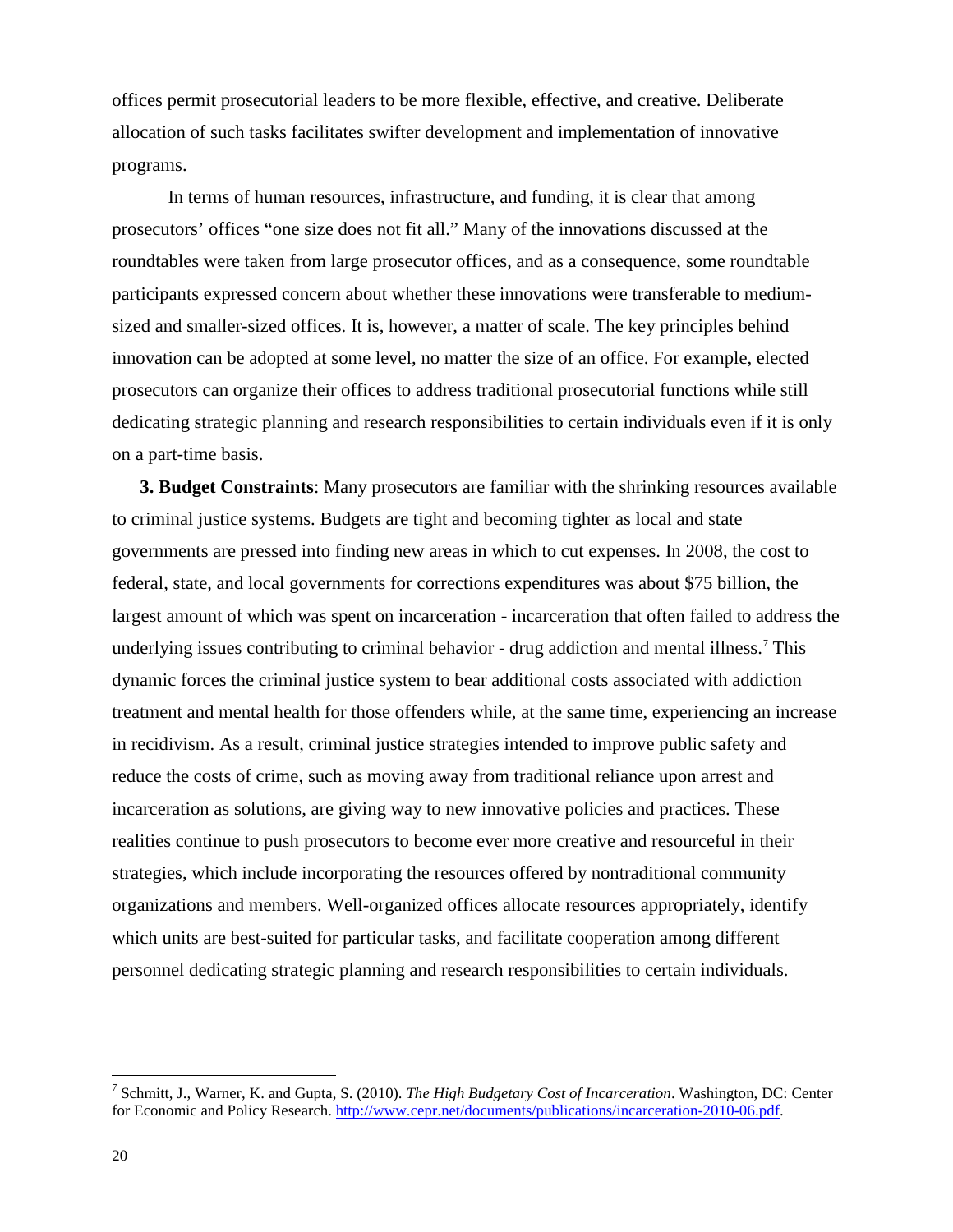offices permit prosecutorial leaders to be more flexible, effective, and creative. Deliberate allocation of such tasks facilitates swifter development and implementation of innovative programs.

In terms of human resources, infrastructure, and funding, it is clear that among prosecutors' offices "one size does not fit all." Many of the innovations discussed at the roundtables were taken from large prosecutor offices, and as a consequence, some roundtable participants expressed concern about whether these innovations were transferable to mediumsized and smaller-sized offices. It is, however, a matter of scale. The key principles behind innovation can be adopted at some level, no matter the size of an office. For example, elected prosecutors can organize their offices to address traditional prosecutorial functions while still dedicating strategic planning and research responsibilities to certain individuals even if it is only on a part-time basis.

**3. Budget Constraints**: Many prosecutors are familiar with the shrinking resources available to criminal justice systems. Budgets are tight and becoming tighter as local and state governments are pressed into finding new areas in which to cut expenses. In 2008, the cost to federal, state, and local governments for corrections expenditures was about \$75 billion, the largest amount of which was spent on incarceration - incarceration that often failed to address the underlying issues contributing to criminal behavior - drug addiction and mental illness.<sup>[7](#page-23-0)</sup> This dynamic forces the criminal justice system to bear additional costs associated with addiction treatment and mental health for those offenders while, at the same time, experiencing an increase in recidivism. As a result, criminal justice strategies intended to improve public safety and reduce the costs of crime, such as moving away from traditional reliance upon arrest and incarceration as solutions, are giving way to new innovative policies and practices. These realities continue to push prosecutors to become ever more creative and resourceful in their strategies, which include incorporating the resources offered by nontraditional community organizations and members. Well-organized offices allocate resources appropriately, identify which units are best-suited for particular tasks, and facilitate cooperation among different personnel dedicating strategic planning and research responsibilities to certain individuals.

<span id="page-23-0"></span> $\overline{a}$ <sup>7</sup> Schmitt, J., Warner, K. and Gupta, S. (2010). *The High Budgetary Cost of Incarceration*. Washington, DC: Center for Economic and Policy Research. [http://www.cepr.net/documents/publications/incarceration-2010-06.pdf.](http://www.cepr.net/documents/publications/incarceration-2010-06.pdf)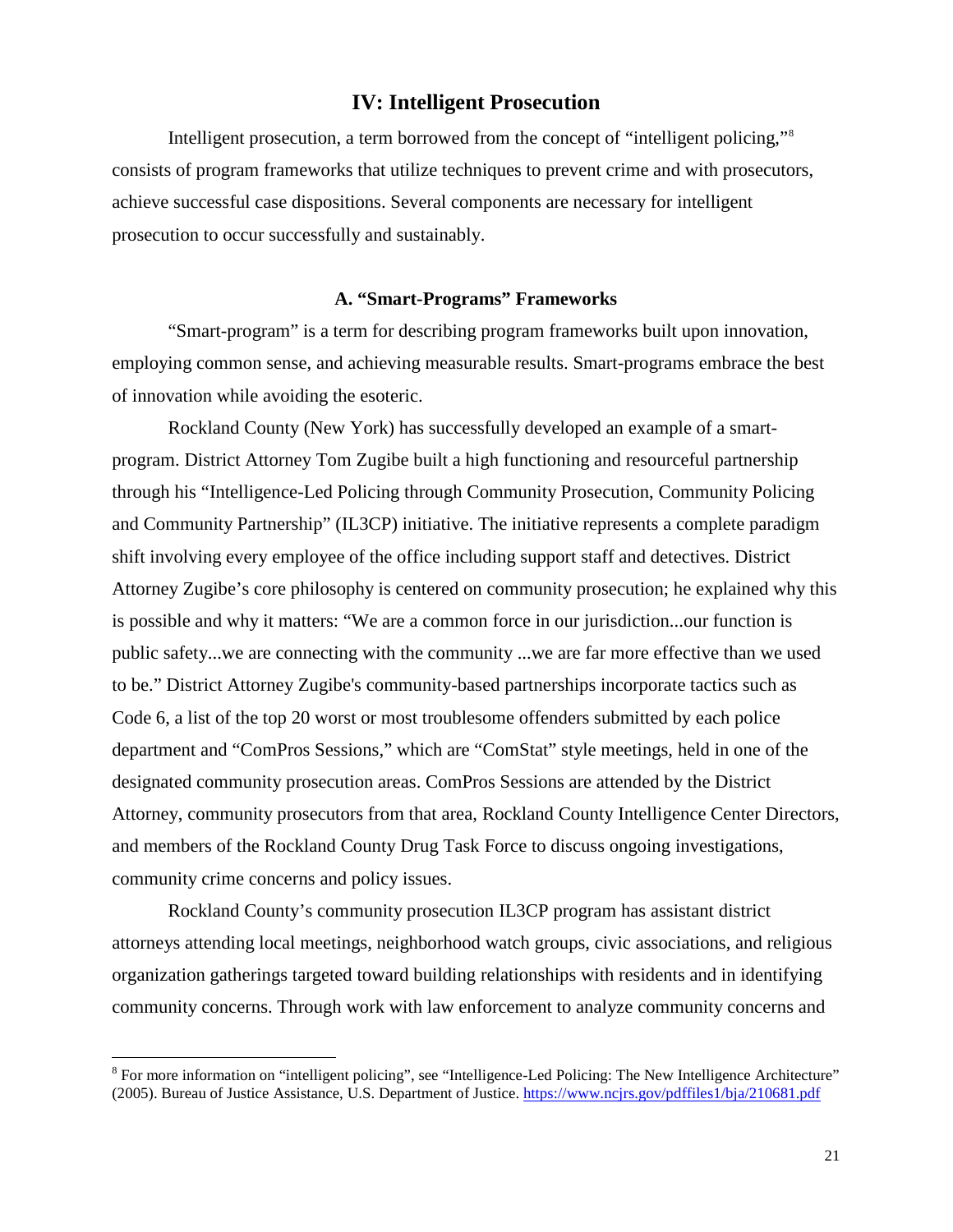#### **IV: Intelligent Prosecution**

Intelligent prosecution, a term borrowed from the concept of "intelligent policing,"[8](#page-24-0) consists of program frameworks that utilize techniques to prevent crime and with prosecutors, achieve successful case dispositions. Several components are necessary for intelligent prosecution to occur successfully and sustainably.

#### **A. "Smart-Programs" Frameworks**

"Smart-program" is a term for describing program frameworks built upon innovation, employing common sense, and achieving measurable results. Smart-programs embrace the best of innovation while avoiding the esoteric.

Rockland County (New York) has successfully developed an example of a smartprogram. District Attorney Tom Zugibe built a high functioning and resourceful partnership through his "Intelligence-Led Policing through Community Prosecution, Community Policing and Community Partnership" (IL3CP) initiative. The initiative represents a complete paradigm shift involving every employee of the office including support staff and detectives. District Attorney Zugibe's core philosophy is centered on community prosecution; he explained why this is possible and why it matters: "We are a common force in our jurisdiction...our function is public safety...we are connecting with the community ...we are far more effective than we used to be." District Attorney Zugibe's community-based partnerships incorporate tactics such as Code 6, a list of the top 20 worst or most troublesome offenders submitted by each police department and "ComPros Sessions," which are "ComStat" style meetings, held in one of the designated community prosecution areas. ComPros Sessions are attended by the District Attorney, community prosecutors from that area, Rockland County Intelligence Center Directors, and members of the Rockland County Drug Task Force to discuss ongoing investigations, community crime concerns and policy issues.

Rockland County's community prosecution IL3CP program has assistant district attorneys attending local meetings, neighborhood watch groups, civic associations, and religious organization gatherings targeted toward building relationships with residents and in identifying community concerns. Through work with law enforcement to analyze community concerns and

<span id="page-24-0"></span> $\overline{a}$  $8$  For more information on "intelligent policing", see "Intelligence-Led Policing: The New Intelligence Architecture" (2005). Bureau of Justice Assistance, U.S. Department of Justice.<https://www.ncjrs.gov/pdffiles1/bja/210681.pdf>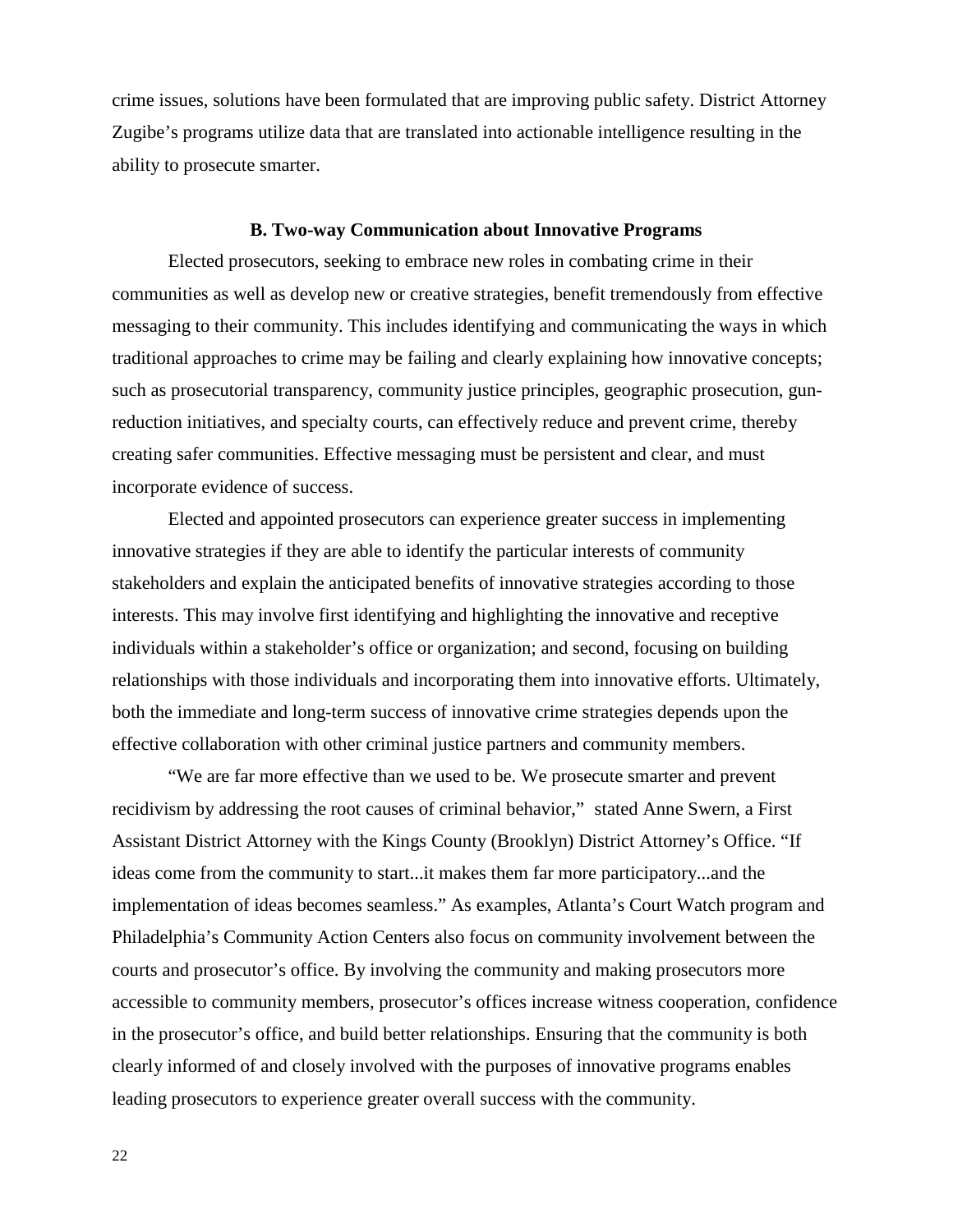crime issues, solutions have been formulated that are improving public safety. District Attorney Zugibe's programs utilize data that are translated into actionable intelligence resulting in the ability to prosecute smarter.

#### **B. Two-way Communication about Innovative Programs**

Elected prosecutors, seeking to embrace new roles in combating crime in their communities as well as develop new or creative strategies, benefit tremendously from effective messaging to their community. This includes identifying and communicating the ways in which traditional approaches to crime may be failing and clearly explaining how innovative concepts; such as prosecutorial transparency, community justice principles, geographic prosecution, gunreduction initiatives, and specialty courts, can effectively reduce and prevent crime, thereby creating safer communities. Effective messaging must be persistent and clear, and must incorporate evidence of success.

Elected and appointed prosecutors can experience greater success in implementing innovative strategies if they are able to identify the particular interests of community stakeholders and explain the anticipated benefits of innovative strategies according to those interests. This may involve first identifying and highlighting the innovative and receptive individuals within a stakeholder's office or organization; and second, focusing on building relationships with those individuals and incorporating them into innovative efforts. Ultimately, both the immediate and long-term success of innovative crime strategies depends upon the effective collaboration with other criminal justice partners and community members.

"We are far more effective than we used to be. We prosecute smarter and prevent recidivism by addressing the root causes of criminal behavior," stated Anne Swern, a First Assistant District Attorney with the Kings County (Brooklyn) District Attorney's Office. "If ideas come from the community to start...it makes them far more participatory...and the implementation of ideas becomes seamless." As examples, Atlanta's Court Watch program and Philadelphia's Community Action Centers also focus on community involvement between the courts and prosecutor's office. By involving the community and making prosecutors more accessible to community members, prosecutor's offices increase witness cooperation, confidence in the prosecutor's office, and build better relationships. Ensuring that the community is both clearly informed of and closely involved with the purposes of innovative programs enables leading prosecutors to experience greater overall success with the community.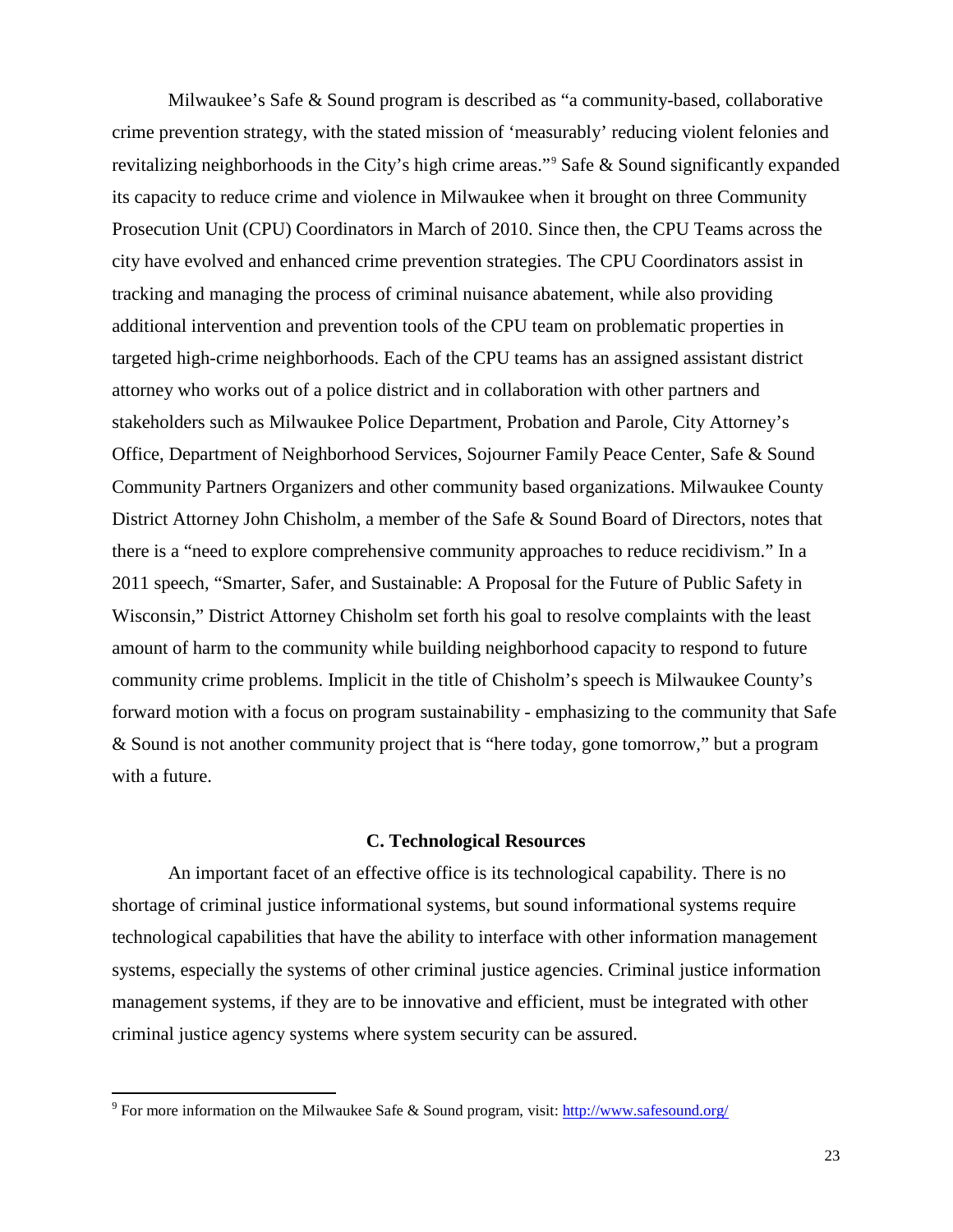Milwaukee's Safe & Sound program is described as "a community-based, collaborative crime prevention strategy, with the stated mission of 'measurably' reducing violent felonies and revitalizing neighborhoods in the City's high crime areas."[9](#page-26-0) Safe & Sound significantly expanded its capacity to reduce crime and violence in Milwaukee when it brought on three Community Prosecution Unit (CPU) Coordinators in March of 2010. Since then, the CPU Teams across the city have evolved and enhanced crime prevention strategies. The CPU Coordinators assist in tracking and managing the process of criminal nuisance abatement, while also providing additional intervention and prevention tools of the CPU team on problematic properties in targeted high-crime neighborhoods. Each of the CPU teams has an assigned assistant district attorney who works out of a police district and in collaboration with other partners and stakeholders such as Milwaukee Police Department, Probation and Parole, City Attorney's Office, Department of Neighborhood Services, Sojourner Family Peace Center, Safe & Sound Community Partners Organizers and other community based organizations. Milwaukee County District Attorney John Chisholm, a member of the Safe & Sound Board of Directors, notes that there is a "need to explore comprehensive community approaches to reduce recidivism." In a 2011 speech, "Smarter, Safer, and Sustainable: A Proposal for the Future of Public Safety in Wisconsin," District Attorney Chisholm set forth his goal to resolve complaints with the least amount of harm to the community while building neighborhood capacity to respond to future community crime problems. Implicit in the title of Chisholm's speech is Milwaukee County's forward motion with a focus on program sustainability - emphasizing to the community that Safe & Sound is not another community project that is "here today, gone tomorrow," but a program with a future.

#### **C. Technological Resources**

An important facet of an effective office is its technological capability. There is no shortage of criminal justice informational systems, but sound informational systems require technological capabilities that have the ability to interface with other information management systems, especially the systems of other criminal justice agencies. Criminal justice information management systems, if they are to be innovative and efficient, must be integrated with other criminal justice agency systems where system security can be assured.

 $\overline{a}$ 

<span id="page-26-0"></span><sup>&</sup>lt;sup>9</sup> For more information on the Milwaukee Safe & Sound program, visit[: http://www.safesound.org/](http://www.safesound.org/about-us/history/)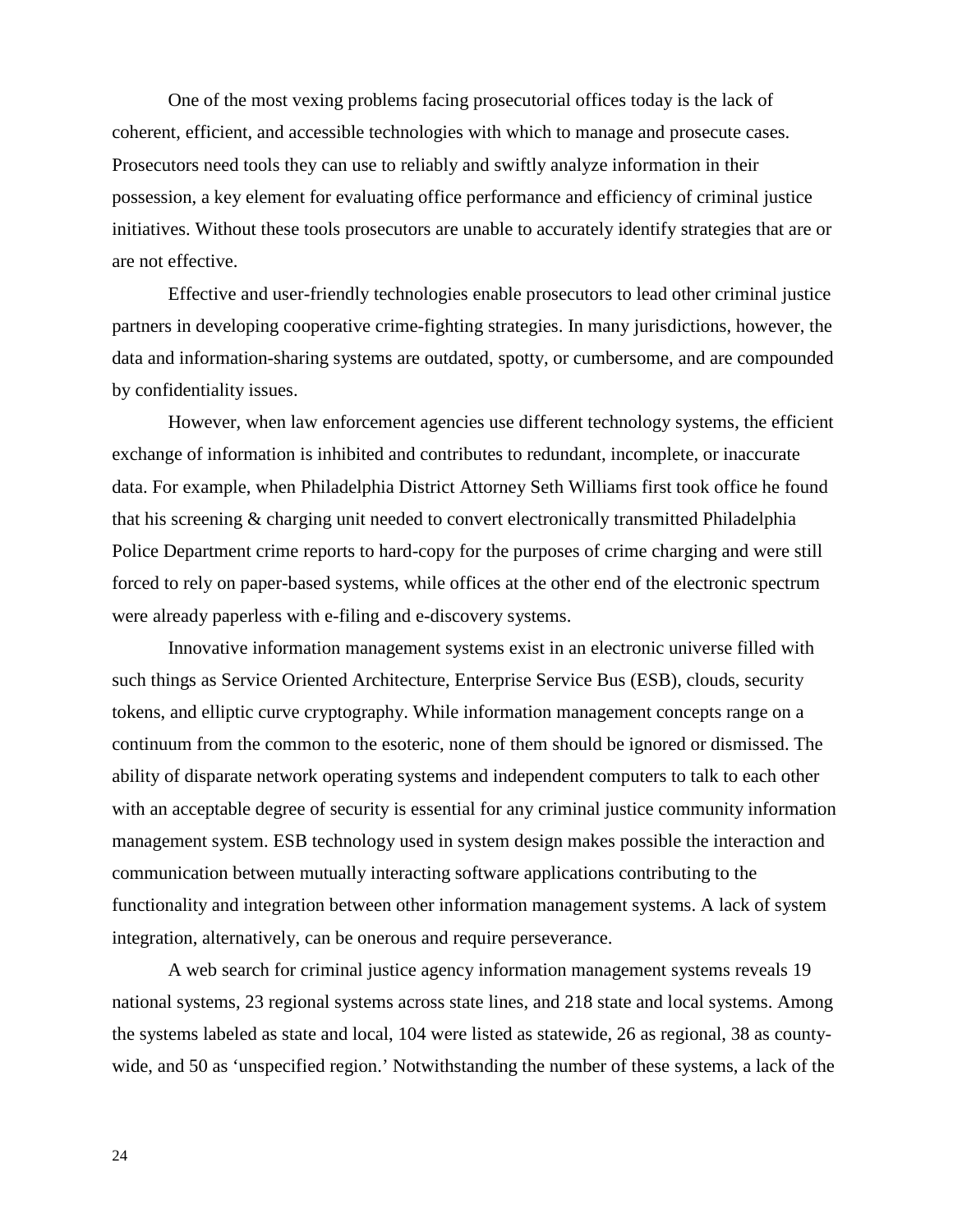One of the most vexing problems facing prosecutorial offices today is the lack of coherent, efficient, and accessible technologies with which to manage and prosecute cases. Prosecutors need tools they can use to reliably and swiftly analyze information in their possession, a key element for evaluating office performance and efficiency of criminal justice initiatives. Without these tools prosecutors are unable to accurately identify strategies that are or are not effective.

Effective and user-friendly technologies enable prosecutors to lead other criminal justice partners in developing cooperative crime-fighting strategies. In many jurisdictions, however, the data and information-sharing systems are outdated, spotty, or cumbersome, and are compounded by confidentiality issues.

However, when law enforcement agencies use different technology systems, the efficient exchange of information is inhibited and contributes to redundant, incomplete, or inaccurate data. For example, when Philadelphia District Attorney Seth Williams first took office he found that his screening & charging unit needed to convert electronically transmitted Philadelphia Police Department crime reports to hard-copy for the purposes of crime charging and were still forced to rely on paper-based systems, while offices at the other end of the electronic spectrum were already paperless with e-filing and e-discovery systems.

Innovative information management systems exist in an electronic universe filled with such things as Service Oriented Architecture, Enterprise Service Bus (ESB), clouds, security tokens, and elliptic curve cryptography. While information management concepts range on a continuum from the common to the esoteric, none of them should be ignored or dismissed. The ability of disparate network operating systems and independent computers to talk to each other with an acceptable degree of security is essential for any criminal justice community information management system. ESB technology used in system design makes possible the interaction and communication between mutually interacting software applications contributing to the functionality and integration between other information management systems. A lack of system integration, alternatively, can be onerous and require perseverance.

A web search for criminal justice agency information management systems reveals 19 national systems, 23 regional systems across state lines, and 218 state and local systems. Among the systems labeled as state and local, 104 were listed as statewide, 26 as regional, 38 as countywide, and 50 as 'unspecified region.' Notwithstanding the number of these systems, a lack of the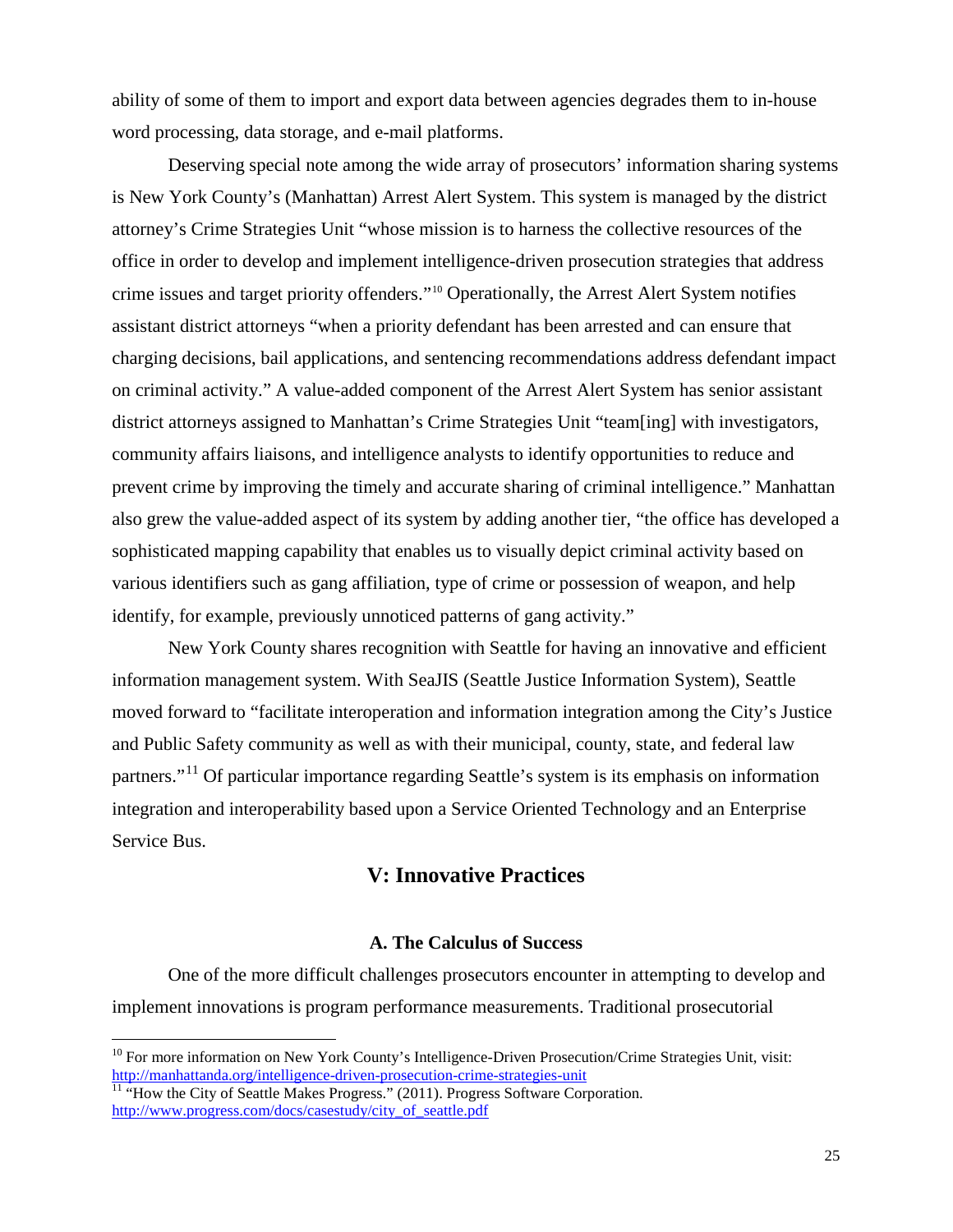ability of some of them to import and export data between agencies degrades them to in-house word processing, data storage, and e-mail platforms.

Deserving special note among the wide array of prosecutors' information sharing systems is New York County's (Manhattan) Arrest Alert System. This system is managed by the district attorney's Crime Strategies Unit "whose mission is to harness the collective resources of the office in order to develop and implement intelligence-driven prosecution strategies that address crime issues and target priority offenders."[10](#page-28-0) Operationally, the Arrest Alert System notifies assistant district attorneys "when a priority defendant has been arrested and can ensure that charging decisions, bail applications, and sentencing recommendations address defendant impact on criminal activity." A value-added component of the Arrest Alert System has senior assistant district attorneys assigned to Manhattan's Crime Strategies Unit "team[ing] with investigators, community affairs liaisons, and intelligence analysts to identify opportunities to reduce and prevent crime by improving the timely and accurate sharing of criminal intelligence." Manhattan also grew the value-added aspect of its system by adding another tier, "the office has developed a sophisticated mapping capability that enables us to visually depict criminal activity based on various identifiers such as gang affiliation, type of crime or possession of weapon, and help identify, for example, previously unnoticed patterns of gang activity."

New York County shares recognition with Seattle for having an innovative and efficient information management system. With SeaJIS (Seattle Justice Information System), Seattle moved forward to "facilitate interoperation and information integration among the City's Justice and Public Safety community as well as with their municipal, county, state, and federal law partners."<sup>[11](#page-28-1)</sup> Of particular importance regarding Seattle's system is its emphasis on information integration and interoperability based upon a Service Oriented Technology and an Enterprise Service Bus.

### **V: Innovative Practices**

#### **A. The Calculus of Success**

One of the more difficult challenges prosecutors encounter in attempting to develop and implement innovations is program performance measurements. Traditional prosecutorial

 $\frac{1}{10}$ 

<span id="page-28-0"></span><sup>&</sup>lt;sup>10</sup> For more information on New York County's Intelligence-Driven Prosecution/Crime Strategies Unit, visit: <http://manhattanda.org/intelligence-driven-prosecution-crime-strategies-unit><br><sup>11</sup> "How the City of Seattle Makes Progress." (2011). Progress Software Corporation.

<span id="page-28-1"></span>[http://www.progress.com/docs/casestudy/city\\_of\\_seattle.pdf](http://www.progress.com/docs/casestudy/city_of_seattle.pdf)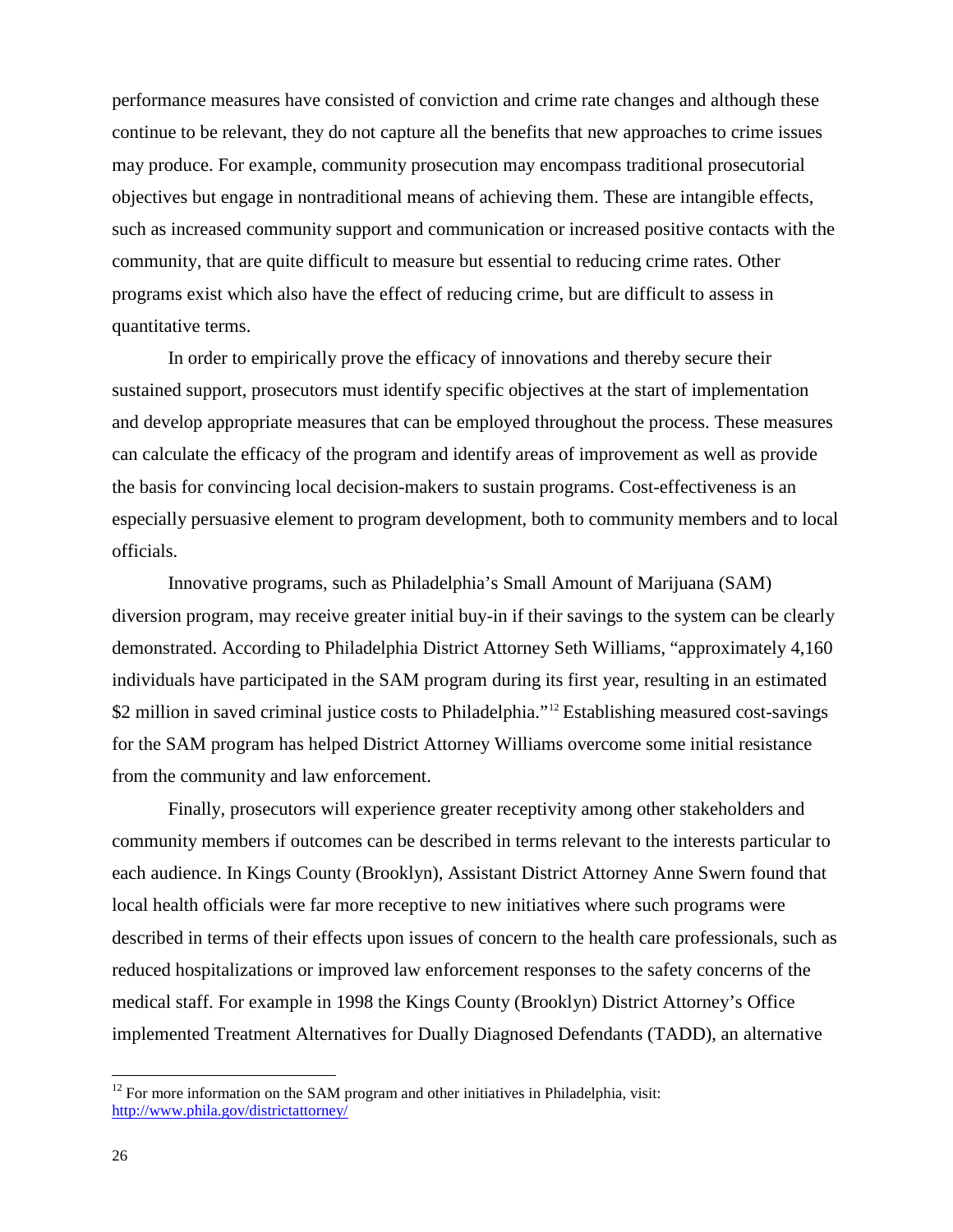performance measures have consisted of conviction and crime rate changes and although these continue to be relevant, they do not capture all the benefits that new approaches to crime issues may produce. For example, community prosecution may encompass traditional prosecutorial objectives but engage in nontraditional means of achieving them. These are intangible effects, such as increased community support and communication or increased positive contacts with the community, that are quite difficult to measure but essential to reducing crime rates. Other programs exist which also have the effect of reducing crime, but are difficult to assess in quantitative terms.

In order to empirically prove the efficacy of innovations and thereby secure their sustained support, prosecutors must identify specific objectives at the start of implementation and develop appropriate measures that can be employed throughout the process. These measures can calculate the efficacy of the program and identify areas of improvement as well as provide the basis for convincing local decision-makers to sustain programs. Cost-effectiveness is an especially persuasive element to program development, both to community members and to local officials.

Innovative programs, such as Philadelphia's Small Amount of Marijuana (SAM) diversion program, may receive greater initial buy-in if their savings to the system can be clearly demonstrated. According to Philadelphia District Attorney Seth Williams, "approximately 4,160 individuals have participated in the SAM program during its first year, resulting in an estimated \$2 million in saved criminal justice costs to Philadelphia."<sup>[12](#page-29-0)</sup> Establishing measured cost-savings for the SAM program has helped District Attorney Williams overcome some initial resistance from the community and law enforcement.

Finally, prosecutors will experience greater receptivity among other stakeholders and community members if outcomes can be described in terms relevant to the interests particular to each audience. In Kings County (Brooklyn), Assistant District Attorney Anne Swern found that local health officials were far more receptive to new initiatives where such programs were described in terms of their effects upon issues of concern to the health care professionals, such as reduced hospitalizations or improved law enforcement responses to the safety concerns of the medical staff. For example in 1998 the Kings County (Brooklyn) District Attorney's Office implemented Treatment Alternatives for Dually Diagnosed Defendants (TADD), an alternative

 $\frac{1}{10}$ 

<span id="page-29-0"></span> $12$  For more information on the SAM program and other initiatives in Philadelphia, visit: <http://www.phila.gov/districtattorney/>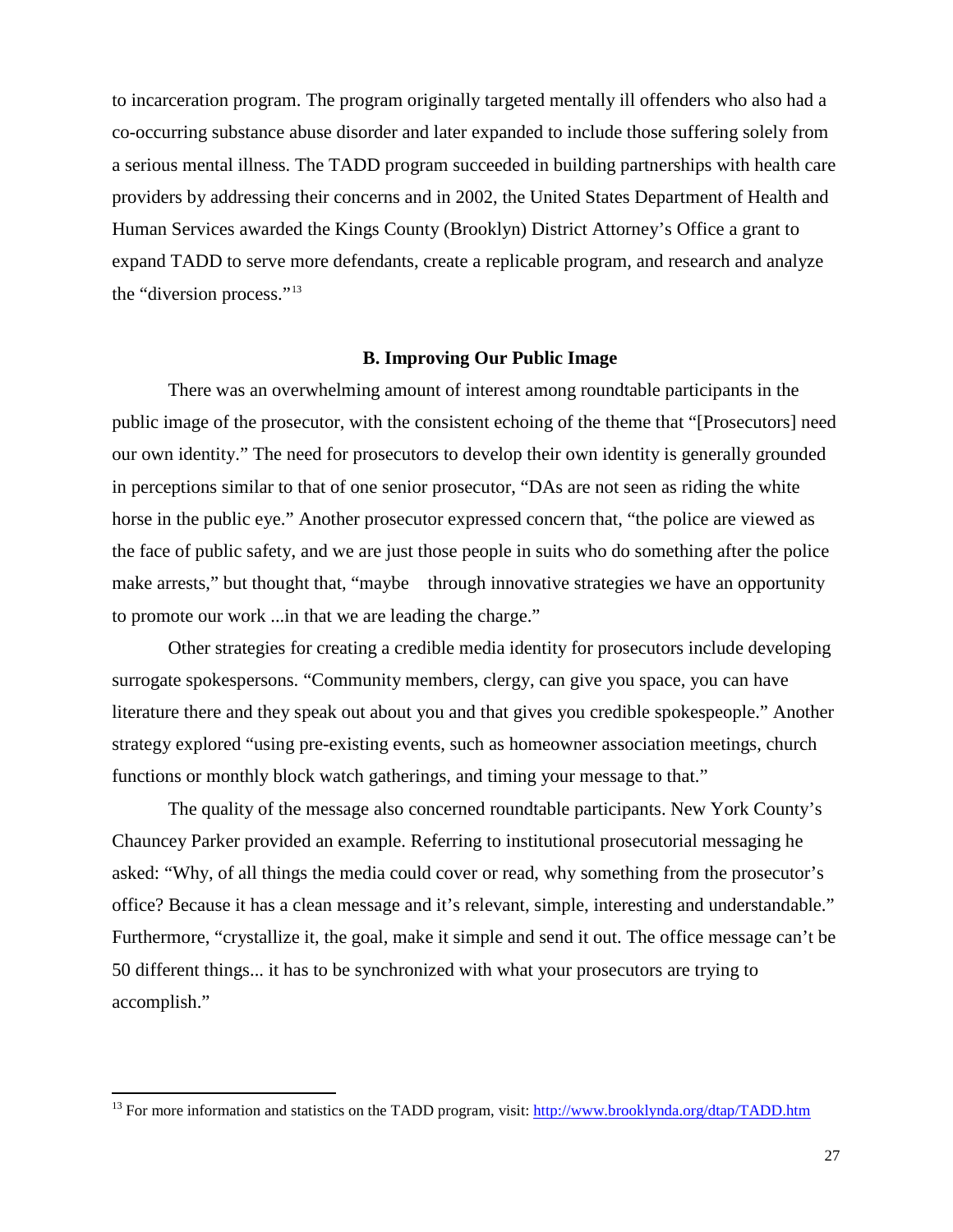to incarceration program. The program originally targeted mentally ill offenders who also had a co-occurring substance abuse disorder and later expanded to include those suffering solely from a serious mental illness. The TADD program succeeded in building partnerships with health care providers by addressing their concerns and in 2002, the United States Department of Health and Human Services awarded the Kings County (Brooklyn) District Attorney's Office a grant to expand TADD to serve more defendants, create a replicable program, and research and analyze the "diversion process."[13](#page-30-0)

#### **B. Improving Our Public Image**

There was an overwhelming amount of interest among roundtable participants in the public image of the prosecutor, with the consistent echoing of the theme that "[Prosecutors] need our own identity." The need for prosecutors to develop their own identity is generally grounded in perceptions similar to that of one senior prosecutor, "DAs are not seen as riding the white horse in the public eye." Another prosecutor expressed concern that, "the police are viewed as the face of public safety, and we are just those people in suits who do something after the police make arrests," but thought that, "maybe through innovative strategies we have an opportunity to promote our work ...in that we are leading the charge."

Other strategies for creating a credible media identity for prosecutors include developing surrogate spokespersons. "Community members, clergy, can give you space, you can have literature there and they speak out about you and that gives you credible spokespeople." Another strategy explored "using pre-existing events, such as homeowner association meetings, church functions or monthly block watch gatherings, and timing your message to that."

The quality of the message also concerned roundtable participants. New York County's Chauncey Parker provided an example. Referring to institutional prosecutorial messaging he asked: "Why, of all things the media could cover or read, why something from the prosecutor's office? Because it has a clean message and it's relevant, simple, interesting and understandable." Furthermore, "crystallize it, the goal, make it simple and send it out. The office message can't be 50 different things... it has to be synchronized with what your prosecutors are trying to accomplish."

<span id="page-30-0"></span> $\overline{1}$ <sup>13</sup> For more information and statistics on the TADD program, visit:<http://www.brooklynda.org/dtap/TADD.htm>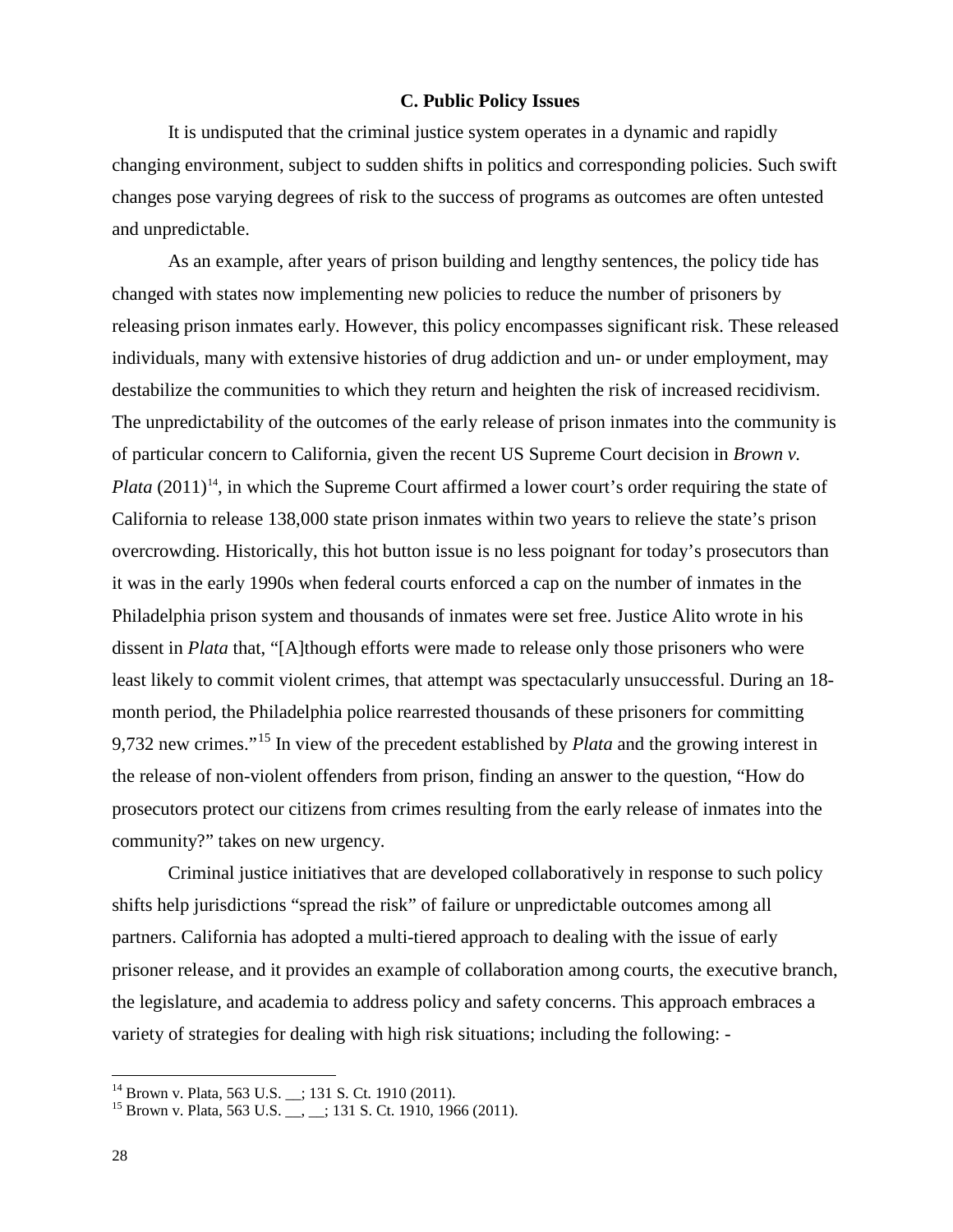#### **C. Public Policy Issues**

It is undisputed that the criminal justice system operates in a dynamic and rapidly changing environment, subject to sudden shifts in politics and corresponding policies. Such swift changes pose varying degrees of risk to the success of programs as outcomes are often untested and unpredictable.

As an example, after years of prison building and lengthy sentences, the policy tide has changed with states now implementing new policies to reduce the number of prisoners by releasing prison inmates early. However, this policy encompasses significant risk. These released individuals, many with extensive histories of drug addiction and un- or under employment, may destabilize the communities to which they return and heighten the risk of increased recidivism. The unpredictability of the outcomes of the early release of prison inmates into the community is of particular concern to California, given the recent US Supreme Court decision in *Brown v. Plata*  $(2011)^{14}$  $(2011)^{14}$  $(2011)^{14}$ , in which the Supreme Court affirmed a lower court's order requiring the state of California to release 138,000 state prison inmates within two years to relieve the state's prison overcrowding. Historically, this hot button issue is no less poignant for today's prosecutors than it was in the early 1990s when federal courts enforced a cap on the number of inmates in the Philadelphia prison system and thousands of inmates were set free. Justice Alito wrote in his dissent in *Plata* that, "[A]though efforts were made to release only those prisoners who were least likely to commit violent crimes, that attempt was spectacularly unsuccessful. During an 18 month period, the Philadelphia police rearrested thousands of these prisoners for committing 9,732 new crimes."[15](#page-31-1) In view of the precedent established by *Plata* and the growing interest in the release of non-violent offenders from prison, finding an answer to the question, "How do prosecutors protect our citizens from crimes resulting from the early release of inmates into the community?" takes on new urgency.

Criminal justice initiatives that are developed collaboratively in response to such policy shifts help jurisdictions "spread the risk" of failure or unpredictable outcomes among all partners. California has adopted a multi-tiered approach to dealing with the issue of early prisoner release, and it provides an example of collaboration among courts, the executive branch, the legislature, and academia to address policy and safety concerns. This approach embraces a variety of strategies for dealing with high risk situations; including the following: -

<span id="page-31-0"></span><sup>&</sup>lt;sup>14</sup> Brown v. Plata, 563 U.S. \_; 131 S. Ct. 1910 (2011).

<span id="page-31-1"></span><sup>&</sup>lt;sup>15</sup> Brown v. Plata, 563 U.S. \_\_, \_\_; 131 S. Ct. 1910, 1966 (2011).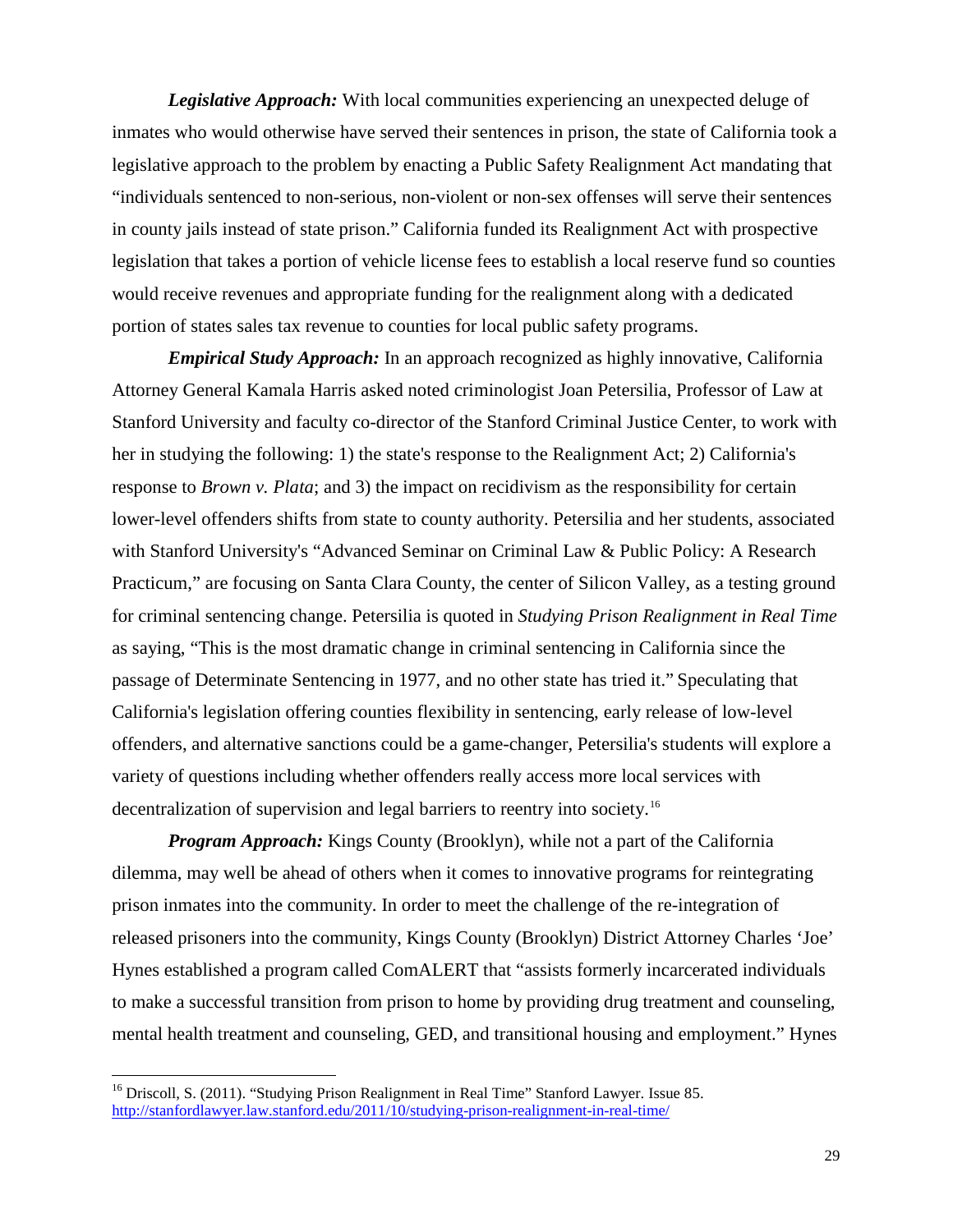*Legislative Approach:* With local communities experiencing an unexpected deluge of inmates who would otherwise have served their sentences in prison, the state of California took a legislative approach to the problem by enacting a Public Safety Realignment Act mandating that "individuals sentenced to non-serious, non-violent or non-sex offenses will serve their sentences in county jails instead of state prison." California funded its Realignment Act with prospective legislation that takes a portion of vehicle license fees to establish a local reserve fund so counties would receive revenues and appropriate funding for the realignment along with a dedicated portion of states sales tax revenue to counties for local public safety programs.

*Empirical Study Approach:* In an approach recognized as highly innovative, California Attorney General Kamala Harris asked noted criminologist Joan Petersilia, Professor of Law at Stanford University and faculty co-director of the Stanford Criminal Justice Center, to work with her in studying the following: 1) the state's response to the Realignment Act; 2) California's response to *Brown v. Plata*; and 3) the impact on recidivism as the responsibility for certain lower-level offenders shifts from state to county authority. Petersilia and her students, associated with Stanford University's "Advanced Seminar on Criminal Law & Public Policy: A Research Practicum," are focusing on Santa Clara County, the center of Silicon Valley, as a testing ground for criminal sentencing change. Petersilia is quoted in *Studying Prison Realignment in Real Time* as saying, "This is the most dramatic change in criminal sentencing in California since the passage of Determinate Sentencing in 1977, and no other state has tried it." Speculating that California's legislation offering counties flexibility in sentencing, early release of low-level offenders, and alternative sanctions could be a game-changer, Petersilia's students will explore a variety of questions including whether offenders really access more local services with decentralization of supervision and legal barriers to reentry into society. [16](#page-32-0)

*Program Approach:* Kings County (Brooklyn), while not a part of the California dilemma, may well be ahead of others when it comes to innovative programs for reintegrating prison inmates into the community. In order to meet the challenge of the re-integration of released prisoners into the community, Kings County (Brooklyn) District Attorney Charles 'Joe' Hynes established a program called ComALERT that "assists formerly incarcerated individuals to make a successful transition from prison to home by providing drug treatment and counseling, mental health treatment and counseling, GED, and transitional housing and employment." Hynes

<span id="page-32-0"></span> $\frac{1}{16}$ <sup>16</sup> Driscoll, S. (2011). "Studying Prison Realignment in Real Time" Stanford Lawyer. Issue 85. <http://stanfordlawyer.law.stanford.edu/2011/10/studying-prison-realignment-in-real-time/>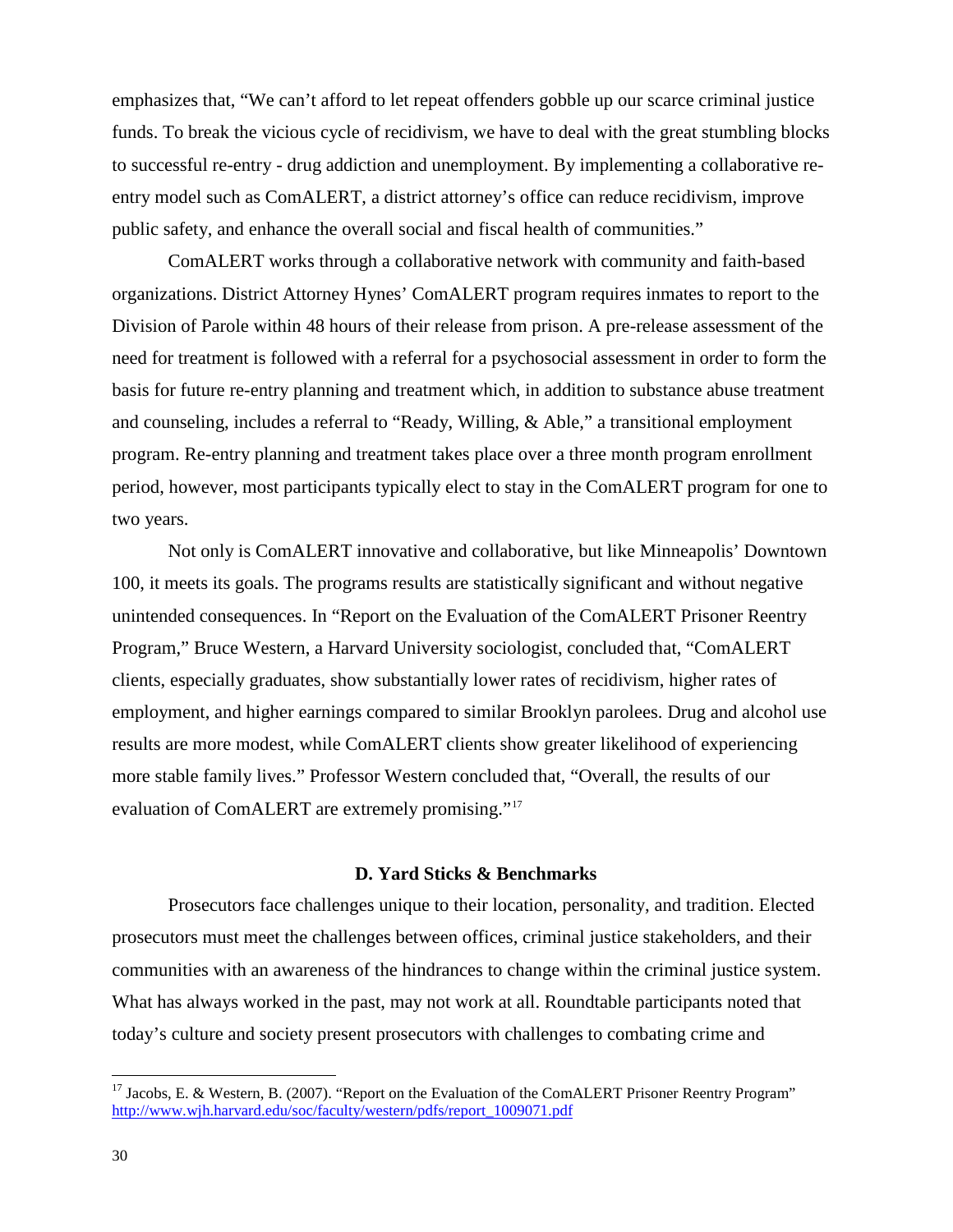emphasizes that, "We can't afford to let repeat offenders gobble up our scarce criminal justice funds. To break the vicious cycle of recidivism, we have to deal with the great stumbling blocks to successful re-entry - drug addiction and unemployment. By implementing a collaborative reentry model such as ComALERT, a district attorney's office can reduce recidivism, improve public safety, and enhance the overall social and fiscal health of communities."

ComALERT works through a collaborative network with community and faith-based organizations. District Attorney Hynes' ComALERT program requires inmates to report to the Division of Parole within 48 hours of their release from prison. A pre-release assessment of the need for treatment is followed with a referral for a psychosocial assessment in order to form the basis for future re-entry planning and treatment which, in addition to substance abuse treatment and counseling, includes a referral to "Ready, Willing, & Able," a transitional employment program. Re-entry planning and treatment takes place over a three month program enrollment period, however, most participants typically elect to stay in the ComALERT program for one to two years.

Not only is ComALERT innovative and collaborative, but like Minneapolis' Downtown 100, it meets its goals. The programs results are statistically significant and without negative unintended consequences. In "Report on the Evaluation of the ComALERT Prisoner Reentry Program," Bruce Western, a Harvard University sociologist, concluded that, "ComALERT clients, especially graduates, show substantially lower rates of recidivism, higher rates of employment, and higher earnings compared to similar Brooklyn parolees. Drug and alcohol use results are more modest, while ComALERT clients show greater likelihood of experiencing more stable family lives." Professor Western concluded that, "Overall, the results of our evaluation of ComALERT are extremely promising."[17](#page-33-0)

#### **D. Yard Sticks & Benchmarks**

Prosecutors face challenges unique to their location, personality, and tradition. Elected prosecutors must meet the challenges between offices, criminal justice stakeholders, and their communities with an awareness of the hindrances to change within the criminal justice system. What has always worked in the past, may not work at all. Roundtable participants noted that today's culture and society present prosecutors with challenges to combating crime and

<span id="page-33-0"></span> $\frac{1}{17}$ <sup>17</sup> Jacobs, E. & Western, B. (2007). "Report on the Evaluation of the ComALERT Prisoner Reentry Program" [http://www.wjh.harvard.edu/soc/faculty/western/pdfs/report\\_1009071.pdf](http://www.wjh.harvard.edu/soc/faculty/western/pdfs/report_1009071.pdf)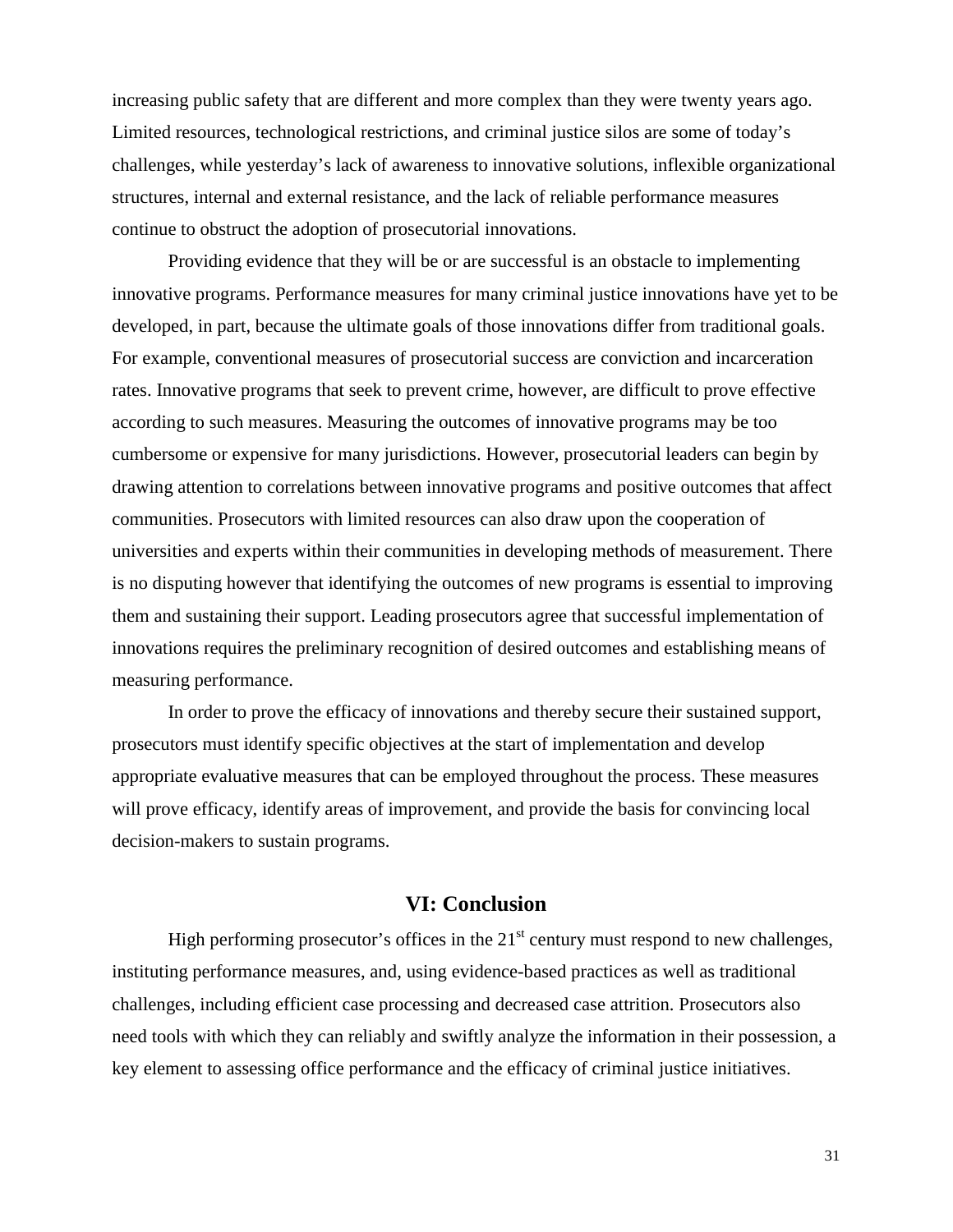increasing public safety that are different and more complex than they were twenty years ago. Limited resources, technological restrictions, and criminal justice silos are some of today's challenges, while yesterday's lack of awareness to innovative solutions, inflexible organizational structures, internal and external resistance, and the lack of reliable performance measures continue to obstruct the adoption of prosecutorial innovations.

Providing evidence that they will be or are successful is an obstacle to implementing innovative programs. Performance measures for many criminal justice innovations have yet to be developed, in part, because the ultimate goals of those innovations differ from traditional goals. For example, conventional measures of prosecutorial success are conviction and incarceration rates. Innovative programs that seek to prevent crime, however, are difficult to prove effective according to such measures. Measuring the outcomes of innovative programs may be too cumbersome or expensive for many jurisdictions. However, prosecutorial leaders can begin by drawing attention to correlations between innovative programs and positive outcomes that affect communities. Prosecutors with limited resources can also draw upon the cooperation of universities and experts within their communities in developing methods of measurement. There is no disputing however that identifying the outcomes of new programs is essential to improving them and sustaining their support. Leading prosecutors agree that successful implementation of innovations requires the preliminary recognition of desired outcomes and establishing means of measuring performance.

In order to prove the efficacy of innovations and thereby secure their sustained support, prosecutors must identify specific objectives at the start of implementation and develop appropriate evaluative measures that can be employed throughout the process. These measures will prove efficacy, identify areas of improvement, and provide the basis for convincing local decision-makers to sustain programs.

#### **VI: Conclusion**

High performing prosecutor's offices in the  $21<sup>st</sup>$  century must respond to new challenges, instituting performance measures, and, using evidence-based practices as well as traditional challenges, including efficient case processing and decreased case attrition. Prosecutors also need tools with which they can reliably and swiftly analyze the information in their possession, a key element to assessing office performance and the efficacy of criminal justice initiatives.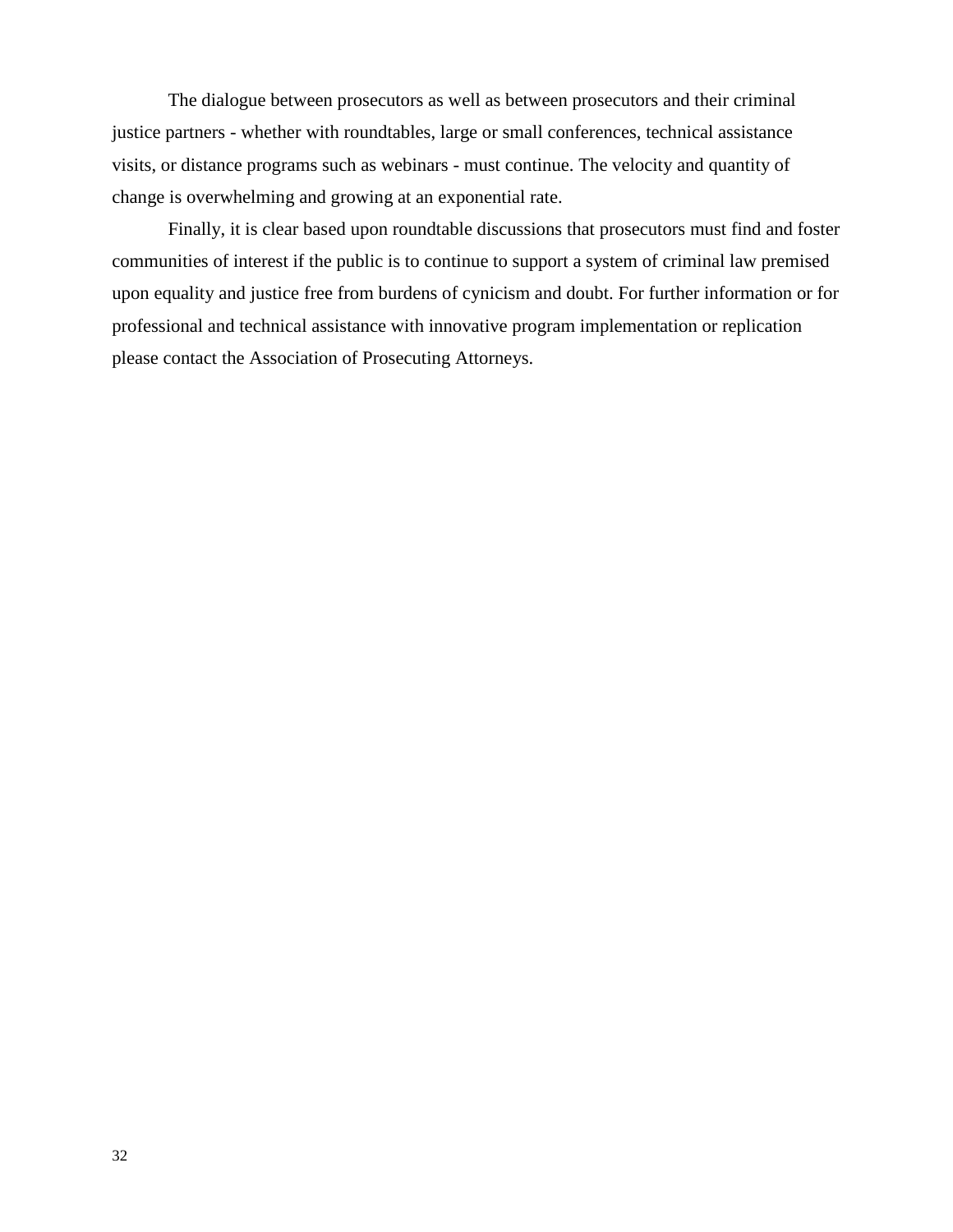The dialogue between prosecutors as well as between prosecutors and their criminal justice partners - whether with roundtables, large or small conferences, technical assistance visits, or distance programs such as webinars - must continue. The velocity and quantity of change is overwhelming and growing at an exponential rate.

Finally, it is clear based upon roundtable discussions that prosecutors must find and foster communities of interest if the public is to continue to support a system of criminal law premised upon equality and justice free from burdens of cynicism and doubt. For further information or for professional and technical assistance with innovative program implementation or replication please contact the Association of Prosecuting Attorneys.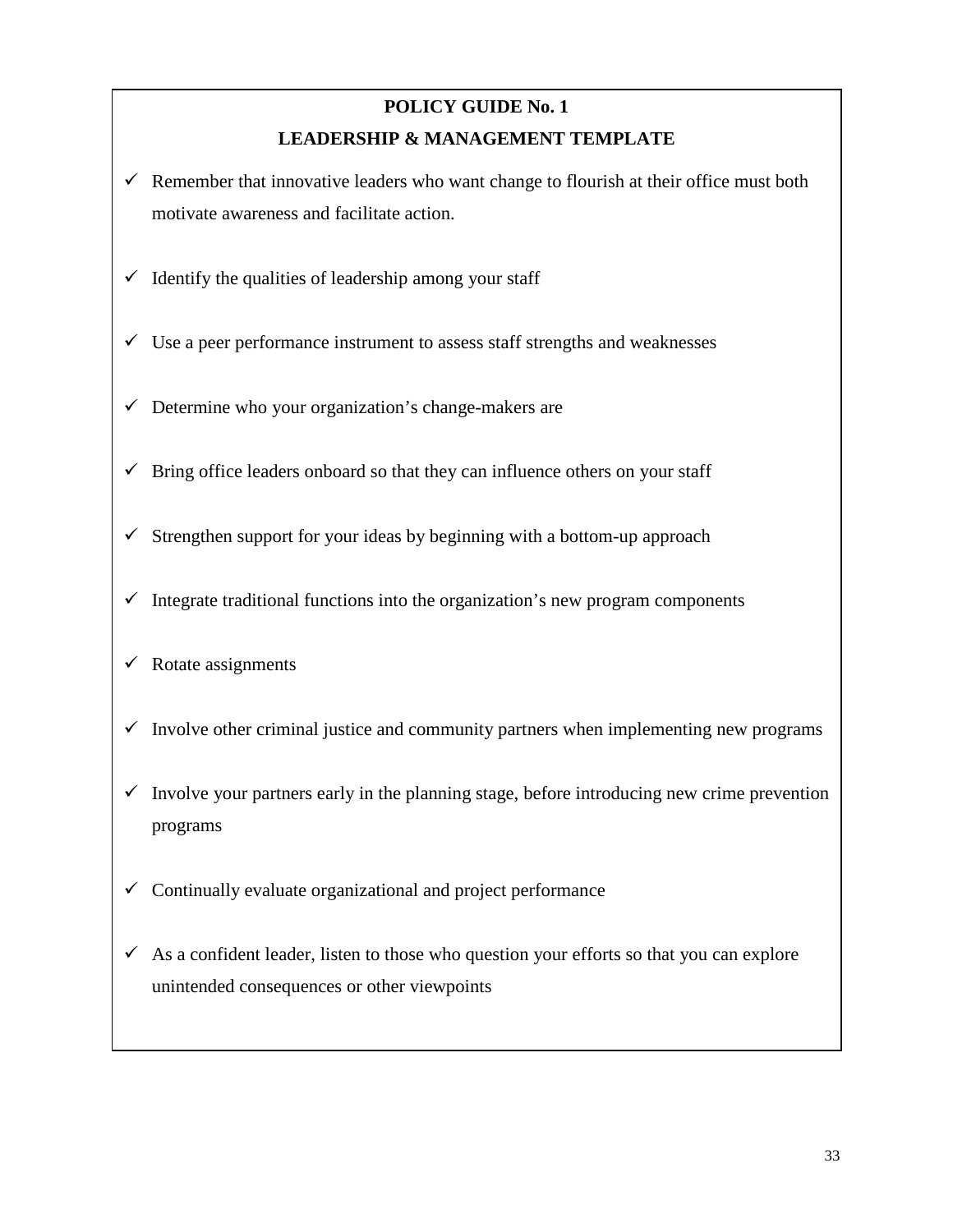## **POLICY GUIDE No. 1 LEADERSHIP & MANAGEMENT TEMPLATE**

- $\checkmark$  Remember that innovative leaders who want change to flourish at their office must both motivate awareness and facilitate action.
- $\checkmark$  Identify the qualities of leadership among your staff
- $\checkmark$  Use a peer performance instrument to assess staff strengths and weaknesses
- $\checkmark$  Determine who your organization's change-makers are
- $\checkmark$  Bring office leaders onboard so that they can influence others on your staff
- $\checkmark$  Strengthen support for your ideas by beginning with a bottom-up approach
- $\checkmark$  Integrate traditional functions into the organization's new program components
- $\checkmark$  Rotate assignments
- $\checkmark$  Involve other criminal justice and community partners when implementing new programs
- $\checkmark$  Involve your partners early in the planning stage, before introducing new crime prevention programs
- $\checkmark$  Continually evaluate organizational and project performance
- $\checkmark$  As a confident leader, listen to those who question your efforts so that you can explore unintended consequences or other viewpoints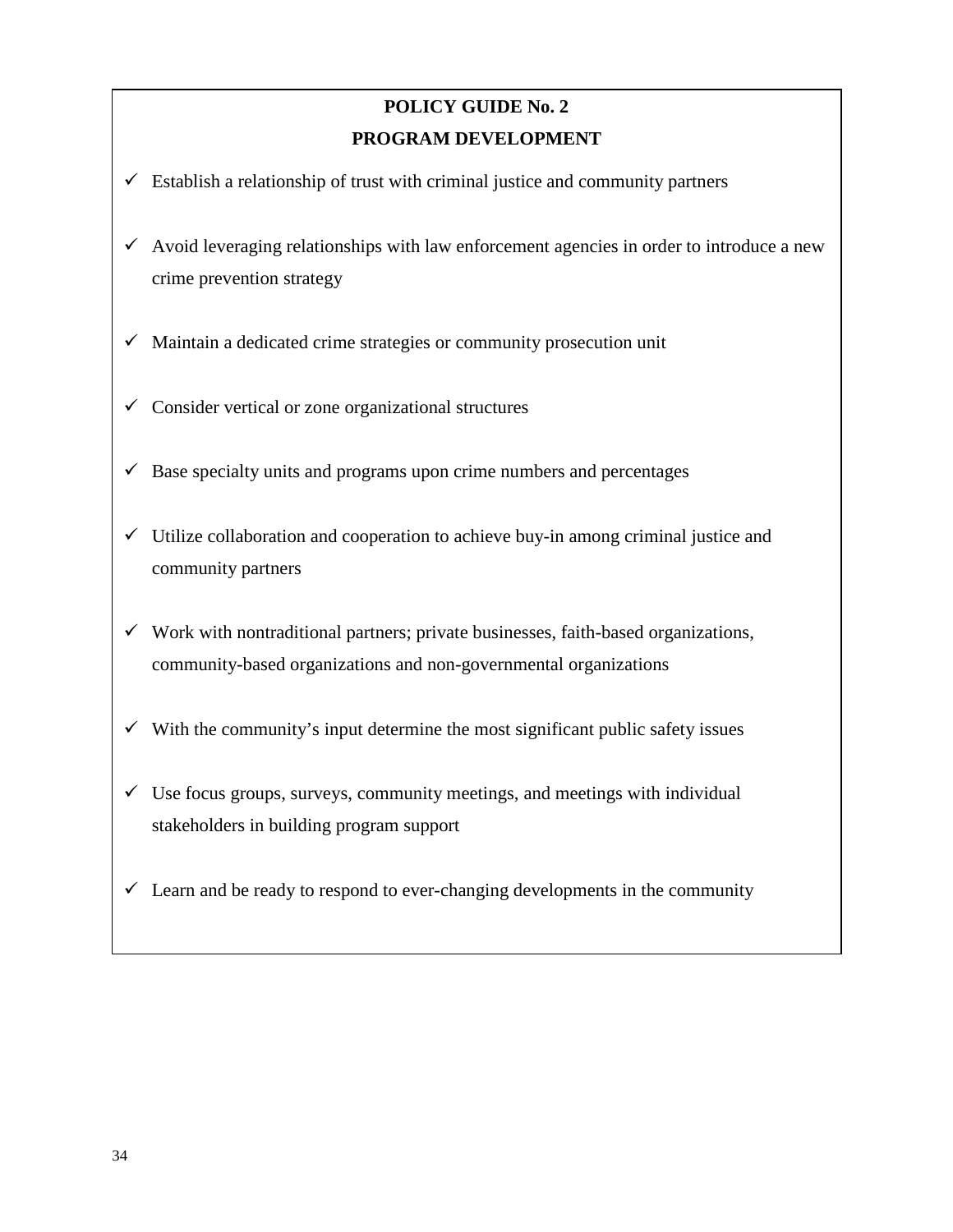# **POLICY GUIDE No. 2 PROGRAM DEVELOPMENT**

- $\checkmark$  Establish a relationship of trust with criminal justice and community partners
- $\checkmark$  Avoid leveraging relationships with law enforcement agencies in order to introduce a new crime prevention strategy
- $\checkmark$  Maintain a dedicated crime strategies or community prosecution unit
- $\checkmark$  Consider vertical or zone organizational structures
- $\checkmark$  Base specialty units and programs upon crime numbers and percentages
- $\checkmark$  Utilize collaboration and cooperation to achieve buy-in among criminal justice and community partners
- $\checkmark$  Work with nontraditional partners; private businesses, faith-based organizations, community-based organizations and non-governmental organizations
- $\checkmark$  With the community's input determine the most significant public safety issues
- $\checkmark$  Use focus groups, surveys, community meetings, and meetings with individual stakeholders in building program support
- $\checkmark$  Learn and be ready to respond to ever-changing developments in the community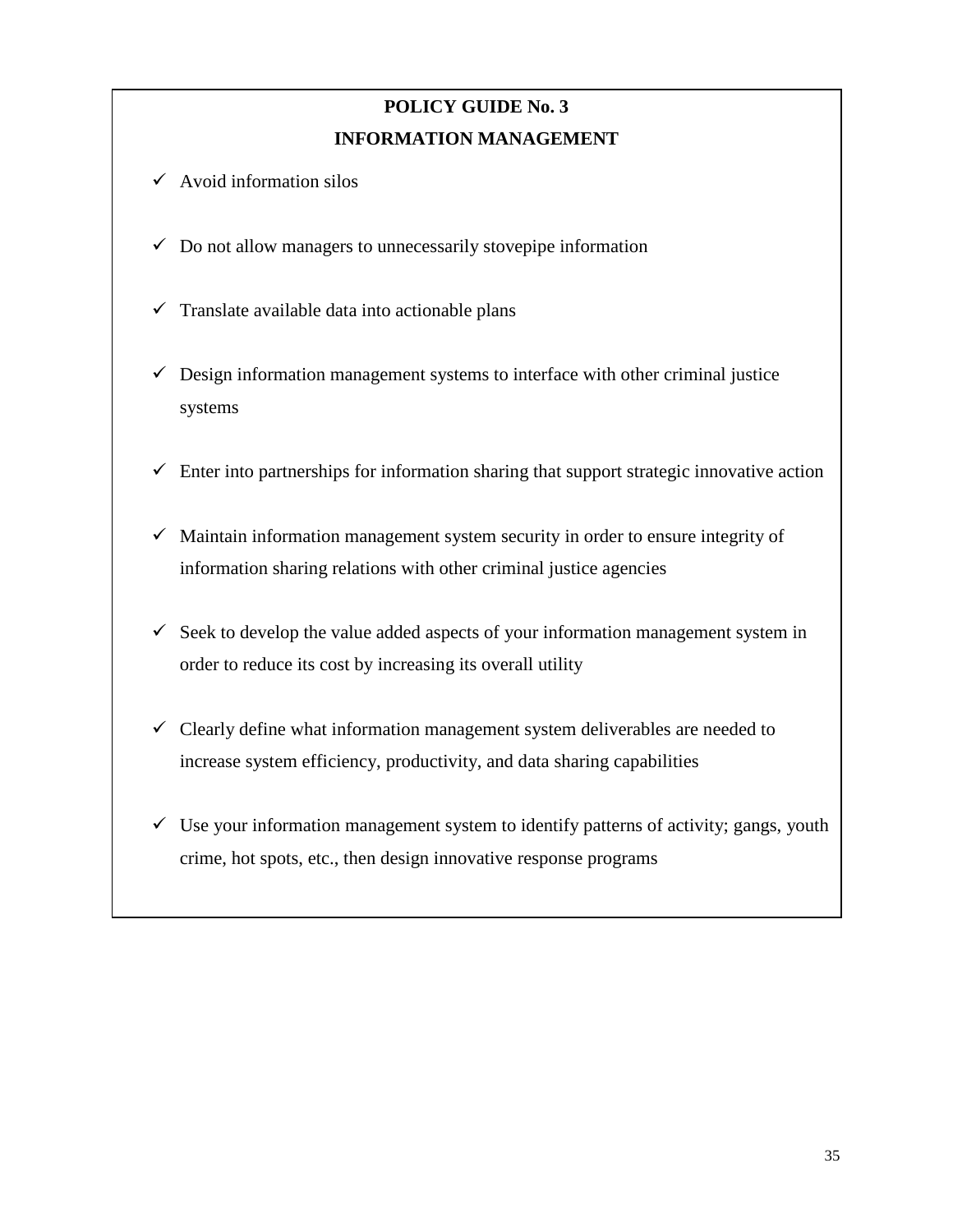# **POLICY GUIDE No. 3 INFORMATION MANAGEMENT**

- $\checkmark$  Avoid information silos
- $\checkmark$  Do not allow managers to unnecessarily stovepipe information
- $\checkmark$  Translate available data into actionable plans
- $\checkmark$  Design information management systems to interface with other criminal justice systems
- $\checkmark$  Enter into partnerships for information sharing that support strategic innovative action
- $\checkmark$  Maintain information management system security in order to ensure integrity of information sharing relations with other criminal justice agencies
- $\checkmark$  Seek to develop the value added aspects of your information management system in order to reduce its cost by increasing its overall utility
- $\checkmark$  Clearly define what information management system deliverables are needed to increase system efficiency, productivity, and data sharing capabilities
- $\checkmark$  Use your information management system to identify patterns of activity; gangs, youth crime, hot spots, etc., then design innovative response programs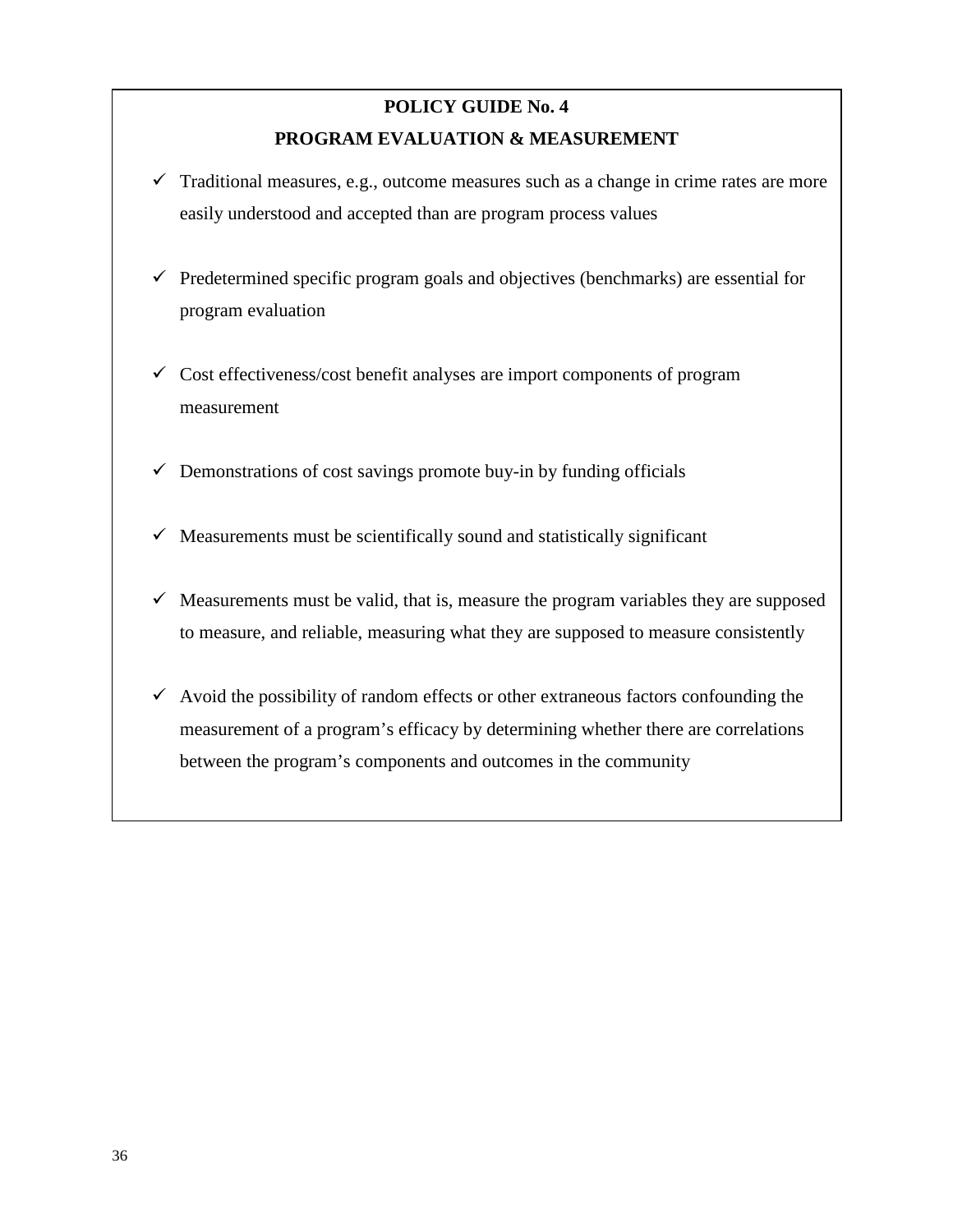# **POLICY GUIDE No. 4 PROGRAM EVALUATION & MEASUREMENT**

- $\checkmark$  Traditional measures, e.g., outcome measures such as a change in crime rates are more easily understood and accepted than are program process values
- $\checkmark$  Predetermined specific program goals and objectives (benchmarks) are essential for program evaluation
- $\checkmark$  Cost effectiveness/cost benefit analyses are import components of program measurement
- $\checkmark$  Demonstrations of cost savings promote buy-in by funding officials
- $\checkmark$  Measurements must be scientifically sound and statistically significant
- $\checkmark$  Measurements must be valid, that is, measure the program variables they are supposed to measure, and reliable, measuring what they are supposed to measure consistently
- $\checkmark$  Avoid the possibility of random effects or other extraneous factors confounding the measurement of a program's efficacy by determining whether there are correlations between the program's components and outcomes in the community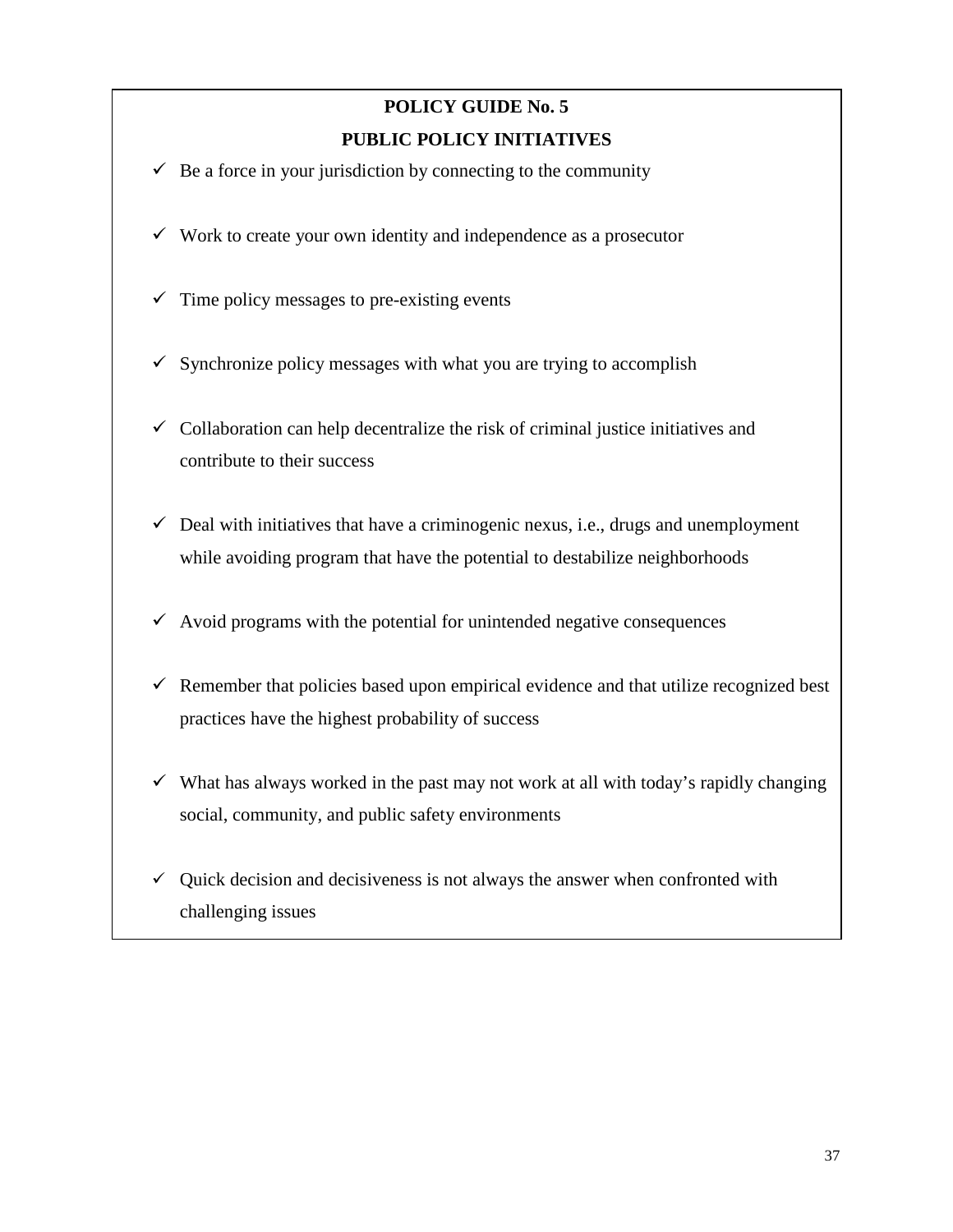# **POLICY GUIDE No. 5 PUBLIC POLICY INITIATIVES**

- $\checkmark$  Be a force in your jurisdiction by connecting to the community
- $\checkmark$  Work to create your own identity and independence as a prosecutor
- $\checkmark$  Time policy messages to pre-existing events
- $\checkmark$  Synchronize policy messages with what you are trying to accomplish
- $\checkmark$  Collaboration can help decentralize the risk of criminal justice initiatives and contribute to their success
- $\checkmark$  Deal with initiatives that have a criminogenic nexus, i.e., drugs and unemployment while avoiding program that have the potential to destabilize neighborhoods
- $\checkmark$  Avoid programs with the potential for unintended negative consequences
- $\checkmark$  Remember that policies based upon empirical evidence and that utilize recognized best practices have the highest probability of success
- $\checkmark$  What has always worked in the past may not work at all with today's rapidly changing social, community, and public safety environments
- $\checkmark$  Quick decision and decisiveness is not always the answer when confronted with challenging issues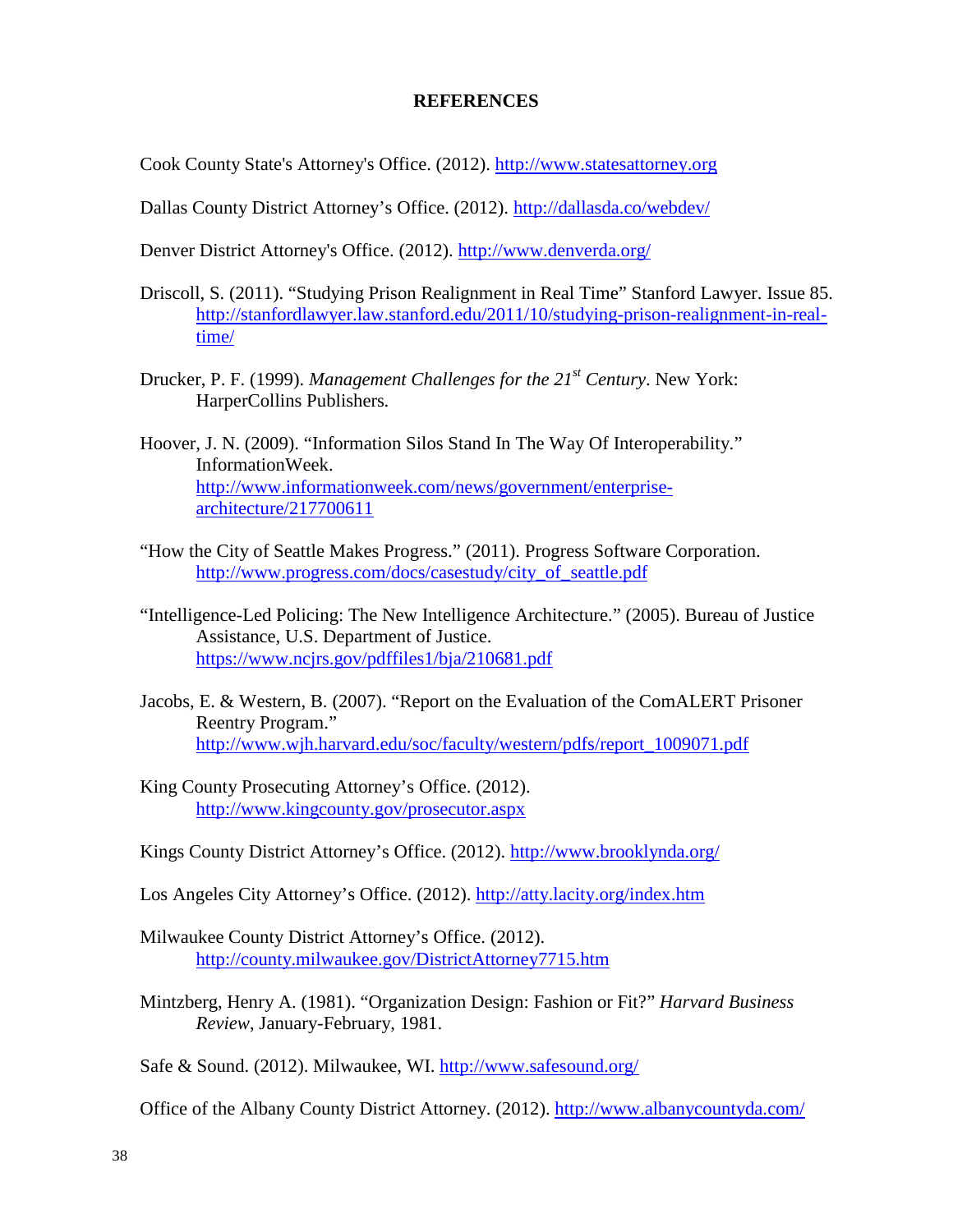#### **REFERENCES**

Cook County State's Attorney's Office. (2012). [http://www.statesattorney.org](http://www.statesattorney.org/)

Dallas County District Attorney's Office. (2012).<http://dallasda.co/webdev/>

Denver District Attorney's Office. (2012).<http://www.denverda.org/>

- Driscoll, S. (2011). "Studying Prison Realignment in Real Time" Stanford Lawyer. Issue 85. [http://stanfordlawyer.law.stanford.edu/2011/10/studying-prison-realignment-in-real](http://stanfordlawyer.law.stanford.edu/2011/10/studying-prison-realignment-in-real-time/)[time/](http://stanfordlawyer.law.stanford.edu/2011/10/studying-prison-realignment-in-real-time/)
- Drucker, P. F. (1999). *Management Challenges for the 21st Century*. New York: HarperCollins Publishers.
- Hoover, J. N. (2009). "Information Silos Stand In The Way Of Interoperability." InformationWeek. [http://www.informationweek.com/news/government/enterprise](http://www.informationweek.com/news/government/enterprise-architecture/217700611)[architecture/217700611](http://www.informationweek.com/news/government/enterprise-architecture/217700611)
- "How the City of Seattle Makes Progress." (2011). Progress Software Corporation. [http://www.progress.com/docs/casestudy/city\\_of\\_seattle.pdf](http://www.progress.com/docs/casestudy/city_of_seattle.pdf)
- "Intelligence-Led Policing: The New Intelligence Architecture." (2005). Bureau of Justice Assistance, U.S. Department of Justice. <https://www.ncjrs.gov/pdffiles1/bja/210681.pdf>
- Jacobs, E. & Western, B. (2007). "Report on the Evaluation of the ComALERT Prisoner Reentry Program." [http://www.wjh.harvard.edu/soc/faculty/western/pdfs/report\\_1009071.pdf](http://www.wjh.harvard.edu/soc/faculty/western/pdfs/report_1009071.pdf)
- King County Prosecuting Attorney's Office. (2012). <http://www.kingcounty.gov/prosecutor.aspx>

Kings County District Attorney's Office. (2012).<http://www.brooklynda.org/>

Los Angeles City Attorney's Office. (2012).<http://atty.lacity.org/index.htm>

- Milwaukee County District Attorney's Office. (2012). <http://county.milwaukee.gov/DistrictAttorney7715.htm>
- Mintzberg, Henry A. (1981). "Organization Design: Fashion or Fit?" *Harvard Business Review*, January-February, 1981.

Safe & Sound. (2012). Milwaukee, WI. [http://www.safesound.org/](http://www.safesound.org/about-us/history/)

Office of the Albany County District Attorney. (2012).<http://www.albanycountyda.com/>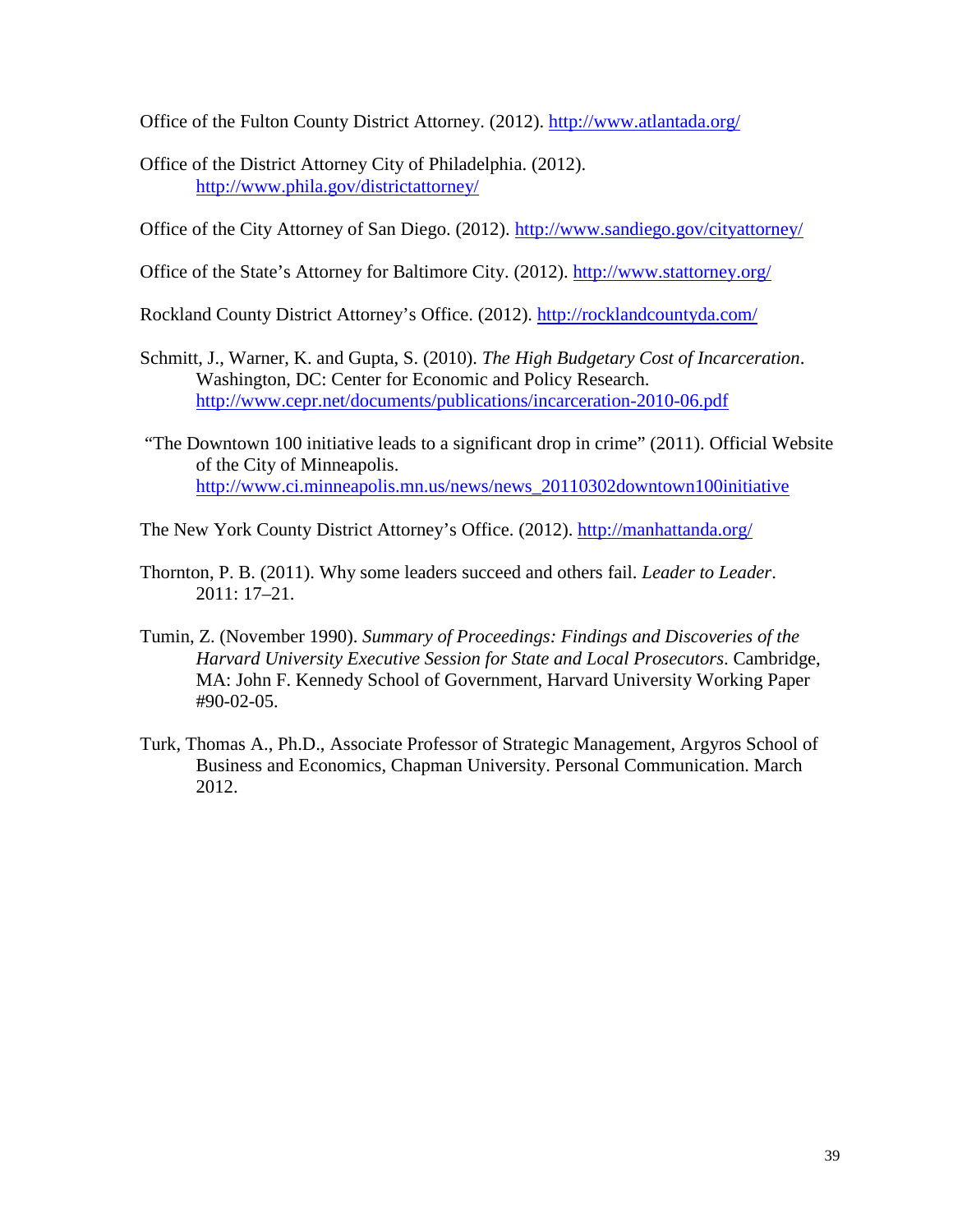Office of the Fulton County District Attorney. (2012).<http://www.atlantada.org/>

Office of the District Attorney City of Philadelphia. (2012). <http://www.phila.gov/districtattorney/>

Office of the City Attorney of San Diego. (2012).<http://www.sandiego.gov/cityattorney/>

Office of the State's Attorney for Baltimore City. (2012).<http://www.stattorney.org/>

Rockland County District Attorney's Office. (2012).<http://rocklandcountyda.com/>

- Schmitt, J., Warner, K. and Gupta, S. (2010). *The High Budgetary Cost of Incarceration*. Washington, DC: Center for Economic and Policy Research. <http://www.cepr.net/documents/publications/incarceration-2010-06.pdf>
- "The Downtown 100 initiative leads to a significant drop in crime" (2011). Official Website of the City of Minneapolis. [http://www.ci.minneapolis.mn.us/news/news\\_20110302downtown100initiative](http://www.ci.minneapolis.mn.us/news/news_20110302downtown100initiative)

The New York County District Attorney's Office. (2012).<http://manhattanda.org/>

- Thornton, P. B. (2011). Why some leaders succeed and others fail. *Leader to Leader*. 2011: 17–21.
- Tumin, Z. (November 1990). *Summary of Proceedings: Findings and Discoveries of the Harvard University Executive Session for State and Local Prosecutors*. Cambridge, MA: John F. Kennedy School of Government, Harvard University Working Paper #90-02-05.
- Turk, Thomas A., Ph.D., Associate Professor of Strategic Management, Argyros School of Business and Economics, Chapman University. Personal Communication. March 2012.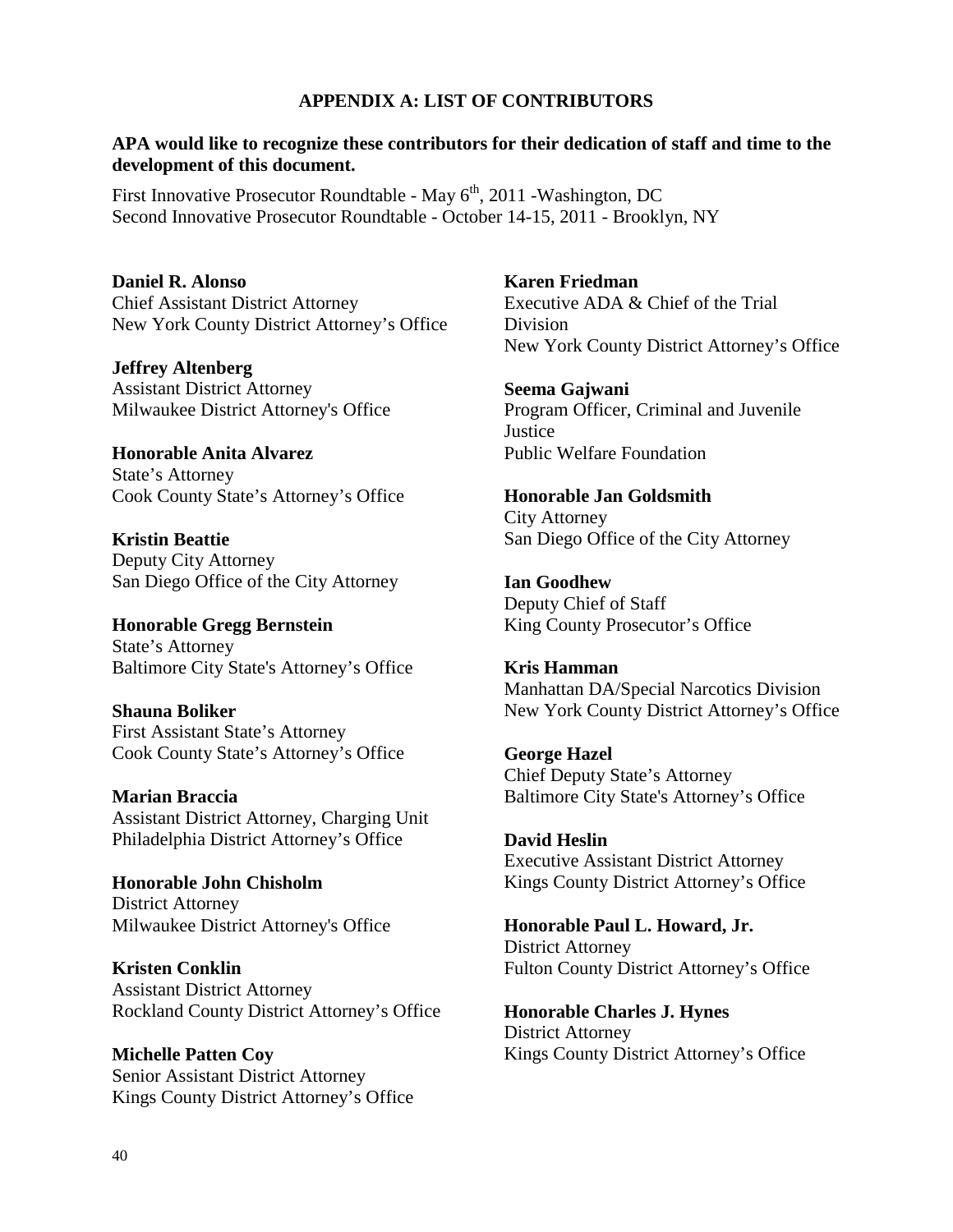#### **APPENDIX A: LIST OF CONTRIBUTORS**

#### **APA would like to recognize these contributors for their dedication of staff and time to the development of this document.**

First Innovative Prosecutor Roundtable - May  $6<sup>th</sup>$ , 2011 - Washington, DC Second Innovative Prosecutor Roundtable - October 14-15, 2011 - Brooklyn, NY

**Daniel R. Alonso** Chief Assistant District Attorney New York County District Attorney's Office

**Jeffrey Altenberg**  Assistant District Attorney Milwaukee District Attorney's Office

**Honorable Anita Alvarez**  State's Attorney Cook County State's Attorney's Office

**Kristin Beattie** Deputy City Attorney San Diego Office of the City Attorney

**Honorable Gregg Bernstein** State's Attorney Baltimore City State's Attorney's Office

**Shauna Boliker** First Assistant State's Attorney Cook County State's Attorney's Office

**Marian Braccia** Assistant District Attorney, Charging Unit Philadelphia District Attorney's Office

**Honorable John Chisholm** District Attorney Milwaukee District Attorney's Office

**Kristen Conklin**  Assistant District Attorney Rockland County District Attorney's Office

**Michelle Patten Coy** Senior Assistant District Attorney Kings County District Attorney's Office **Karen Friedman** Executive ADA & Chief of the Trial Division New York County District Attorney's Office

**Seema Gajwani** Program Officer, Criminal and Juvenile **Justice** Public Welfare Foundation

**Honorable Jan Goldsmith**  City Attorney San Diego Office of the City Attorney

**Ian Goodhew** Deputy Chief of Staff King County Prosecutor's Office

**Kris Hamman** Manhattan DA/Special Narcotics Division New York County District Attorney's Office

**George Hazel**  Chief Deputy State's Attorney Baltimore City State's Attorney's Office

**David Heslin** Executive Assistant District Attorney Kings County District Attorney's Office

**Honorable Paul L. Howard, Jr.** District Attorney Fulton County District Attorney's Office

**Honorable Charles J. Hynes** District Attorney Kings County District Attorney's Office